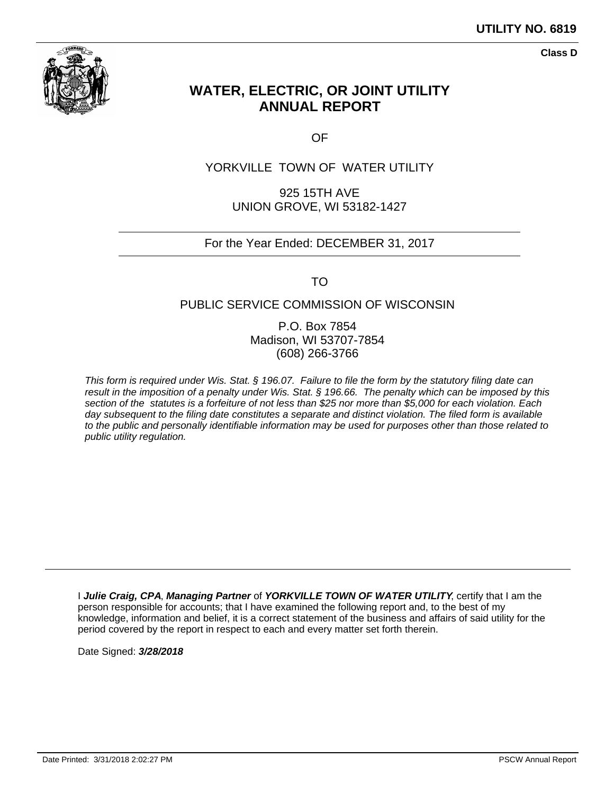

**Class D**

# **WATER, ELECTRIC, OR JOINT UTILITY ANNUAL REPORT**

OF

# YORKVILLE TOWN OF WATER UTILITY

925 15TH AVE UNION GROVE, WI 53182-1427

### For the Year Ended: DECEMBER 31, 2017

TO

### PUBLIC SERVICE COMMISSION OF WISCONSIN

P.O. Box 7854 Madison, WI 53707-7854 (608) 266-3766

This form is required under Wis. Stat. § 196.07. Failure to file the form by the statutory filing date can result in the imposition of a penalty under Wis. Stat. § 196.66. The penalty which can be imposed by this section of the statutes is a forfeiture of not less than \$25 nor more than \$5,000 for each violation. Each day subsequent to the filing date constitutes a separate and distinct violation. The filed form is available to the public and personally identifiable information may be used for purposes other than those related to public utility regulation.

I **Julie Craig, CPA**, **Managing Partner** of **YORKVILLE TOWN OF WATER UTILITY**, certify that I am the person responsible for accounts; that I have examined the following report and, to the best of my knowledge, information and belief, it is a correct statement of the business and affairs of said utility for the period covered by the report in respect to each and every matter set forth therein.

Date Signed: **3/28/2018**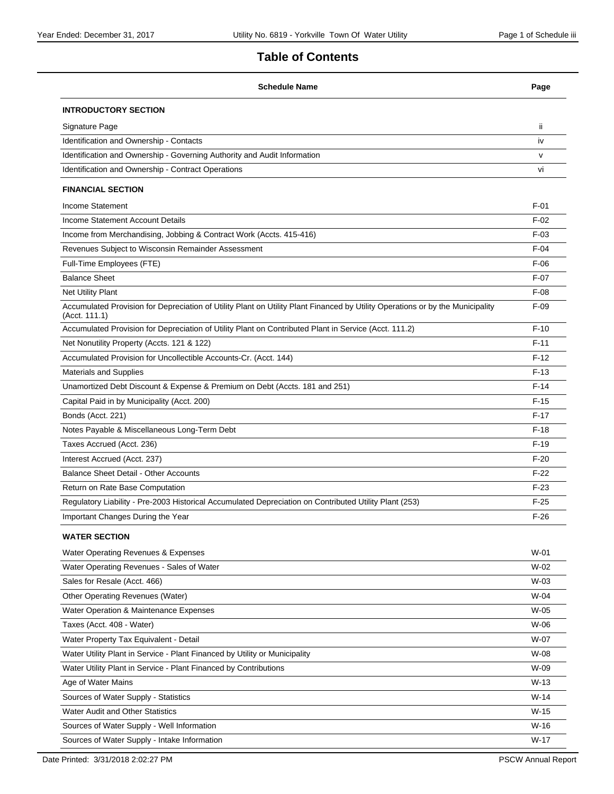# **Table of Contents**

| <b>Schedule Name</b>                                                                                                                            | Page   |
|-------------------------------------------------------------------------------------------------------------------------------------------------|--------|
| <b>INTRODUCTORY SECTION</b>                                                                                                                     |        |
| Signature Page                                                                                                                                  | ii.    |
| Identification and Ownership - Contacts                                                                                                         | iv     |
| Identification and Ownership - Governing Authority and Audit Information                                                                        | v      |
| Identification and Ownership - Contract Operations                                                                                              | vi     |
| <b>FINANCIAL SECTION</b>                                                                                                                        |        |
| <b>Income Statement</b>                                                                                                                         | $F-01$ |
| Income Statement Account Details                                                                                                                | $F-02$ |
| Income from Merchandising, Jobbing & Contract Work (Accts. 415-416)                                                                             | $F-03$ |
| Revenues Subject to Wisconsin Remainder Assessment                                                                                              | $F-04$ |
| Full-Time Employees (FTE)                                                                                                                       | $F-06$ |
| <b>Balance Sheet</b>                                                                                                                            | $F-07$ |
| <b>Net Utility Plant</b>                                                                                                                        | $F-08$ |
| Accumulated Provision for Depreciation of Utility Plant on Utility Plant Financed by Utility Operations or by the Municipality<br>(Acct. 111.1) | $F-09$ |
| Accumulated Provision for Depreciation of Utility Plant on Contributed Plant in Service (Acct. 111.2)                                           | $F-10$ |
| Net Nonutility Property (Accts. 121 & 122)                                                                                                      | $F-11$ |
| Accumulated Provision for Uncollectible Accounts-Cr. (Acct. 144)                                                                                | $F-12$ |
| <b>Materials and Supplies</b>                                                                                                                   | $F-13$ |
| Unamortized Debt Discount & Expense & Premium on Debt (Accts. 181 and 251)                                                                      | $F-14$ |
| Capital Paid in by Municipality (Acct. 200)                                                                                                     | $F-15$ |
| Bonds (Acct. 221)                                                                                                                               | $F-17$ |
| Notes Payable & Miscellaneous Long-Term Debt                                                                                                    | $F-18$ |
| Taxes Accrued (Acct. 236)                                                                                                                       | $F-19$ |
| Interest Accrued (Acct. 237)                                                                                                                    | $F-20$ |
| <b>Balance Sheet Detail - Other Accounts</b>                                                                                                    | $F-22$ |
| Return on Rate Base Computation                                                                                                                 | $F-23$ |
| Requlatory Liability - Pre-2003 Historical Accumulated Depreciation on Contributed Utility Plant (253)                                          | $F-25$ |
| Important Changes During the Year                                                                                                               | $F-26$ |
| <b>WATER SECTION</b>                                                                                                                            |        |
| Water Operating Revenues & Expenses                                                                                                             | $W-01$ |
| Water Operating Revenues - Sales of Water                                                                                                       | $W-02$ |
| Sales for Resale (Acct. 466)                                                                                                                    | $W-03$ |
| Other Operating Revenues (Water)                                                                                                                | W-04   |
| Water Operation & Maintenance Expenses                                                                                                          | $W-05$ |
| Taxes (Acct. 408 - Water)                                                                                                                       | W-06   |
| Water Property Tax Equivalent - Detail                                                                                                          | W-07   |
| Water Utility Plant in Service - Plant Financed by Utility or Municipality                                                                      | W-08   |
| Water Utility Plant in Service - Plant Financed by Contributions                                                                                | W-09   |
| Age of Water Mains                                                                                                                              | $W-13$ |
| Sources of Water Supply - Statistics                                                                                                            | $W-14$ |
| <b>Water Audit and Other Statistics</b>                                                                                                         | $W-15$ |
| Sources of Water Supply - Well Information                                                                                                      | $W-16$ |
| Sources of Water Supply - Intake Information                                                                                                    | $W-17$ |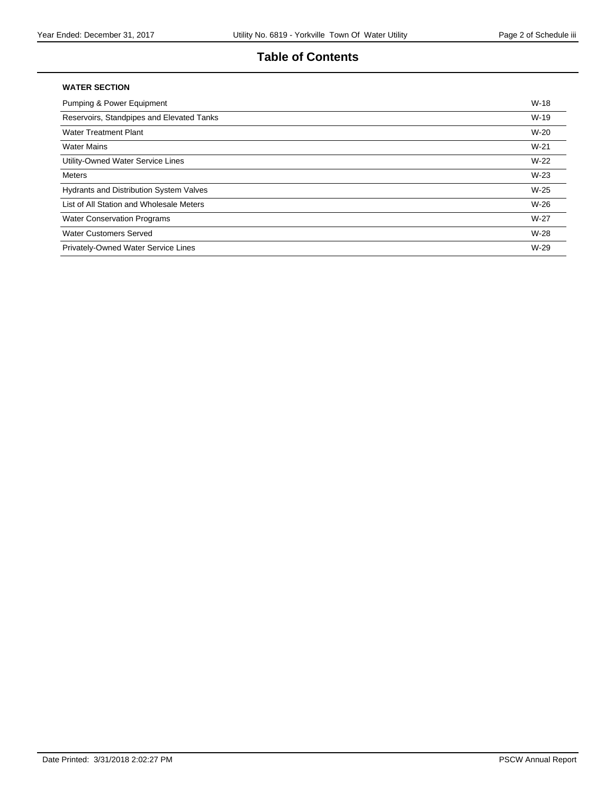# **Table of Contents**

#### **WATER SECTION**

| <b>Pumping &amp; Power Equipment</b>           | $W-18$ |
|------------------------------------------------|--------|
| Reservoirs, Standpipes and Elevated Tanks      | $W-19$ |
| <b>Water Treatment Plant</b>                   | $W-20$ |
| <b>Water Mains</b>                             | $W-21$ |
| Utility-Owned Water Service Lines              | $W-22$ |
| Meters                                         | $W-23$ |
| <b>Hydrants and Distribution System Valves</b> | $W-25$ |
| List of All Station and Wholesale Meters       | $W-26$ |
| <b>Water Conservation Programs</b>             | $W-27$ |
| <b>Water Customers Served</b>                  | W-28   |
| Privately-Owned Water Service Lines            | $W-29$ |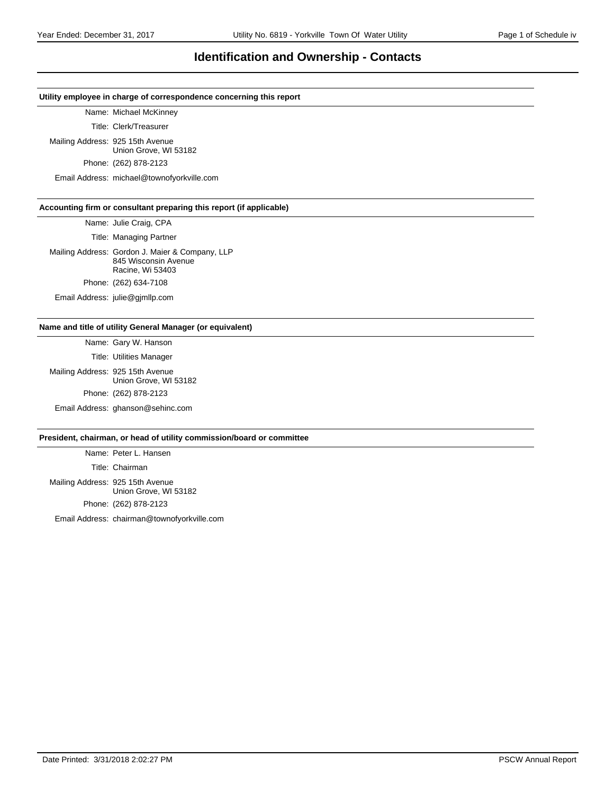### **Identification and Ownership - Contacts**

#### **Utility employee in charge of correspondence concerning this report**

Name: Michael McKinney

Title: Clerk/Treasurer

Mailing Address: 925 15th Avenue Union Grove, WI 53182

Phone: (262) 878-2123

Email Address: michael@townofyorkville.com

#### **Accounting firm or consultant preparing this report (if applicable)**

Name: Julie Craig, CPA

Title: Managing Partner

Mailing Address: Gordon J. Maier & Company, LLP 845 Wisconsin Avenue Racine, Wi 53403 Phone: (262) 634-7108

Email Address: julie@gjmllp.com

#### **Name and title of utility General Manager (or equivalent)**

Name: Gary W. Hanson Title: Utilities Manager

Mailing Address: 925 15th Avenue Union Grove, WI 53182 Phone: (262) 878-2123 Email Address: ghanson@sehinc.com

#### **President, chairman, or head of utility commission/board or committee**

Name: Peter L. Hansen Title: Chairman Mailing Address: 925 15th Avenue Union Grove, WI 53182 Phone: (262) 878-2123

Email Address: chairman@townofyorkville.com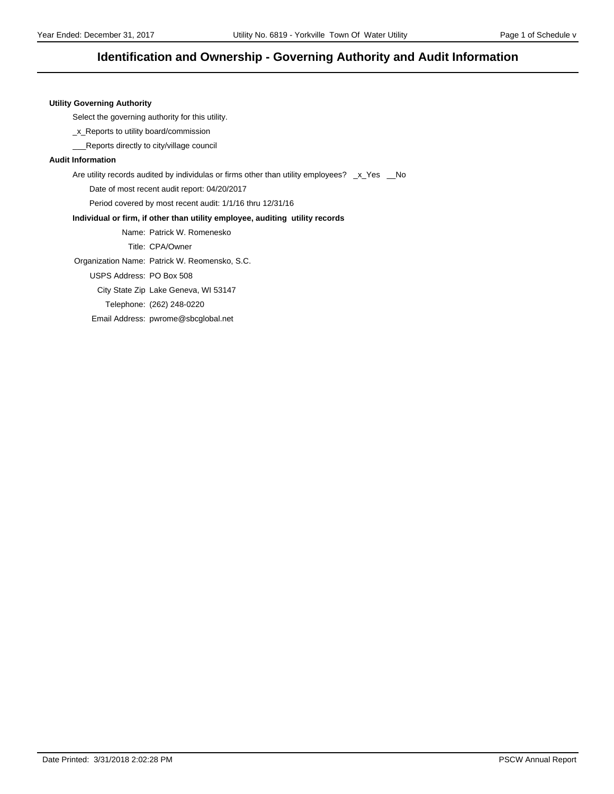### **Identification and Ownership - Governing Authority and Audit Information**

#### **Utility Governing Authority**

Select the governing authority for this utility.

\_x\_Reports to utility board/commission

\_\_\_Reports directly to city/village council

#### **Audit Information**

Are utility records audited by individulas or firms other than utility employees? \_x\_Yes \_No

Date of most recent audit report: 04/20/2017

Period covered by most recent audit: 1/1/16 thru 12/31/16

#### **Individual or firm, if other than utility employee, auditing utility records**

Name: Patrick W. Romenesko

Title: CPA/Owner

Organization Name: Patrick W. Reomensko, S.C.

USPS Address: PO Box 508

City State Zip Lake Geneva, WI 53147

Telephone: (262) 248-0220

Email Address: pwrome@sbcglobal.net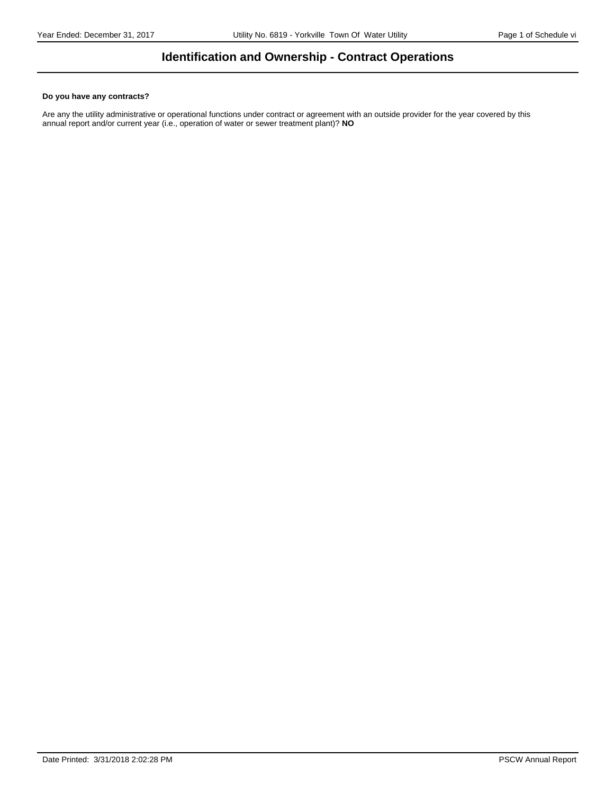## **Identification and Ownership - Contract Operations**

#### **Do you have any contracts?**

Are any the utility administrative or operational functions under contract or agreement with an outside provider for the year covered by this annual report and/or current year (i.e., operation of water or sewer treatment plant)? **NO**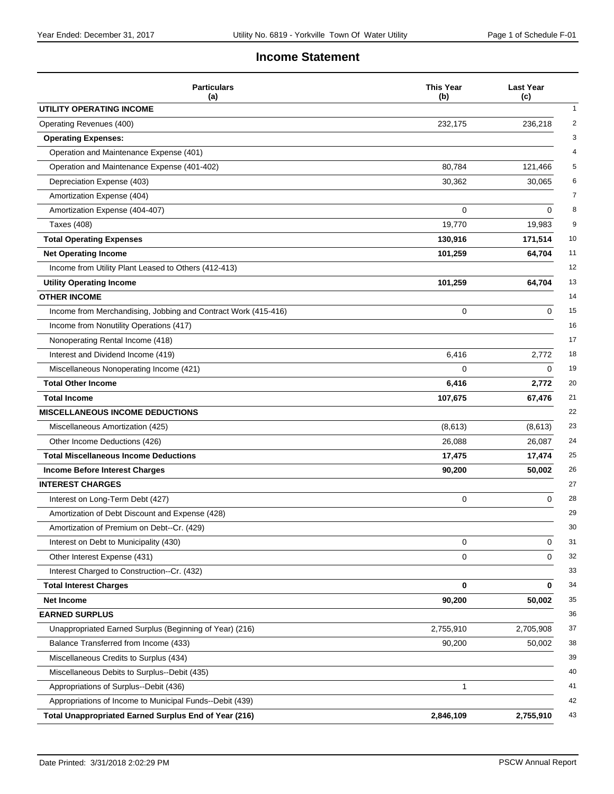### **Income Statement**

| <b>Particulars</b><br>(a)                                      | <b>This Year</b><br>(b) | <b>Last Year</b><br>(c) |
|----------------------------------------------------------------|-------------------------|-------------------------|
| UTILITY OPERATING INCOME                                       |                         |                         |
| Operating Revenues (400)                                       | 232,175                 | 236,218                 |
| <b>Operating Expenses:</b>                                     |                         |                         |
| Operation and Maintenance Expense (401)                        |                         |                         |
| Operation and Maintenance Expense (401-402)                    | 80,784                  | 121,466                 |
| Depreciation Expense (403)                                     | 30,362                  | 30,065                  |
| Amortization Expense (404)                                     |                         |                         |
| Amortization Expense (404-407)                                 | 0                       | 0                       |
| <b>Taxes (408)</b>                                             | 19,770                  | 19,983                  |
| <b>Total Operating Expenses</b>                                | 130,916                 | 171,514                 |
| <b>Net Operating Income</b>                                    | 101,259                 | 64,704                  |
| Income from Utility Plant Leased to Others (412-413)           |                         |                         |
| <b>Utility Operating Income</b>                                | 101,259                 | 64,704                  |
| <b>OTHER INCOME</b>                                            |                         |                         |
| Income from Merchandising, Jobbing and Contract Work (415-416) | $\Omega$                | $\Omega$                |
| Income from Nonutility Operations (417)                        |                         |                         |
| Nonoperating Rental Income (418)                               |                         |                         |
| Interest and Dividend Income (419)                             | 6,416                   | 2,772                   |
| Miscellaneous Nonoperating Income (421)                        | 0                       | 0                       |
| <b>Total Other Income</b>                                      | 6,416                   | 2,772                   |
| <b>Total Income</b>                                            | 107,675                 | 67,476                  |
| <b>MISCELLANEOUS INCOME DEDUCTIONS</b>                         |                         |                         |
| Miscellaneous Amortization (425)                               | (8,613)                 | (8,613)                 |
| Other Income Deductions (426)                                  | 26,088                  | 26,087                  |
| <b>Total Miscellaneous Income Deductions</b>                   | 17,475                  | 17,474                  |
| <b>Income Before Interest Charges</b>                          | 90,200                  | 50,002                  |
| <b>INTEREST CHARGES</b>                                        |                         |                         |
| Interest on Long-Term Debt (427)                               | 0                       | 0                       |
| Amortization of Debt Discount and Expense (428)                |                         |                         |
| Amortization of Premium on Debt--Cr. (429)                     |                         |                         |
| Interest on Debt to Municipality (430)                         | 0                       | 0                       |
| Other Interest Expense (431)                                   | 0                       | 0                       |
| Interest Charged to Construction--Cr. (432)                    |                         |                         |
| <b>Total Interest Charges</b>                                  | 0                       | 0                       |
| Net Income                                                     | 90,200                  | 50,002                  |
| <b>EARNED SURPLUS</b>                                          |                         |                         |
| Unappropriated Earned Surplus (Beginning of Year) (216)        | 2,755,910               | 2,705,908               |
| Balance Transferred from Income (433)                          | 90,200                  | 50,002                  |
| Miscellaneous Credits to Surplus (434)                         |                         |                         |
| Miscellaneous Debits to Surplus--Debit (435)                   |                         |                         |
| Appropriations of Surplus--Debit (436)                         | 1                       |                         |
| Appropriations of Income to Municipal Funds--Debit (439)       |                         |                         |
| <b>Total Unappropriated Earned Surplus End of Year (216)</b>   | 2,846,109               | 2,755,910               |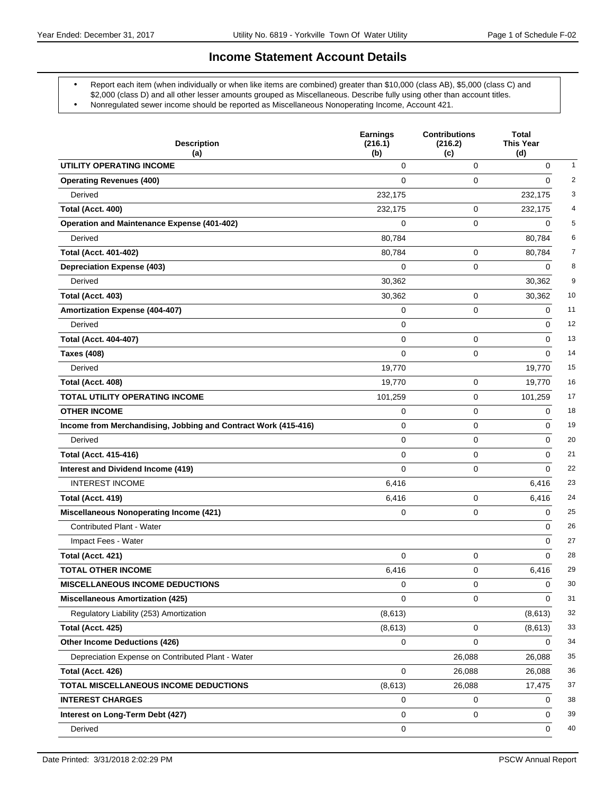### **Income Statement Account Details**

- Report each item (when individually or when like items are combined) greater than \$10,000 (class AB), \$5,000 (class C) and \$2,000 (class D) and all other lesser amounts grouped as Miscellaneous. Describe fully using other than account titles.
- Nonregulated sewer income should be reported as Miscellaneous Nonoperating Income, Account 421.

| <b>Description</b><br>(a)                                      | <b>Earnings</b><br>(216.1)<br>(b) | <b>Contributions</b><br>(216.2)<br>(c) | <b>Total</b><br><b>This Year</b><br>(d) |                |
|----------------------------------------------------------------|-----------------------------------|----------------------------------------|-----------------------------------------|----------------|
| UTILITY OPERATING INCOME                                       | 0                                 | $\mathbf 0$                            | $\pmb{0}$                               | $\mathbf{1}$   |
| <b>Operating Revenues (400)</b>                                | $\Omega$                          | 0                                      | $\Omega$                                | $\overline{2}$ |
| Derived                                                        | 232,175                           |                                        | 232,175                                 | 3              |
| Total (Acct. 400)                                              | 232,175                           | 0                                      | 232,175                                 | 4              |
| <b>Operation and Maintenance Expense (401-402)</b>             | 0                                 | 0                                      | 0                                       | 5              |
| Derived                                                        | 80,784                            |                                        | 80,784                                  | 6              |
| <b>Total (Acct. 401-402)</b>                                   | 80,784                            | $\mathbf 0$                            | 80,784                                  | 7              |
| <b>Depreciation Expense (403)</b>                              | 0                                 | 0                                      | 0                                       | 8              |
| Derived                                                        | 30,362                            |                                        | 30,362                                  | 9              |
| Total (Acct. 403)                                              | 30,362                            | 0                                      | 30,362                                  | 10             |
| Amortization Expense (404-407)                                 | 0                                 | 0                                      | 0                                       | 11             |
| Derived                                                        | 0                                 |                                        | 0                                       | 12             |
| <b>Total (Acct. 404-407)</b>                                   | $\mathbf 0$                       | 0                                      | 0                                       | 13             |
| <b>Taxes (408)</b>                                             | $\Omega$                          | 0                                      | $\Omega$                                | 14             |
| Derived                                                        | 19,770                            |                                        | 19,770                                  | 15             |
| Total (Acct. 408)                                              | 19,770                            | 0                                      | 19,770                                  | 16             |
| TOTAL UTILITY OPERATING INCOME                                 | 101,259                           | $\mathbf 0$                            | 101,259                                 | 17             |
| <b>OTHER INCOME</b>                                            | 0                                 | 0                                      | 0                                       | 18             |
| Income from Merchandising, Jobbing and Contract Work (415-416) | $\mathbf 0$                       | 0                                      | 0                                       | 19             |
| Derived                                                        | $\mathbf 0$                       | 0                                      | 0                                       | 20             |
| <b>Total (Acct. 415-416)</b>                                   | $\mathbf 0$                       | 0                                      | 0                                       | 21             |
| Interest and Dividend Income (419)                             | $\Omega$                          | $\mathbf 0$                            | $\Omega$                                | 22             |
| <b>INTEREST INCOME</b>                                         | 6,416                             |                                        | 6,416                                   | 23             |
| Total (Acct. 419)                                              | 6,416                             | 0                                      | 6,416                                   | 24             |
| <b>Miscellaneous Nonoperating Income (421)</b>                 | 0                                 | $\mathbf 0$                            | 0                                       | 25             |
| Contributed Plant - Water                                      |                                   |                                        | 0                                       | 26             |
| Impact Fees - Water                                            |                                   |                                        | $\Omega$                                | 27             |
| Total (Acct. 421)                                              | 0                                 | 0                                      | 0                                       | 28             |
| <b>TOTAL OTHER INCOME</b>                                      | 6,416                             | 0                                      | 6,416                                   | 29             |
| MISCELLANEOUS INCOME DEDUCTIONS                                | 0                                 | 0                                      | 0                                       | 30             |
| <b>Miscellaneous Amortization (425)</b>                        | 0                                 | 0                                      | 0                                       | 31             |
| Regulatory Liability (253) Amortization                        | (8,613)                           |                                        | (8,613)                                 | 32             |
| Total (Acct. 425)                                              | (8,613)                           | 0                                      | (8,613)                                 | 33             |
| <b>Other Income Deductions (426)</b>                           | 0                                 | $\mathbf 0$                            | 0                                       | 34             |
| Depreciation Expense on Contributed Plant - Water              |                                   | 26,088                                 | 26,088                                  | 35             |
| Total (Acct. 426)                                              | 0                                 | 26,088                                 | 26,088                                  | 36             |
| TOTAL MISCELLANEOUS INCOME DEDUCTIONS                          | (8,613)                           | 26,088                                 | 17,475                                  | 37             |
| <b>INTEREST CHARGES</b>                                        | 0                                 | 0                                      | 0                                       | 38             |
| Interest on Long-Term Debt (427)                               | 0                                 | 0                                      | 0                                       | 39             |
| Derived                                                        | 0                                 |                                        | 0                                       | 40             |
|                                                                |                                   |                                        |                                         |                |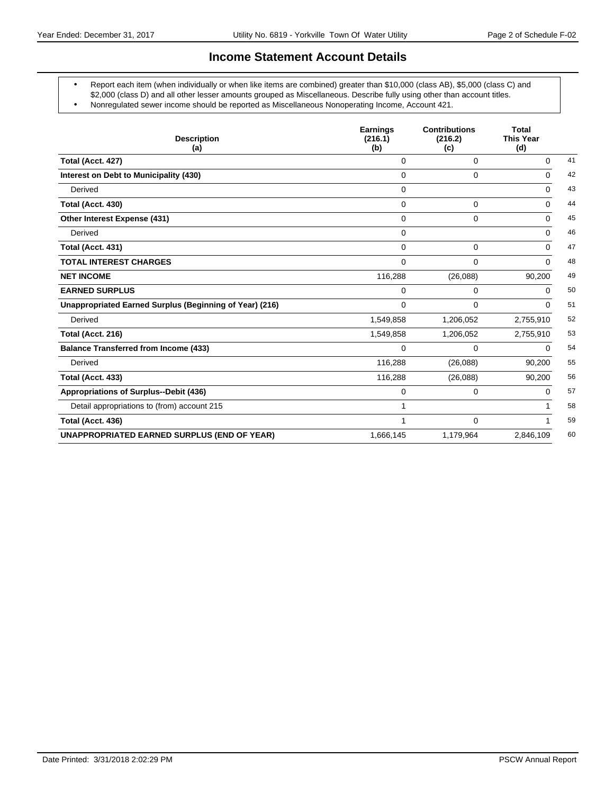### **Income Statement Account Details**

- Report each item (when individually or when like items are combined) greater than \$10,000 (class AB), \$5,000 (class C) and \$2,000 (class D) and all other lesser amounts grouped as Miscellaneous. Describe fully using other than account titles.
- Nonregulated sewer income should be reported as Miscellaneous Nonoperating Income, Account 421.

| <b>Description</b><br>(a)                               | <b>Earnings</b><br>(216.1)<br>(b) | <b>Contributions</b><br>(216.2)<br>(c) | <b>Total</b><br><b>This Year</b><br>(d) |    |
|---------------------------------------------------------|-----------------------------------|----------------------------------------|-----------------------------------------|----|
| Total (Acct. 427)                                       | $\Omega$                          | $\Omega$                               | $\Omega$                                | 41 |
| Interest on Debt to Municipality (430)                  | $\Omega$                          | 0                                      | $\Omega$                                | 42 |
| Derived                                                 | $\mathbf 0$                       |                                        | $\mathbf 0$                             | 43 |
| Total (Acct. 430)                                       | $\Omega$                          | 0                                      | $\Omega$                                | 44 |
| Other Interest Expense (431)                            | $\Omega$                          | 0                                      | $\Omega$                                | 45 |
| Derived                                                 | $\Omega$                          |                                        | $\Omega$                                | 46 |
| Total (Acct. 431)                                       | $\Omega$                          | 0                                      | $\Omega$                                | 47 |
| <b>TOTAL INTEREST CHARGES</b>                           | $\Omega$                          | $\Omega$                               | $\Omega$                                | 48 |
| <b>NET INCOME</b>                                       | 116,288                           | (26,088)                               | 90,200                                  | 49 |
| <b>EARNED SURPLUS</b>                                   | 0                                 | 0                                      | $\Omega$                                | 50 |
| Unappropriated Earned Surplus (Beginning of Year) (216) | $\Omega$                          | 0                                      | $\Omega$                                | 51 |
| Derived                                                 | 1,549,858                         | 1,206,052                              | 2,755,910                               | 52 |
| Total (Acct. 216)                                       | 1,549,858                         | 1,206,052                              | 2,755,910                               | 53 |
| <b>Balance Transferred from Income (433)</b>            | $\Omega$                          | 0                                      | $\Omega$                                | 54 |
| Derived                                                 | 116,288                           | (26,088)                               | 90,200                                  | 55 |
| Total (Acct. 433)                                       | 116,288                           | (26,088)                               | 90,200                                  | 56 |
| Appropriations of Surplus--Debit (436)                  | $\Omega$                          | 0                                      | $\Omega$                                | 57 |
| Detail appropriations to (from) account 215             |                                   |                                        |                                         | 58 |
| Total (Acct. 436)                                       |                                   | 0                                      |                                         | 59 |
| <b>UNAPPROPRIATED EARNED SURPLUS (END OF YEAR)</b>      | 1,666,145                         | 1,179,964                              | 2,846,109                               | 60 |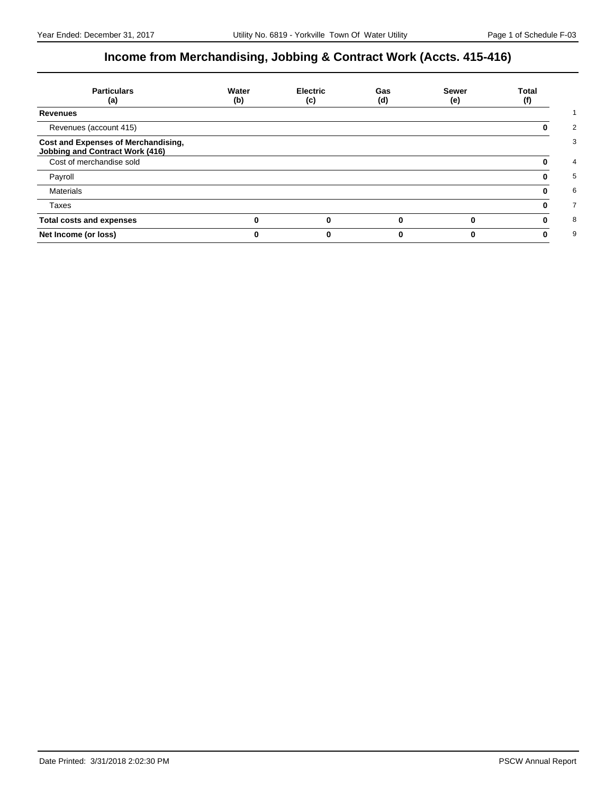# **Income from Merchandising, Jobbing & Contract Work (Accts. 415-416)**

| <b>Particulars</b><br>(a)                                                     | Water<br>(b) | <b>Electric</b><br>(c) | Gas<br>(d) | <b>Sewer</b><br>(e) | Total<br>(f) |
|-------------------------------------------------------------------------------|--------------|------------------------|------------|---------------------|--------------|
| <b>Revenues</b>                                                               |              |                        |            |                     |              |
| Revenues (account 415)                                                        |              |                        |            |                     |              |
| Cost and Expenses of Merchandising,<br><b>Jobbing and Contract Work (416)</b> |              |                        |            |                     |              |
| Cost of merchandise sold                                                      |              |                        |            |                     |              |
| Payroll                                                                       |              |                        |            |                     |              |
| <b>Materials</b>                                                              |              |                        |            |                     |              |
| Taxes                                                                         |              |                        |            |                     |              |
| <b>Total costs and expenses</b>                                               |              |                        |            |                     |              |
| Net Income (or loss)                                                          |              |                        |            |                     |              |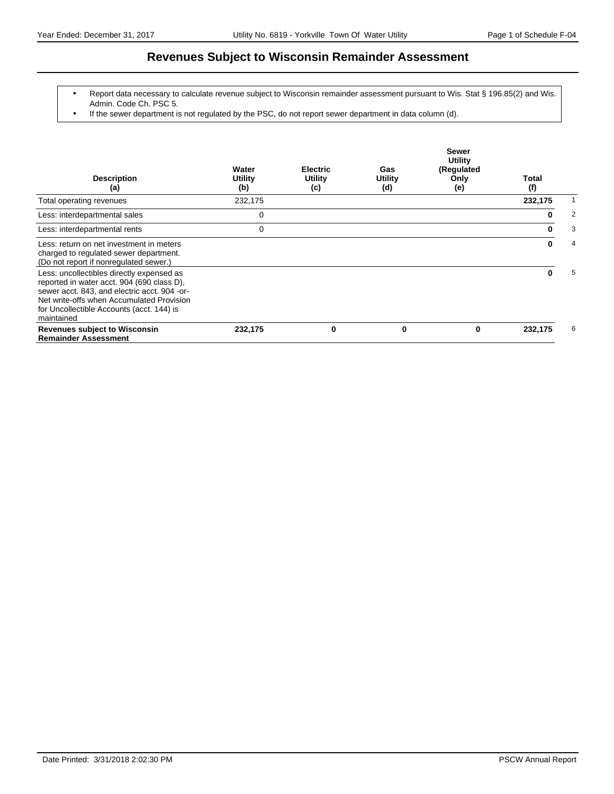### **Revenues Subject to Wisconsin Remainder Assessment**

- Report data necessary to calculate revenue subject to Wisconsin remainder assessment pursuant to Wis. Stat § 196.85(2) and Wis. Admin. Code Ch. PSC 5.
- If the sewer department is not regulated by the PSC, do not report sewer department in data column (d).

| <b>Description</b><br>(a)                                                                                                                                                                                                                       | Water<br>Utility<br>(b) | <b>Electric</b><br>Utility<br>(c) | Gas<br><b>Utility</b><br>(d) | <b>Sewer</b><br>Utility<br>(Regulated<br>Only<br>(e) | Total<br>(f) |   |
|-------------------------------------------------------------------------------------------------------------------------------------------------------------------------------------------------------------------------------------------------|-------------------------|-----------------------------------|------------------------------|------------------------------------------------------|--------------|---|
| Total operating revenues                                                                                                                                                                                                                        | 232,175                 |                                   |                              |                                                      | 232,175      |   |
| Less: interdepartmental sales                                                                                                                                                                                                                   | 0                       |                                   |                              |                                                      | 0            | 2 |
| Less: interdepartmental rents                                                                                                                                                                                                                   | 0                       |                                   |                              |                                                      | 0            | 3 |
| Less: return on net investment in meters<br>charged to regulated sewer department.<br>(Do not report if nonregulated sewer.)                                                                                                                    |                         |                                   |                              |                                                      | 0            | 4 |
| Less: uncollectibles directly expensed as<br>reported in water acct. 904 (690 class D),<br>sewer acct. 843, and electric acct. 904 -or-<br>Net write-offs when Accumulated Provision<br>for Uncollectible Accounts (acct. 144) is<br>maintained |                         |                                   |                              |                                                      | 0            | 5 |
| <b>Revenues subject to Wisconsin</b><br><b>Remainder Assessment</b>                                                                                                                                                                             | 232,175                 | 0                                 | 0                            | 0                                                    | 232,175      | 6 |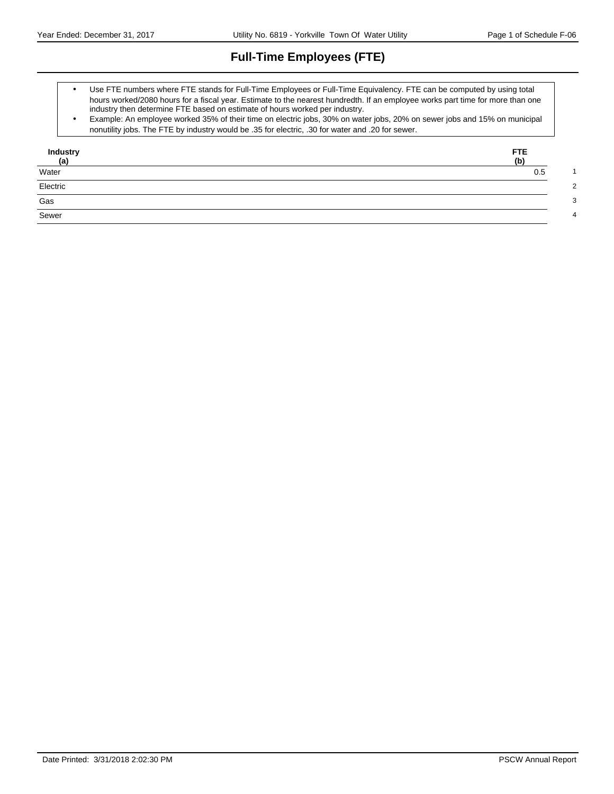# **Full-Time Employees (FTE)**

- Use FTE numbers where FTE stands for Full-Time Employees or Full-Time Equivalency. FTE can be computed by using total hours worked/2080 hours for a fiscal year. Estimate to the nearest hundredth. If an employee works part time for more than one industry then determine FTE based on estimate of hours worked per industry.
- Example: An employee worked 35% of their time on electric jobs, 30% on water jobs, 20% on sewer jobs and 15% on municipal nonutility jobs. The FTE by industry would be .35 for electric, .30 for water and .20 for sewer.

| Industry<br><u>(a)</u><br>Water | FTE.<br>(b) |
|---------------------------------|-------------|
|                                 | 0.5         |
| Electric                        |             |
| Gas                             |             |
| Sewer                           |             |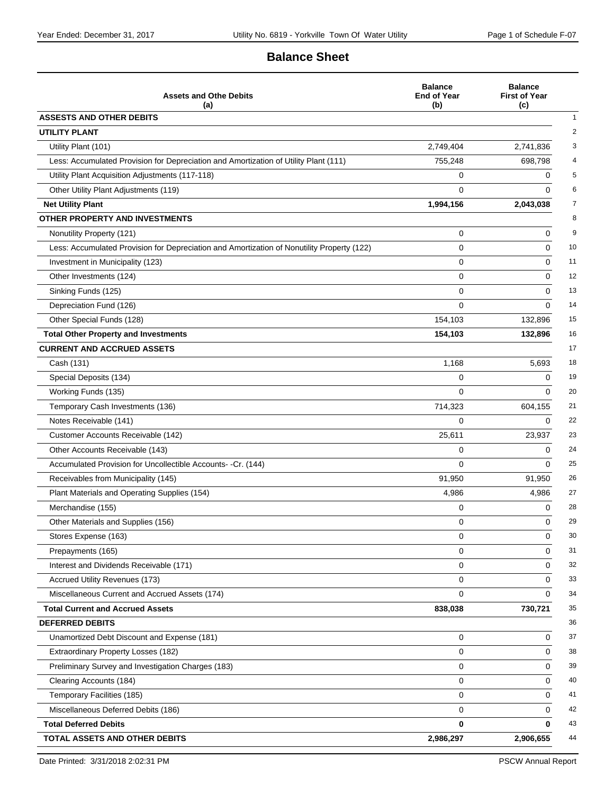# **Balance Sheet**

| <b>Assets and Othe Debits</b><br>(a)                                                       | <b>Balance</b><br><b>End of Year</b><br>(b) | <b>Balance</b><br><b>First of Year</b><br>(c) |
|--------------------------------------------------------------------------------------------|---------------------------------------------|-----------------------------------------------|
| <b>ASSESTS AND OTHER DEBITS</b>                                                            |                                             |                                               |
| <b>UTILITY PLANT</b>                                                                       |                                             |                                               |
| Utility Plant (101)                                                                        | 2,749,404                                   | 2,741,836                                     |
| Less: Accumulated Provision for Depreciation and Amortization of Utility Plant (111)       | 755,248                                     | 698,798                                       |
| Utility Plant Acquisition Adjustments (117-118)                                            | 0                                           | 0                                             |
| Other Utility Plant Adjustments (119)                                                      | $\Omega$                                    | $\Omega$                                      |
| <b>Net Utility Plant</b>                                                                   | 1,994,156                                   | 2,043,038                                     |
| OTHER PROPERTY AND INVESTMENTS                                                             |                                             |                                               |
| Nonutility Property (121)                                                                  | 0                                           | 0                                             |
| Less: Accumulated Provision for Depreciation and Amortization of Nonutility Property (122) | 0                                           | 0                                             |
| Investment in Municipality (123)                                                           | 0                                           | 0                                             |
| Other Investments (124)                                                                    | 0                                           | 0                                             |
| Sinking Funds (125)                                                                        | 0                                           | 0                                             |
| Depreciation Fund (126)                                                                    | $\Omega$                                    | $\Omega$                                      |
| Other Special Funds (128)                                                                  | 154,103                                     | 132,896                                       |
| <b>Total Other Property and Investments</b>                                                | 154,103                                     | 132,896                                       |
| <b>CURRENT AND ACCRUED ASSETS</b>                                                          |                                             |                                               |
| Cash (131)                                                                                 | 1,168                                       | 5,693                                         |
| Special Deposits (134)                                                                     | 0                                           | $\Omega$                                      |
| Working Funds (135)                                                                        | 0                                           | $\Omega$                                      |
| Temporary Cash Investments (136)                                                           | 714,323                                     | 604,155                                       |
| Notes Receivable (141)                                                                     | $\Omega$                                    | $\Omega$                                      |
| Customer Accounts Receivable (142)                                                         | 25,611                                      | 23,937                                        |
| Other Accounts Receivable (143)                                                            | 0                                           | 0                                             |
| Accumulated Provision for Uncollectible Accounts- -Cr. (144)                               | 0                                           | $\Omega$                                      |
| Receivables from Municipality (145)                                                        | 91,950                                      | 91,950                                        |
| Plant Materials and Operating Supplies (154)                                               | 4,986                                       | 4,986                                         |
| Merchandise (155)                                                                          | 0                                           | 0                                             |
| Other Materials and Supplies (156)                                                         | 0                                           | $\Omega$                                      |
| Stores Expense (163)                                                                       | 0                                           | 0                                             |
| Prepayments (165)                                                                          | 0                                           | 0                                             |
| Interest and Dividends Receivable (171)                                                    | 0                                           | 0                                             |
| Accrued Utility Revenues (173)                                                             | 0                                           | 0                                             |
| Miscellaneous Current and Accrued Assets (174)                                             | 0                                           | $\Omega$                                      |
| <b>Total Current and Accrued Assets</b>                                                    | 838,038                                     | 730,721                                       |
| <b>DEFERRED DEBITS</b>                                                                     |                                             |                                               |
| Unamortized Debt Discount and Expense (181)                                                | 0                                           | 0                                             |
| Extraordinary Property Losses (182)                                                        | 0                                           | 0                                             |
| Preliminary Survey and Investigation Charges (183)                                         | 0                                           | 0                                             |
| Clearing Accounts (184)                                                                    | 0                                           | 0                                             |
| Temporary Facilities (185)                                                                 | 0                                           | 0                                             |
| Miscellaneous Deferred Debits (186)                                                        | 0                                           | 0                                             |
| <b>Total Deferred Debits</b>                                                               | 0                                           | 0                                             |
| TOTAL ASSETS AND OTHER DEBITS                                                              | 2,986,297                                   | 2,906,655                                     |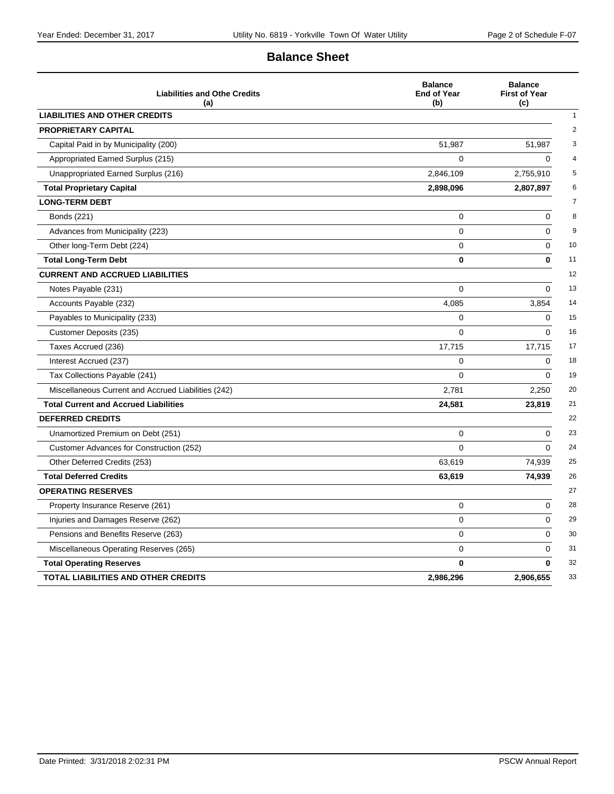# **Balance Sheet**

| <b>Liabilities and Othe Credits</b><br>(a)          | <b>Balance</b><br><b>End of Year</b><br>(b) | <b>Balance</b><br><b>First of Year</b><br>(c) |
|-----------------------------------------------------|---------------------------------------------|-----------------------------------------------|
| <b>LIABILITIES AND OTHER CREDITS</b>                |                                             |                                               |
| <b>PROPRIETARY CAPITAL</b>                          |                                             |                                               |
| Capital Paid in by Municipality (200)               | 51,987                                      | 51,987                                        |
| Appropriated Earned Surplus (215)                   | 0                                           | $\Omega$                                      |
| Unappropriated Earned Surplus (216)                 | 2,846,109                                   | 2,755,910                                     |
| <b>Total Proprietary Capital</b>                    | 2,898,096                                   | 2,807,897                                     |
| <b>LONG-TERM DEBT</b>                               |                                             |                                               |
| <b>Bonds (221)</b>                                  | 0                                           | $\mathbf 0$                                   |
| Advances from Municipality (223)                    | $\Omega$                                    | $\Omega$                                      |
| Other long-Term Debt (224)                          | 0                                           | 0                                             |
| <b>Total Long-Term Debt</b>                         | 0                                           | $\bf{0}$                                      |
| <b>CURRENT AND ACCRUED LIABILITIES</b>              |                                             |                                               |
| Notes Payable (231)                                 | $\Omega$                                    | $\Omega$                                      |
| Accounts Payable (232)                              | 4,085                                       | 3,854                                         |
| Payables to Municipality (233)                      | 0                                           | 0                                             |
| Customer Deposits (235)                             | $\Omega$                                    | $\Omega$                                      |
| Taxes Accrued (236)                                 | 17,715                                      | 17,715                                        |
| Interest Accrued (237)                              | 0                                           | $\Omega$                                      |
| Tax Collections Payable (241)                       | 0                                           | $\mathbf 0$                                   |
| Miscellaneous Current and Accrued Liabilities (242) | 2,781                                       | 2,250                                         |
| <b>Total Current and Accrued Liabilities</b>        | 24,581                                      | 23,819                                        |
| <b>DEFERRED CREDITS</b>                             |                                             |                                               |
| Unamortized Premium on Debt (251)                   | 0                                           | $\Omega$                                      |
| Customer Advances for Construction (252)            | $\Omega$                                    | 0                                             |
| Other Deferred Credits (253)                        | 63,619                                      | 74,939                                        |
| <b>Total Deferred Credits</b>                       | 63,619                                      | 74,939                                        |
| <b>OPERATING RESERVES</b>                           |                                             |                                               |
| Property Insurance Reserve (261)                    | 0                                           | $\Omega$                                      |
| Injuries and Damages Reserve (262)                  | 0                                           | 0                                             |
| Pensions and Benefits Reserve (263)                 | 0                                           | 0                                             |
| Miscellaneous Operating Reserves (265)              | 0                                           | $\Omega$                                      |
| <b>Total Operating Reserves</b>                     | $\mathbf{0}$                                | 0                                             |
| TOTAL LIABILITIES AND OTHER CREDITS                 | 2,986,296                                   | 2,906,655                                     |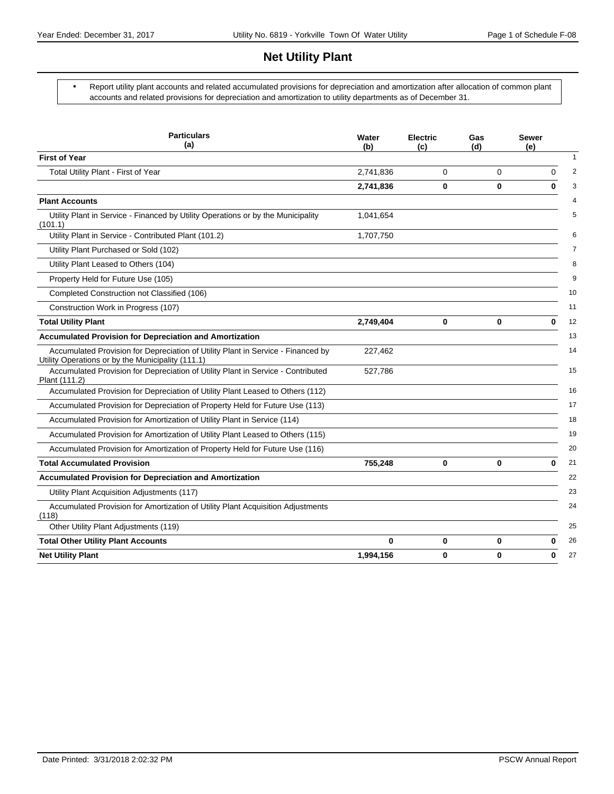# **Net Utility Plant**

 Report utility plant accounts and related accumulated provisions for depreciation and amortization after allocation of common plant accounts and related provisions for depreciation and amortization to utility departments as of December 31.

| <b>Particulars</b><br>(a)                                                                                                             | Water<br>(b) | <b>Electric</b><br>(c) | Gas<br>(d) | <b>Sewer</b><br>(e) |
|---------------------------------------------------------------------------------------------------------------------------------------|--------------|------------------------|------------|---------------------|
| <b>First of Year</b>                                                                                                                  |              |                        |            |                     |
| Total Utility Plant - First of Year                                                                                                   | 2,741,836    | 0                      | 0          | $\Omega$            |
|                                                                                                                                       | 2,741,836    | 0                      | 0          | $\bf{0}$            |
| <b>Plant Accounts</b>                                                                                                                 |              |                        |            |                     |
| Utility Plant in Service - Financed by Utility Operations or by the Municipality<br>(101.1)                                           | 1,041,654    |                        |            |                     |
| Utility Plant in Service - Contributed Plant (101.2)                                                                                  | 1,707,750    |                        |            |                     |
| Utility Plant Purchased or Sold (102)                                                                                                 |              |                        |            |                     |
| Utility Plant Leased to Others (104)                                                                                                  |              |                        |            |                     |
| Property Held for Future Use (105)                                                                                                    |              |                        |            |                     |
| Completed Construction not Classified (106)                                                                                           |              |                        |            |                     |
| Construction Work in Progress (107)                                                                                                   |              |                        |            |                     |
| <b>Total Utility Plant</b>                                                                                                            | 2,749,404    | 0                      | 0          | 0                   |
| <b>Accumulated Provision for Depreciation and Amortization</b>                                                                        |              |                        |            |                     |
| Accumulated Provision for Depreciation of Utility Plant in Service - Financed by<br>Utility Operations or by the Municipality (111.1) | 227,462      |                        |            |                     |
| Accumulated Provision for Depreciation of Utility Plant in Service - Contributed<br>Plant (111.2)                                     | 527,786      |                        |            |                     |
| Accumulated Provision for Depreciation of Utility Plant Leased to Others (112)                                                        |              |                        |            |                     |
| Accumulated Provision for Depreciation of Property Held for Future Use (113)                                                          |              |                        |            |                     |
| Accumulated Provision for Amortization of Utility Plant in Service (114)                                                              |              |                        |            |                     |
| Accumulated Provision for Amortization of Utility Plant Leased to Others (115)                                                        |              |                        |            |                     |
| Accumulated Provision for Amortization of Property Held for Future Use (116)                                                          |              |                        |            |                     |
| <b>Total Accumulated Provision</b>                                                                                                    | 755,248      | 0                      | 0          | $\bf{0}$            |
| <b>Accumulated Provision for Depreciation and Amortization</b>                                                                        |              |                        |            |                     |
| Utility Plant Acquisition Adjustments (117)                                                                                           |              |                        |            |                     |
| Accumulated Provision for Amortization of Utility Plant Acquisition Adjustments<br>(118)                                              |              |                        |            |                     |
| Other Utility Plant Adjustments (119)                                                                                                 |              |                        |            |                     |
| <b>Total Other Utility Plant Accounts</b>                                                                                             | 0            | 0                      | 0          | 0                   |
| <b>Net Utility Plant</b>                                                                                                              | 1,994,156    | 0                      | 0          | 0                   |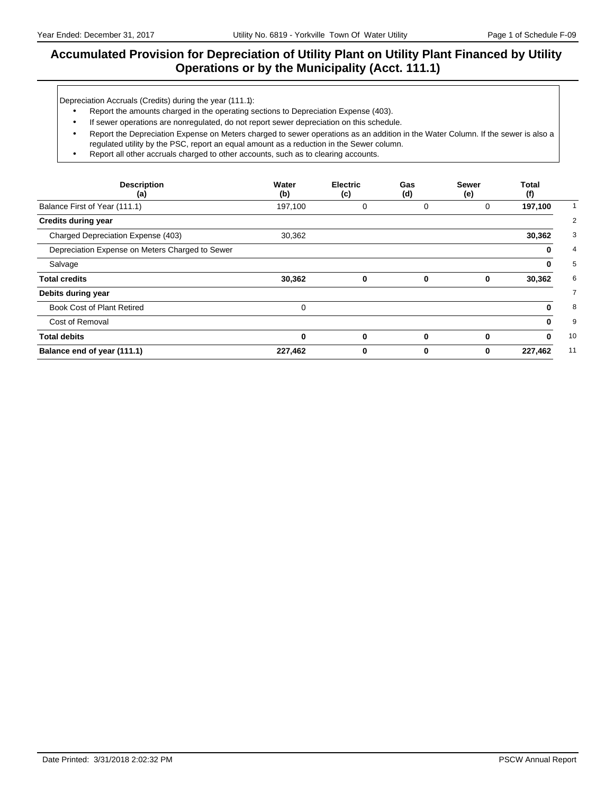### **Accumulated Provision for Depreciation of Utility Plant on Utility Plant Financed by Utility Operations or by the Municipality (Acct. 111.1)**

Depreciation Accruals (Credits) during the year (111.1):

- Report the amounts charged in the operating sections to Depreciation Expense (403).
- If sewer operations are nonregulated, do not report sewer depreciation on this schedule.
- Report the Depreciation Expense on Meters charged to sewer operations as an addition in the Water Column. If the sewer is also a regulated utility by the PSC, report an equal amount as a reduction in the Sewer column.
- Report all other accruals charged to other accounts, such as to clearing accounts.

| <b>Description</b><br>(a)                       | Water<br>(b) | <b>Electric</b><br>(c) | Gas<br>(d) | <b>Sewer</b><br>(e) | Total<br>(f) |
|-------------------------------------------------|--------------|------------------------|------------|---------------------|--------------|
| Balance First of Year (111.1)                   | 197,100      | 0                      | 0          | 0                   | 197,100      |
| <b>Credits during year</b>                      |              |                        |            |                     |              |
| Charged Depreciation Expense (403)              | 30,362       |                        |            |                     | 30,362       |
| Depreciation Expense on Meters Charged to Sewer |              |                        |            |                     | 0            |
| Salvage                                         |              |                        |            |                     | 0            |
| <b>Total credits</b>                            | 30,362       | 0                      | 0          | 0                   | 30,362       |
| Debits during year                              |              |                        |            |                     |              |
| Book Cost of Plant Retired                      | 0            |                        |            |                     | 0            |
| Cost of Removal                                 |              |                        |            |                     | 0            |
| <b>Total debits</b>                             | 0            | 0                      | 0          | 0                   | $\mathbf{0}$ |
| Balance end of year (111.1)                     | 227,462      | 0                      | 0          | 0                   | 227,462      |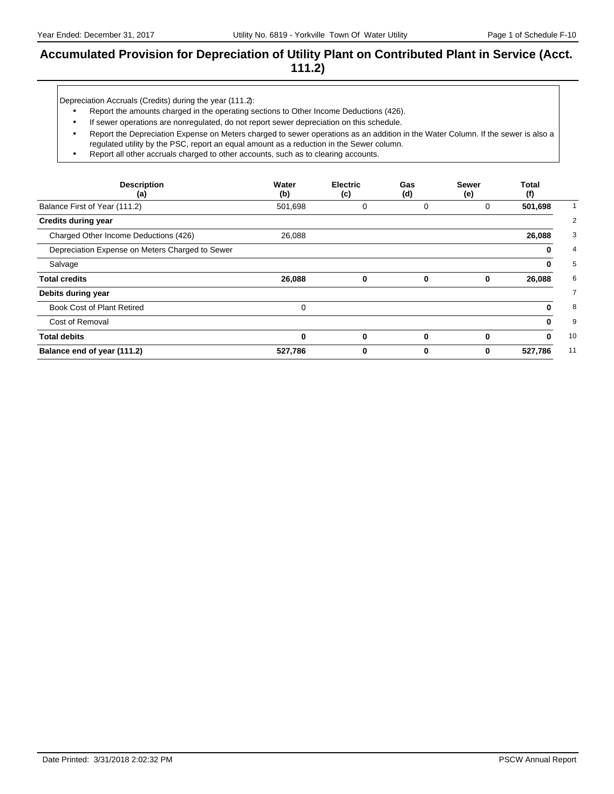### **Accumulated Provision for Depreciation of Utility Plant on Contributed Plant in Service (Acct. 111.2)**

Depreciation Accruals (Credits) during the year (111.2):

- Report the amounts charged in the operating sections to Other Income Deductions (426).
- If sewer operations are nonregulated, do not report sewer depreciation on this schedule.
- Report the Depreciation Expense on Meters charged to sewer operations as an addition in the Water Column. If the sewer is also a regulated utility by the PSC, report an equal amount as a reduction in the Sewer column.
- Report all other accruals charged to other accounts, such as to clearing accounts.

| <b>Description</b><br>(a)                       | Water<br>(b) | <b>Electric</b><br>(c) | Gas<br>(d) | Sewer<br>(e) | Total<br>(f) |
|-------------------------------------------------|--------------|------------------------|------------|--------------|--------------|
| Balance First of Year (111.2)                   | 501,698      | 0                      | 0          | 0            | 501,698      |
| <b>Credits during year</b>                      |              |                        |            |              |              |
| Charged Other Income Deductions (426)           | 26,088       |                        |            |              | 26,088       |
| Depreciation Expense on Meters Charged to Sewer |              |                        |            |              | 0            |
| Salvage                                         |              |                        |            |              | 0            |
| <b>Total credits</b>                            | 26,088       | 0                      | 0          | 0            | 26,088       |
| Debits during year                              |              |                        |            |              |              |
| Book Cost of Plant Retired                      | 0            |                        |            |              | 0            |
| Cost of Removal                                 |              |                        |            |              | 0            |
| <b>Total debits</b>                             | $\bf{0}$     | 0                      | 0          | 0            | 0            |
| Balance end of year (111.2)                     | 527,786      | 0                      | 0          | 0            | 527,786      |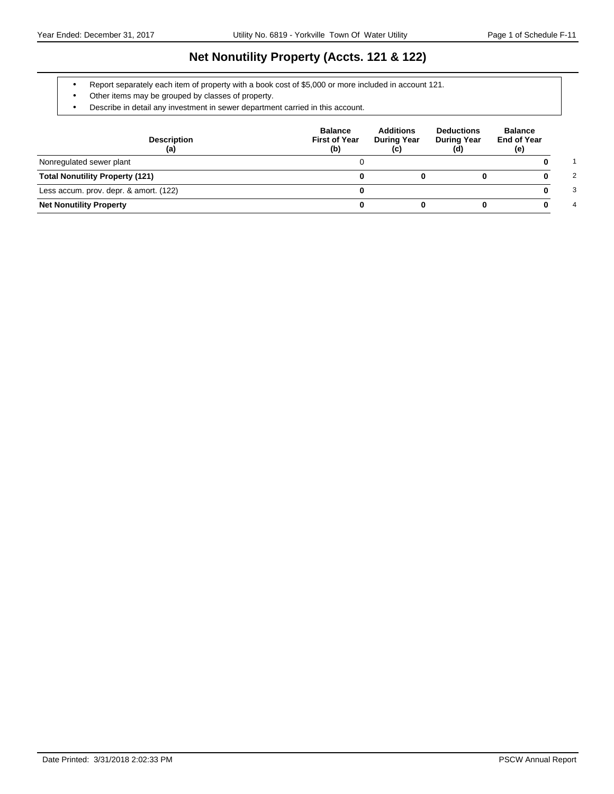# **Net Nonutility Property (Accts. 121 & 122)**

- Report separately each item of property with a book cost of \$5,000 or more included in account 121.
- Other items may be grouped by classes of property.
- Describe in detail any investment in sewer department carried in this account.

| <b>Description</b><br>(a)              | <b>Balance</b><br><b>First of Year</b><br>(b) | <b>Additions</b><br><b>During Year</b><br>(c) | <b>Deductions</b><br><b>During Year</b><br>(d) | <b>Balance</b><br><b>End of Year</b><br>(e) |
|----------------------------------------|-----------------------------------------------|-----------------------------------------------|------------------------------------------------|---------------------------------------------|
| Nonregulated sewer plant               |                                               |                                               |                                                |                                             |
| <b>Total Nonutility Property (121)</b> |                                               |                                               |                                                | 2                                           |
| Less accum. prov. depr. & amort. (122) |                                               |                                               |                                                | 3                                           |
| <b>Net Nonutility Property</b>         |                                               |                                               |                                                | 4                                           |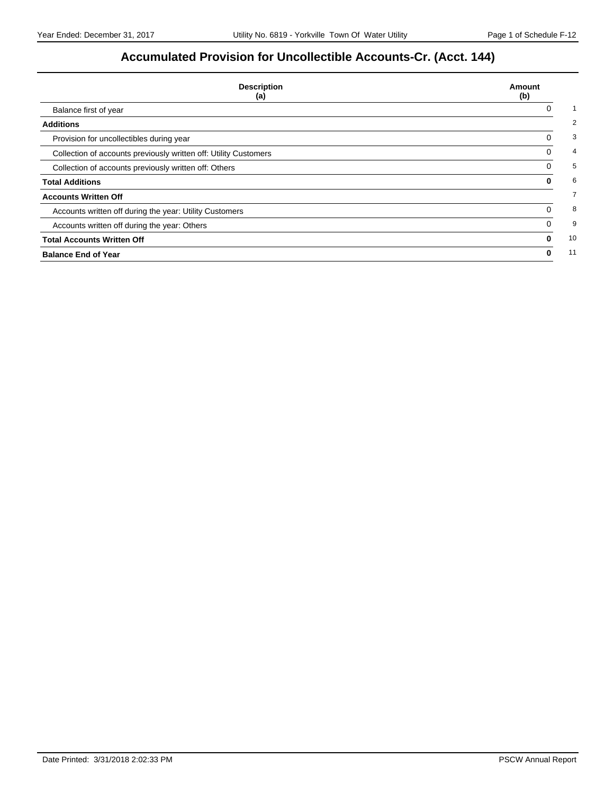# **Accumulated Provision for Uncollectible Accounts-Cr. (Acct. 144)**

| <b>Description</b><br>(a)                                        | Amount<br>(b) |
|------------------------------------------------------------------|---------------|
| Balance first of year                                            | 0             |
| <b>Additions</b>                                                 |               |
| Provision for uncollectibles during year                         | 0             |
| Collection of accounts previously written off: Utility Customers | 0             |
| Collection of accounts previously written off: Others            | 0             |
| <b>Total Additions</b>                                           | 0             |
| <b>Accounts Written Off</b>                                      |               |
| Accounts written off during the year: Utility Customers          | 0             |
| Accounts written off during the year: Others                     | 0             |
| <b>Total Accounts Written Off</b>                                | 0             |
| <b>Balance End of Year</b>                                       | 0             |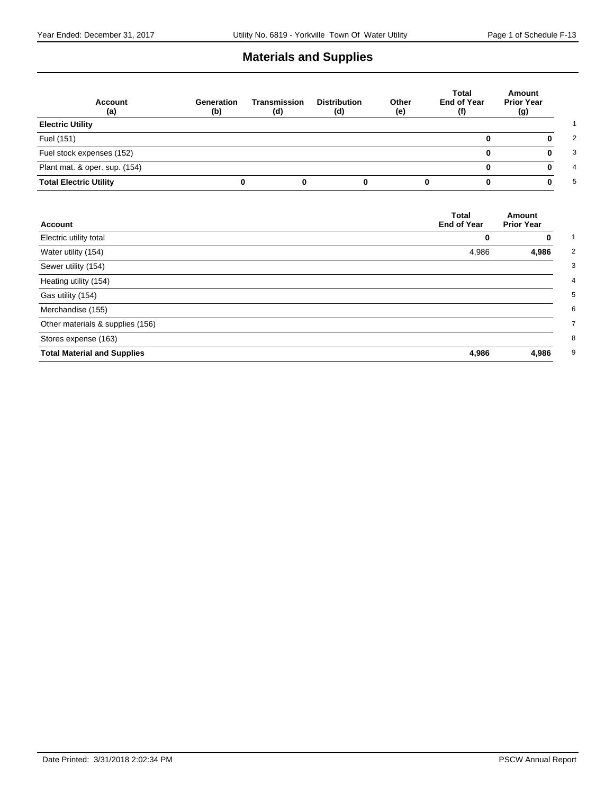# **Materials and Supplies**

| <b>Account</b><br>(a)         | Generation<br>(b) | Transmission<br>(d) | <b>Distribution</b><br>(d) | Other<br>(e) | Total<br>End of Year<br>(f) | Amount<br><b>Prior Year</b><br>(g) |
|-------------------------------|-------------------|---------------------|----------------------------|--------------|-----------------------------|------------------------------------|
| <b>Electric Utility</b>       |                   |                     |                            |              |                             |                                    |
| Fuel (151)                    |                   |                     |                            |              |                             |                                    |
| Fuel stock expenses (152)     |                   |                     |                            |              |                             |                                    |
| Plant mat. & oper. sup. (154) |                   |                     |                            |              |                             |                                    |
| <b>Total Electric Utility</b> |                   |                     |                            |              |                             | ŋ                                  |

| Account                            | <b>Total</b><br><b>End of Year</b> | Amount<br><b>Prior Year</b> |
|------------------------------------|------------------------------------|-----------------------------|
| Electric utility total             | 0                                  | 0                           |
| Water utility (154)                | 4,986                              | 4,986                       |
| Sewer utility (154)                |                                    |                             |
| Heating utility (154)              |                                    |                             |
| Gas utility (154)                  |                                    |                             |
| Merchandise (155)                  |                                    |                             |
| Other materials & supplies (156)   |                                    |                             |
| Stores expense (163)               |                                    |                             |
| <b>Total Material and Supplies</b> | 4,986                              | 4,986                       |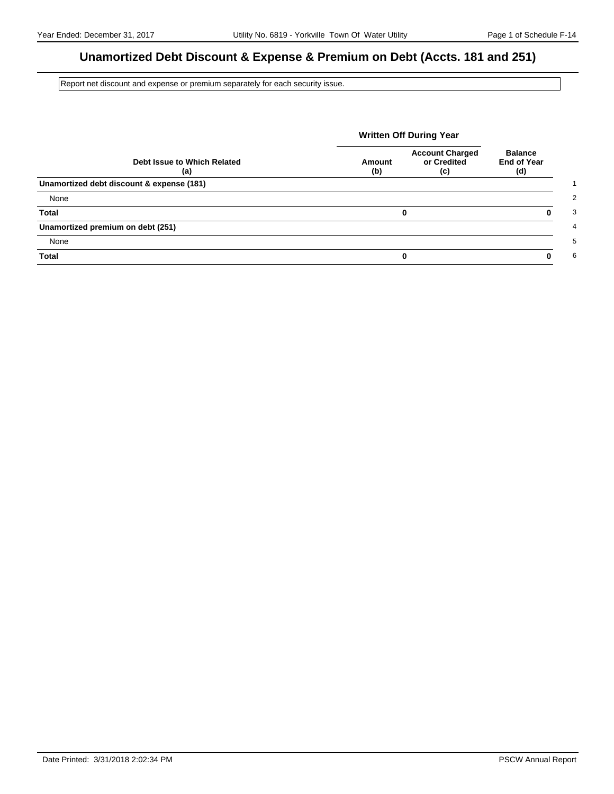# **Unamortized Debt Discount & Expense & Premium on Debt (Accts. 181 and 251)**

Report net discount and expense or premium separately for each security issue.

|                                           | <b>Written Off During Year</b> |                                              |                                             |
|-------------------------------------------|--------------------------------|----------------------------------------------|---------------------------------------------|
| Debt Issue to Which Related<br>(a)        | Amount<br>(b)                  | <b>Account Charged</b><br>or Credited<br>(c) | <b>Balance</b><br><b>End of Year</b><br>(d) |
| Unamortized debt discount & expense (181) |                                |                                              |                                             |
| None                                      |                                |                                              |                                             |
| <b>Total</b>                              |                                | 0                                            |                                             |
| Unamortized premium on debt (251)         |                                |                                              |                                             |
| None                                      |                                |                                              |                                             |
| <b>Total</b>                              |                                | 0                                            |                                             |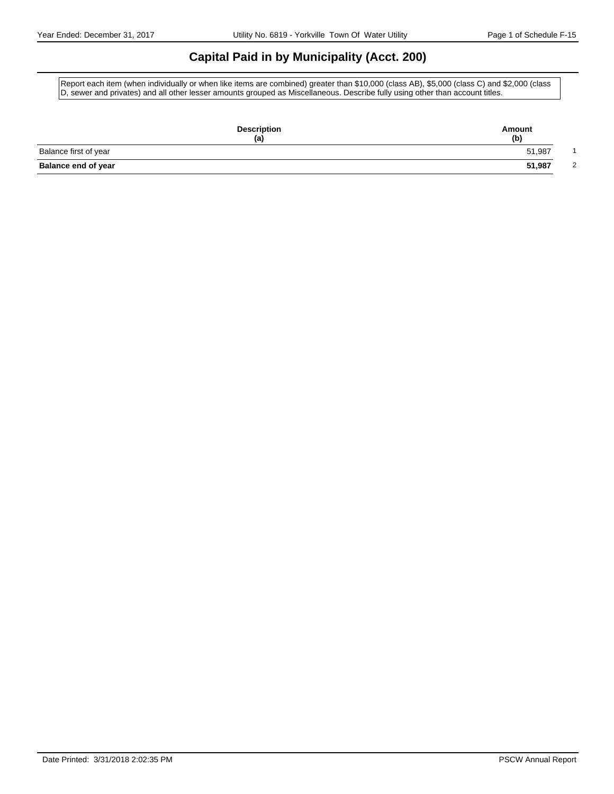## **Capital Paid in by Municipality (Acct. 200)**

Report each item (when individually or when like items are combined) greater than \$10,000 (class AB), \$5,000 (class C) and \$2,000 (class D, sewer and privates) and all other lesser amounts grouped as Miscellaneous. Describe fully using other than account titles.

| <b>Description</b><br>(a)  | Amount<br>(b) |
|----------------------------|---------------|
| Balance first of year      | 51,987        |
| <b>Balance end of year</b> | 51,987<br>2   |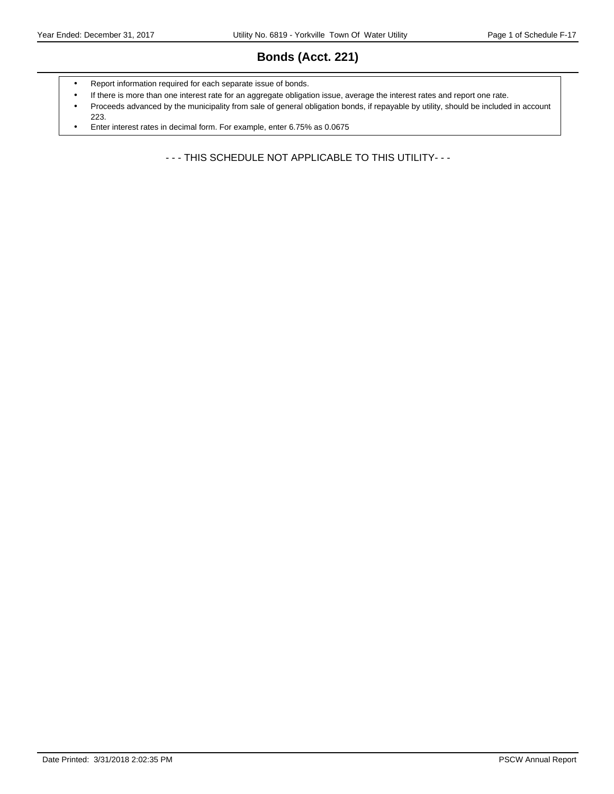# **Bonds (Acct. 221)**

- Report information required for each separate issue of bonds.
- If there is more than one interest rate for an aggregate obligation issue, average the interest rates and report one rate.
- Proceeds advanced by the municipality from sale of general obligation bonds, if repayable by utility, should be included in account 223.
- Enter interest rates in decimal form. For example, enter 6.75% as 0.0675

- - - THIS SCHEDULE NOT APPLICABLE TO THIS UTILITY- - -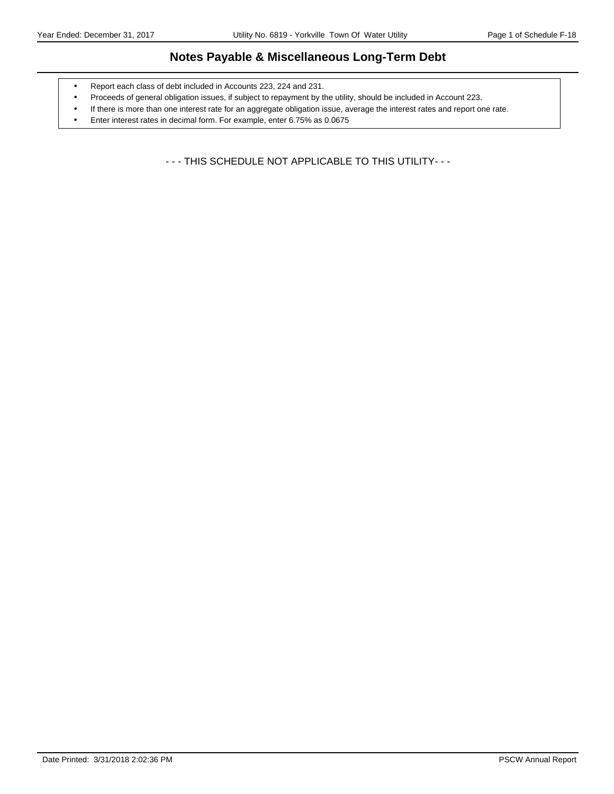### **Notes Payable & Miscellaneous Long-Term Debt**

- Report each class of debt included in Accounts 223, 224 and 231.
- Proceeds of general obligation issues, if subject to repayment by the utility, should be included in Account 223.
- If there is more than one interest rate for an aggregate obligation issue, average the interest rates and report one rate.
- Enter interest rates in decimal form. For example, enter 6.75% as 0.0675

- - - THIS SCHEDULE NOT APPLICABLE TO THIS UTILITY- - -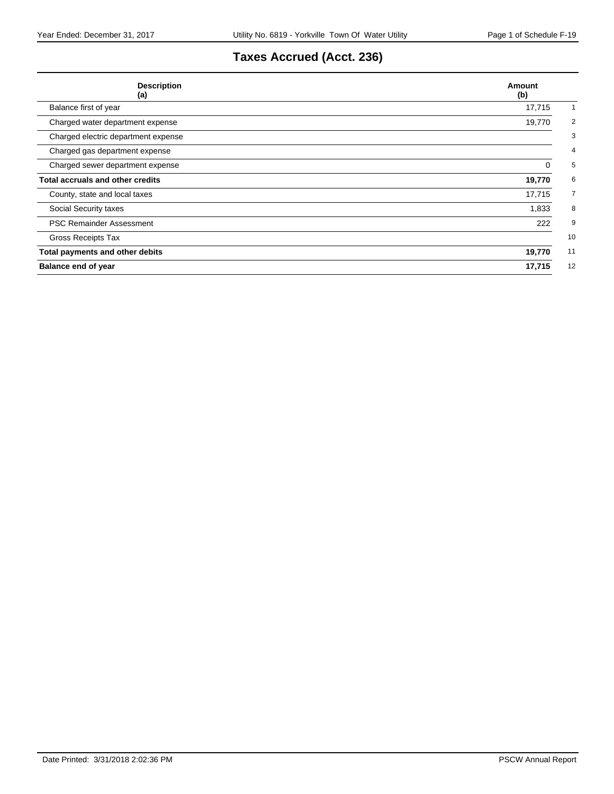# **Taxes Accrued (Acct. 236)**

| <b>Description</b><br>(a)               | Amount<br>(b)            |
|-----------------------------------------|--------------------------|
| Balance first of year                   | 17,715                   |
| Charged water department expense        | $\overline{2}$<br>19,770 |
| Charged electric department expense     | 3                        |
| Charged gas department expense          | 4                        |
| Charged sewer department expense        | 5<br>0                   |
| <b>Total accruals and other credits</b> | 19,770<br>6              |
| County, state and local taxes           | 17,715<br>7              |
| Social Security taxes                   | 8<br>1,833               |
| <b>PSC Remainder Assessment</b>         | 222<br>9                 |
| Gross Receipts Tax                      | 10                       |
| Total payments and other debits         | 19,770<br>11             |
| <b>Balance end of year</b>              | 12<br>17,715             |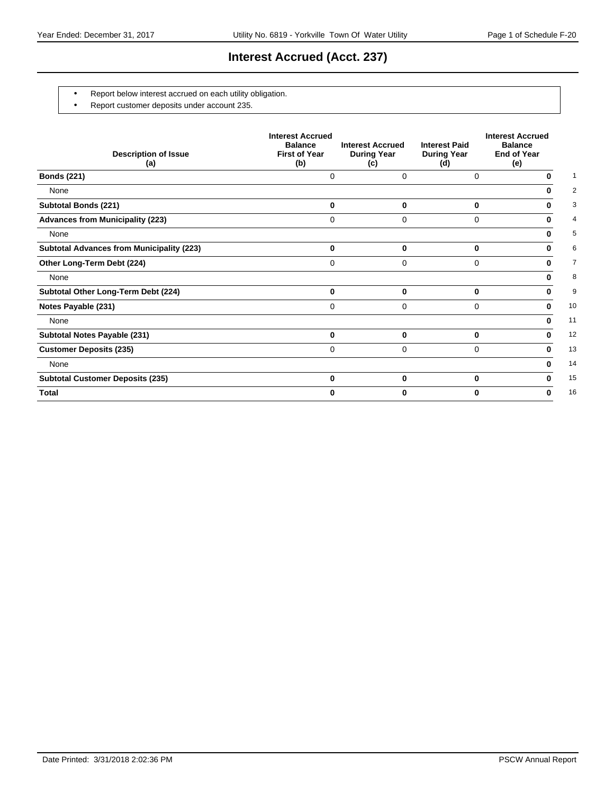# **Interest Accrued (Acct. 237)**

- Report below interest accrued on each utility obligation.
- Report customer deposits under account 235.

| <b>Description of Issue</b><br>(a)               | <b>Interest Accrued</b><br><b>Balance</b><br><b>First of Year</b><br>(b) | <b>Interest Accrued</b><br><b>During Year</b><br>(c) | <b>Interest Paid</b><br><b>During Year</b><br>(d) | <b>Interest Accrued</b><br><b>Balance</b><br><b>End of Year</b><br>(e) |
|--------------------------------------------------|--------------------------------------------------------------------------|------------------------------------------------------|---------------------------------------------------|------------------------------------------------------------------------|
| <b>Bonds (221)</b>                               | 0                                                                        | 0                                                    | 0                                                 | 0                                                                      |
| None                                             |                                                                          |                                                      |                                                   | 0                                                                      |
| <b>Subtotal Bonds (221)</b>                      | 0                                                                        | 0                                                    | 0                                                 | 0                                                                      |
| <b>Advances from Municipality (223)</b>          | 0                                                                        | 0                                                    | 0                                                 | 0                                                                      |
| None                                             |                                                                          |                                                      |                                                   | 0                                                                      |
| <b>Subtotal Advances from Municipality (223)</b> | $\bf{0}$                                                                 | 0                                                    | $\bf{0}$                                          | 0                                                                      |
| Other Long-Term Debt (224)                       | 0                                                                        | 0                                                    | $\Omega$                                          | 0                                                                      |
| None                                             |                                                                          |                                                      |                                                   | 0                                                                      |
| Subtotal Other Long-Term Debt (224)              | $\bf{0}$                                                                 | 0                                                    | 0                                                 | 0                                                                      |
| Notes Payable (231)                              | 0                                                                        | 0                                                    | $\Omega$                                          | 0                                                                      |
| None                                             |                                                                          |                                                      |                                                   | 0                                                                      |
| Subtotal Notes Payable (231)                     | $\bf{0}$                                                                 | 0                                                    | 0                                                 | 0                                                                      |
| <b>Customer Deposits (235)</b>                   | $\Omega$                                                                 | 0                                                    | $\Omega$                                          | 0                                                                      |
| None                                             |                                                                          |                                                      |                                                   | 0                                                                      |
| <b>Subtotal Customer Deposits (235)</b>          | $\bf{0}$                                                                 | $\bf{0}$                                             | 0                                                 | 0                                                                      |
| <b>Total</b>                                     | U                                                                        | 0                                                    | 0                                                 | 0                                                                      |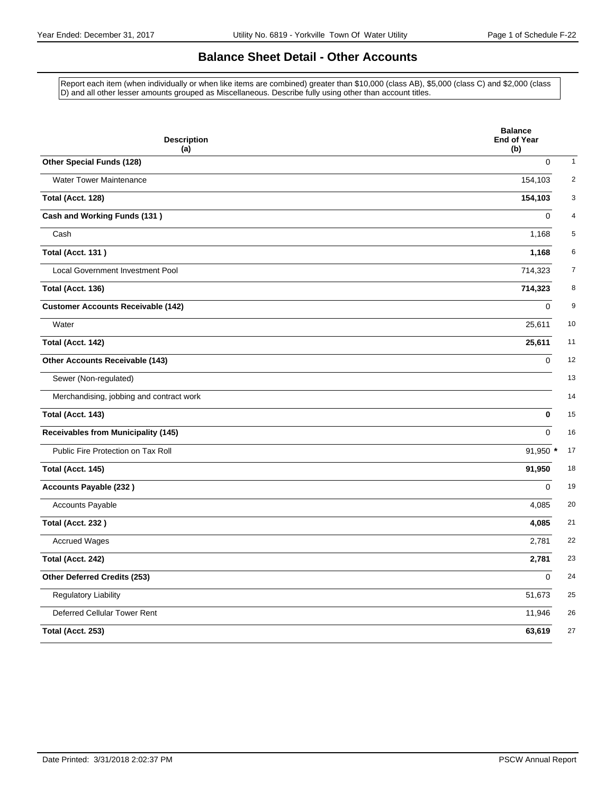## **Balance Sheet Detail - Other Accounts**

Report each item (when individually or when like items are combined) greater than \$10,000 (class AB), \$5,000 (class C) and \$2,000 (class D) and all other lesser amounts grouped as Miscellaneous. Describe fully using other than account titles.

| <b>Description</b><br>(a)                  | <b>Balance</b><br><b>End of Year</b><br>(b) |
|--------------------------------------------|---------------------------------------------|
| Other Special Funds (128)                  | $\mathbf 0$                                 |
| <b>Water Tower Maintenance</b>             | 154,103                                     |
| Total (Acct. 128)                          | 154,103                                     |
| Cash and Working Funds (131)               | 0                                           |
| Cash                                       | 1,168                                       |
| <b>Total (Acct. 131)</b>                   | 1,168                                       |
| Local Government Investment Pool           | 714,323                                     |
| Total (Acct. 136)                          | 714,323                                     |
| <b>Customer Accounts Receivable (142)</b>  | $\mathbf 0$                                 |
| Water                                      | 25,611                                      |
| Total (Acct. 142)                          | 25,611                                      |
| Other Accounts Receivable (143)            | $\mathbf 0$                                 |
| Sewer (Non-regulated)                      |                                             |
| Merchandising, jobbing and contract work   |                                             |
| Total (Acct. 143)                          | $\mathbf{0}$                                |
| <b>Receivables from Municipality (145)</b> | $\Omega$                                    |
| Public Fire Protection on Tax Roll         | 91,950 *                                    |
| Total (Acct. 145)                          | 91,950                                      |
| <b>Accounts Payable (232)</b>              | $\Omega$                                    |
| Accounts Payable                           | 4,085                                       |
| Total (Acct. 232)                          | 4,085                                       |
| <b>Accrued Wages</b>                       | 2,781                                       |
| Total (Acct. 242)                          | 2,781                                       |
| Other Deferred Credits (253)               | $\Omega$                                    |
| <b>Regulatory Liability</b>                | 51,673                                      |
| Deferred Cellular Tower Rent               | 11,946                                      |
| Total (Acct. 253)                          | 63,619                                      |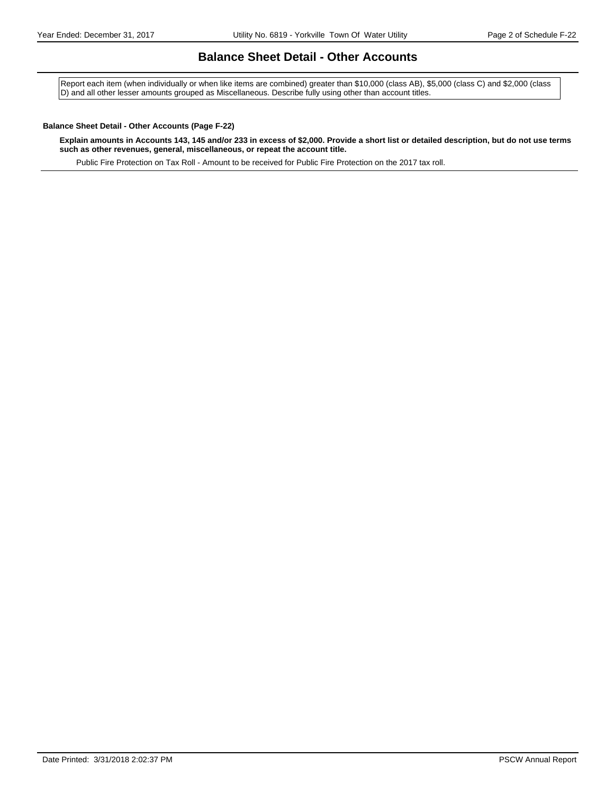### **Balance Sheet Detail - Other Accounts**

Report each item (when individually or when like items are combined) greater than \$10,000 (class AB), \$5,000 (class C) and \$2,000 (class D) and all other lesser amounts grouped as Miscellaneous. Describe fully using other than account titles.

#### **Balance Sheet Detail - Other Accounts (Page F-22)**

**Explain amounts in Accounts 143, 145 and/or 233 in excess of \$2,000. Provide a short list or detailed description, but do not use terms such as other revenues, general, miscellaneous, or repeat the account title.**

Public Fire Protection on Tax Roll - Amount to be received for Public Fire Protection on the 2017 tax roll.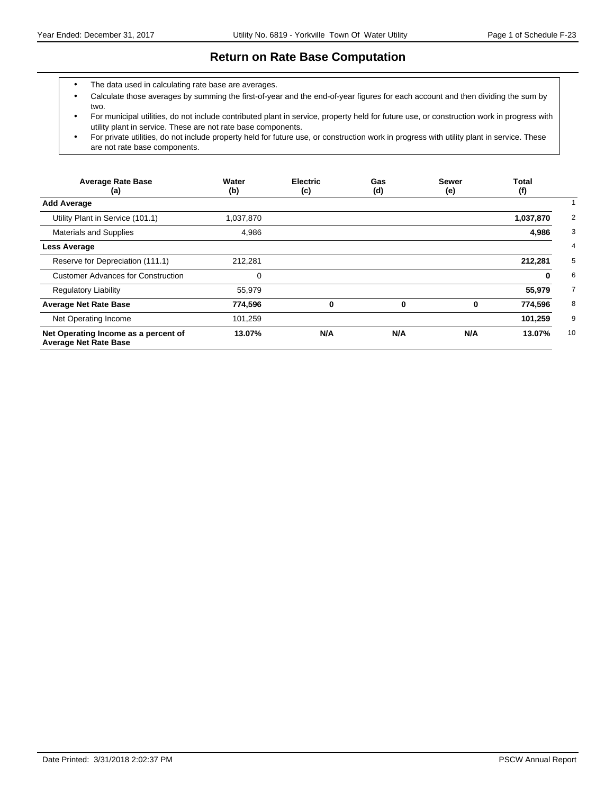### **Return on Rate Base Computation**

- The data used in calculating rate base are averages.
- Calculate those averages by summing the first-of-year and the end-of-year figures for each account and then dividing the sum by two.
- For municipal utilities, do not include contributed plant in service, property held for future use, or construction work in progress with utility plant in service. These are not rate base components.
- For private utilities, do not include property held for future use, or construction work in progress with utility plant in service. These are not rate base components.

| <b>Average Rate Base</b><br>(a)                                      | Water<br>(b) | <b>Electric</b><br>(c) | Gas<br>(d) | <b>Sewer</b><br>(e) | <b>Total</b><br>(f) |
|----------------------------------------------------------------------|--------------|------------------------|------------|---------------------|---------------------|
| <b>Add Average</b>                                                   |              |                        |            |                     |                     |
| Utility Plant in Service (101.1)                                     | 1,037,870    |                        |            |                     | 1,037,870           |
| <b>Materials and Supplies</b>                                        | 4,986        |                        |            |                     | 4,986               |
| Less Average                                                         |              |                        |            |                     |                     |
| Reserve for Depreciation (111.1)                                     | 212,281      |                        |            |                     | 212,281             |
| <b>Customer Advances for Construction</b>                            | 0            |                        |            |                     | 0                   |
| <b>Regulatory Liability</b>                                          | 55,979       |                        |            |                     | 55,979              |
| <b>Average Net Rate Base</b>                                         | 774,596      | 0                      | 0          | 0                   | 774,596             |
| Net Operating Income                                                 | 101,259      |                        |            |                     | 101,259             |
| Net Operating Income as a percent of<br><b>Average Net Rate Base</b> | 13.07%       | N/A                    | N/A        | N/A                 | 10<br>13.07%        |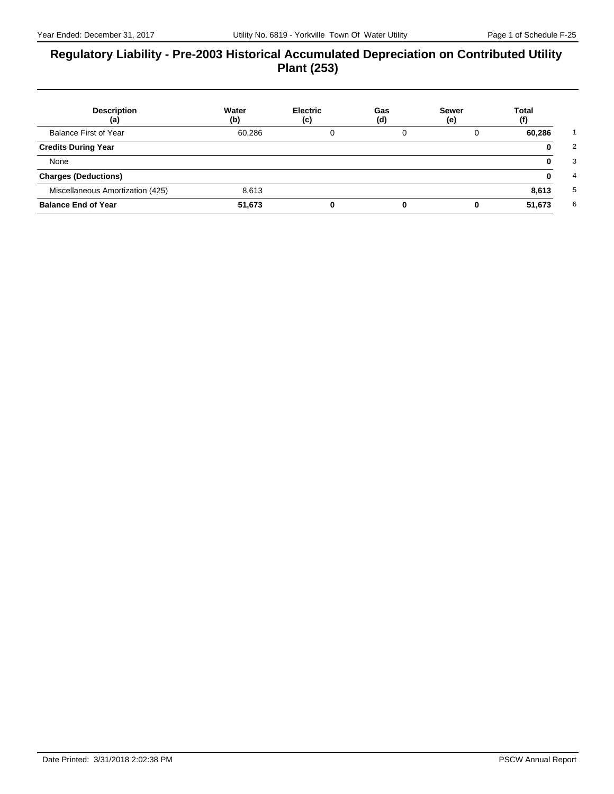### **Regulatory Liability - Pre-2003 Historical Accumulated Depreciation on Contributed Utility Plant (253)**

| <b>Description</b><br>(a)        | Water<br>(b) | <b>Electric</b><br>(c) | Gas<br>(d) | <b>Sewer</b><br>(e) | Total<br>(f) |
|----------------------------------|--------------|------------------------|------------|---------------------|--------------|
| <b>Balance First of Year</b>     | 60,286       |                        |            |                     | 60,286       |
| <b>Credits During Year</b>       |              |                        |            |                     |              |
| None                             |              |                        |            |                     |              |
| <b>Charges (Deductions)</b>      |              |                        |            |                     |              |
| Miscellaneous Amortization (425) | 8.613        |                        |            |                     | 8,613        |
| <b>Balance End of Year</b>       | 51,673       |                        |            |                     | 51,673       |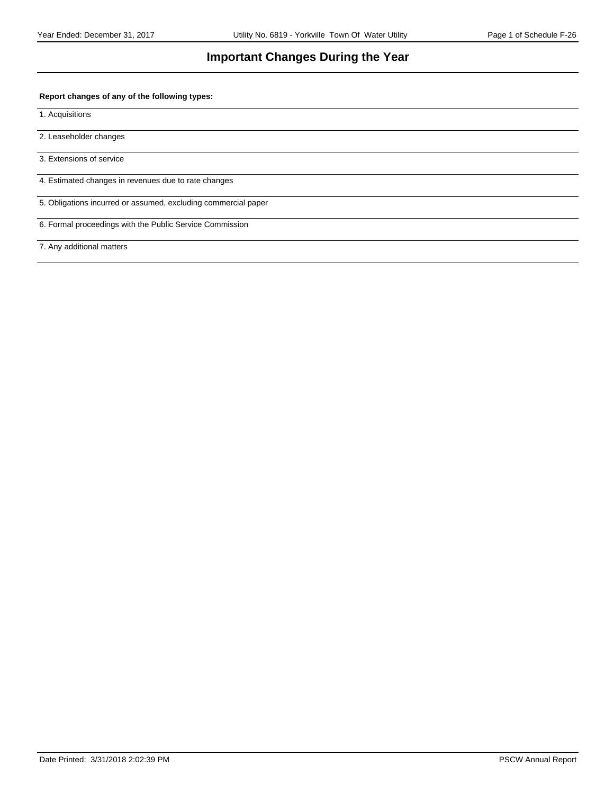### **Important Changes During the Year**

#### **Report changes of any of the following types:**

1. Acquisitions

2. Leaseholder changes

3. Extensions of service

4. Estimated changes in revenues due to rate changes

5. Obligations incurred or assumed, excluding commercial paper

6. Formal proceedings with the Public Service Commission

7. Any additional matters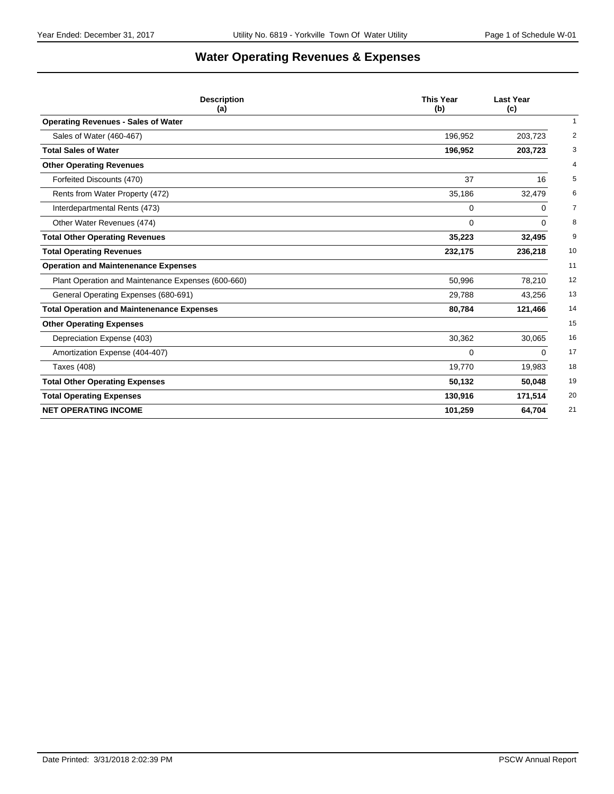# **Water Operating Revenues & Expenses**

| <b>Description</b><br>(a)                          | <b>This Year</b><br>(b) | <b>Last Year</b><br>(c) |
|----------------------------------------------------|-------------------------|-------------------------|
| <b>Operating Revenues - Sales of Water</b>         |                         | $\mathbf{1}$            |
| Sales of Water (460-467)                           | 196,952                 | 2<br>203,723            |
| <b>Total Sales of Water</b>                        | 196,952                 | 3<br>203,723            |
| <b>Other Operating Revenues</b>                    |                         | $\overline{4}$          |
| Forfeited Discounts (470)                          | 37                      | 5<br>16                 |
| Rents from Water Property (472)                    | 35,186                  | 6<br>32,479             |
| Interdepartmental Rents (473)                      | $\mathbf 0$             | 7<br>0                  |
| Other Water Revenues (474)                         | 0                       | 8<br>0                  |
| <b>Total Other Operating Revenues</b>              | 35,223                  | 9<br>32,495             |
| <b>Total Operating Revenues</b>                    | 232,175                 | 10<br>236,218           |
| <b>Operation and Maintenenance Expenses</b>        |                         | 11                      |
| Plant Operation and Maintenance Expenses (600-660) | 50,996                  | 12<br>78,210            |
| General Operating Expenses (680-691)               | 29,788                  | 13<br>43,256            |
| <b>Total Operation and Maintenenance Expenses</b>  | 80,784                  | 14<br>121,466           |
| <b>Other Operating Expenses</b>                    |                         | 15                      |
| Depreciation Expense (403)                         | 30,362                  | 16<br>30,065            |
| Amortization Expense (404-407)                     | 0                       | 17<br>0                 |
| Taxes (408)                                        | 19,770                  | 18<br>19,983            |
| <b>Total Other Operating Expenses</b>              | 50,132                  | 19<br>50,048            |
| <b>Total Operating Expenses</b>                    | 130,916                 | 171,514<br>20           |
| <b>NET OPERATING INCOME</b>                        | 101,259                 | 64,704<br>21            |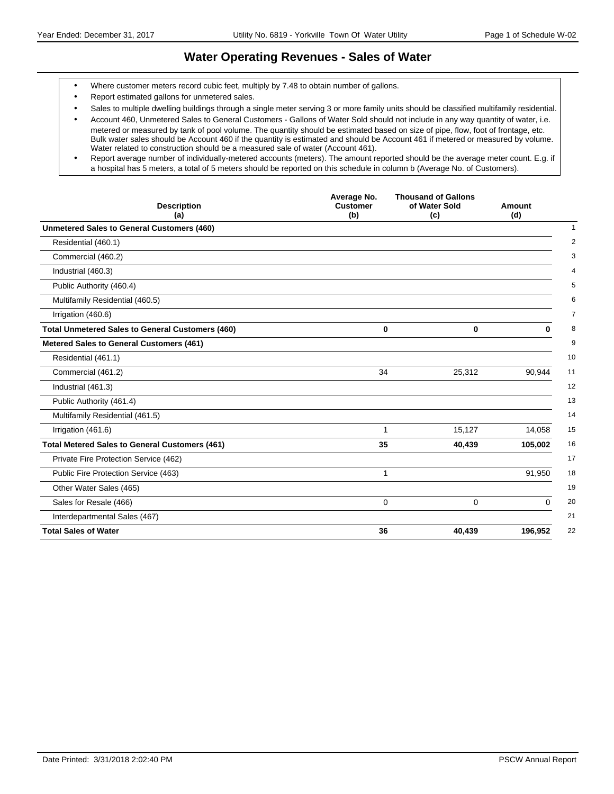### **Water Operating Revenues - Sales of Water**

- Where customer meters record cubic feet, multiply by 7.48 to obtain number of gallons.
- Report estimated gallons for unmetered sales.
- Sales to multiple dwelling buildings through a single meter serving 3 or more family units should be classified multifamily residential.

 Report average number of individually-metered accounts (meters). The amount reported should be the average meter count. E.g. if a hospital has 5 meters, a total of 5 meters should be reported on this schedule in column b (Average No. of Customers).

| <b>Description</b><br>(a)                               | Average No.<br><b>Thousand of Gallons</b><br><b>Customer</b><br>of Water Sold<br>(b)<br>(c) |             | Amount<br>(d) |
|---------------------------------------------------------|---------------------------------------------------------------------------------------------|-------------|---------------|
| <b>Unmetered Sales to General Customers (460)</b>       |                                                                                             |             |               |
| Residential (460.1)                                     |                                                                                             |             |               |
| Commercial (460.2)                                      |                                                                                             |             |               |
| Industrial (460.3)                                      |                                                                                             |             |               |
| Public Authority (460.4)                                |                                                                                             |             |               |
| Multifamily Residential (460.5)                         |                                                                                             |             |               |
| Irrigation (460.6)                                      |                                                                                             |             |               |
| <b>Total Unmetered Sales to General Customers (460)</b> | 0                                                                                           | $\mathbf 0$ | 0             |
| Metered Sales to General Customers (461)                |                                                                                             |             |               |
| Residential (461.1)                                     |                                                                                             |             |               |
| Commercial (461.2)                                      | 34                                                                                          | 25,312      | 90,944        |
| Industrial (461.3)                                      |                                                                                             |             |               |
| Public Authority (461.4)                                |                                                                                             |             |               |
| Multifamily Residential (461.5)                         |                                                                                             |             |               |
| Irrigation (461.6)                                      | 1                                                                                           | 15,127      | 14,058        |
| <b>Total Metered Sales to General Customers (461)</b>   | 35                                                                                          | 40,439      | 105,002       |
| Private Fire Protection Service (462)                   |                                                                                             |             |               |
| Public Fire Protection Service (463)                    | 1                                                                                           |             | 91,950        |
| Other Water Sales (465)                                 |                                                                                             |             |               |
| Sales for Resale (466)                                  | $\mathbf 0$                                                                                 | $\Omega$    | $\Omega$      |
| Interdepartmental Sales (467)                           |                                                                                             |             |               |
| <b>Total Sales of Water</b>                             | 36                                                                                          | 40,439      | 196,952       |

Account 460, Unmetered Sales to General Customers - Gallons of Water Sold should not include in any way quantity of water, i.e. metered or measured by tank of pool volume. The quantity should be estimated based on size of pipe, flow, foot of frontage, etc. Bulk water sales should be Account 460 if the quantity is estimated and should be Account 461 if metered or measured by volume. Water related to construction should be a measured sale of water (Account 461).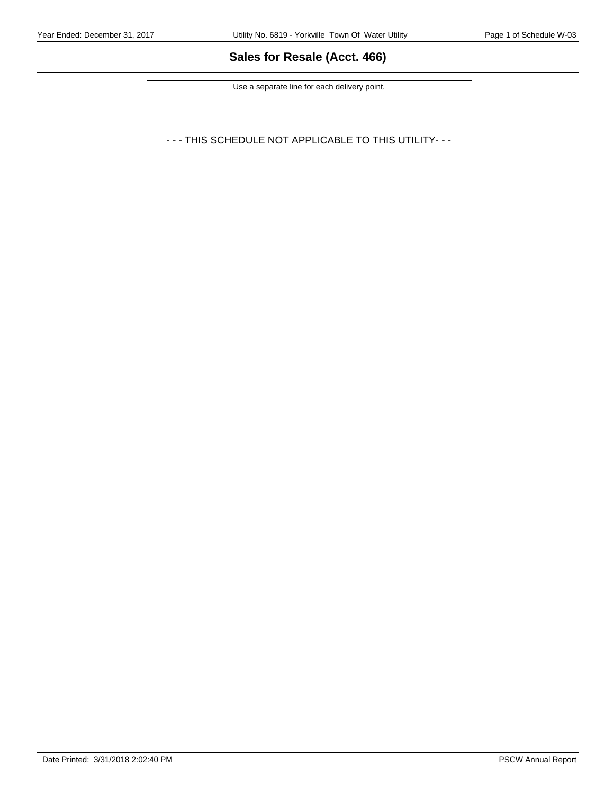# **Sales for Resale (Acct. 466)**

Use a separate line for each delivery point.

- - - THIS SCHEDULE NOT APPLICABLE TO THIS UTILITY- - -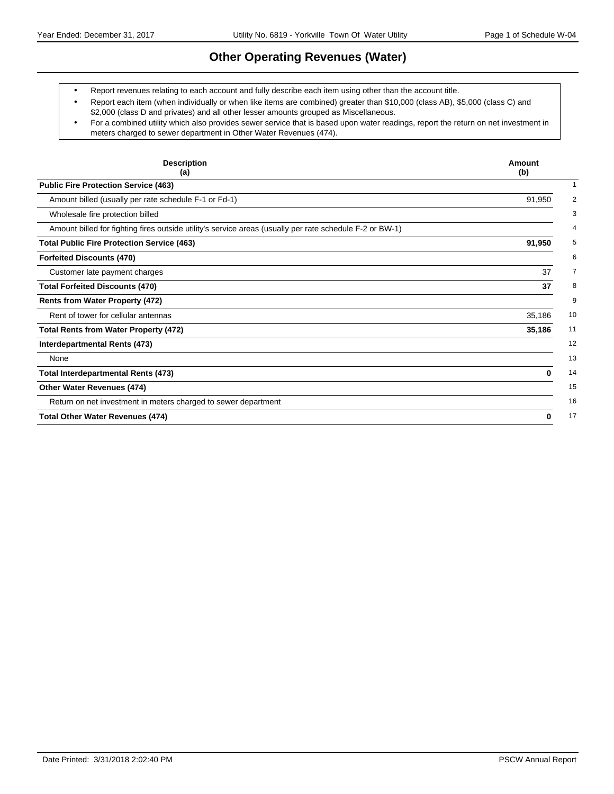### **Other Operating Revenues (Water)**

Report revenues relating to each account and fully describe each item using other than the account title.

- Report each item (when individually or when like items are combined) greater than \$10,000 (class AB), \$5,000 (class C) and \$2,000 (class D and privates) and all other lesser amounts grouped as Miscellaneous.
- For a combined utility which also provides sewer service that is based upon water readings, report the return on net investment in meters charged to sewer department in Other Water Revenues (474).

| <b>Description</b><br>(a)                                                                                | Amount<br>(b) |
|----------------------------------------------------------------------------------------------------------|---------------|
| <b>Public Fire Protection Service (463)</b>                                                              |               |
| Amount billed (usually per rate schedule F-1 or Fd-1)                                                    | 91,950        |
| Wholesale fire protection billed                                                                         |               |
| Amount billed for fighting fires outside utility's service areas (usually per rate schedule F-2 or BW-1) |               |
| <b>Total Public Fire Protection Service (463)</b>                                                        | 91,950        |
| <b>Forfeited Discounts (470)</b>                                                                         |               |
| Customer late payment charges                                                                            | 37            |
| <b>Total Forfeited Discounts (470)</b>                                                                   | 37            |
| <b>Rents from Water Property (472)</b>                                                                   |               |
| Rent of tower for cellular antennas                                                                      | 35,186        |
| <b>Total Rents from Water Property (472)</b>                                                             | 35,186        |
| Interdepartmental Rents (473)                                                                            |               |
| None                                                                                                     |               |
| <b>Total Interdepartmental Rents (473)</b>                                                               | 0             |
| Other Water Revenues (474)                                                                               |               |
| Return on net investment in meters charged to sewer department                                           |               |
| <b>Total Other Water Revenues (474)</b>                                                                  | 0             |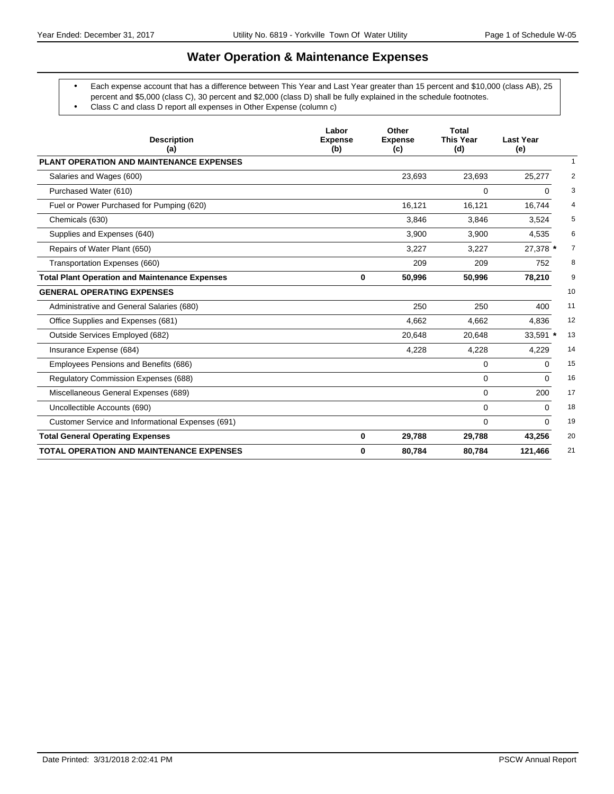## **Water Operation & Maintenance Expenses**

- Each expense account that has a difference between This Year and Last Year greater than 15 percent and \$10,000 (class AB), 25 percent and \$5,000 (class C), 30 percent and \$2,000 (class D) shall be fully explained in the schedule footnotes.
	- Class C and class D report all expenses in Other Expense (column c)

| <b>Description</b><br>(a)                             | Labor<br><b>Expense</b><br>(b) | Other<br><b>Expense</b><br>(c) | <b>Total</b><br><b>This Year</b><br>(d) | <b>Last Year</b><br>(e)    |
|-------------------------------------------------------|--------------------------------|--------------------------------|-----------------------------------------|----------------------------|
| <b>PLANT OPERATION AND MAINTENANCE EXPENSES</b>       |                                |                                |                                         | 1                          |
| Salaries and Wages (600)                              |                                | 23,693                         | 23,693                                  | 25,277<br>2                |
| Purchased Water (610)                                 |                                |                                | $\Omega$                                | 3<br>0                     |
| Fuel or Power Purchased for Pumping (620)             |                                | 16.121                         | 16,121                                  | 16.744<br>4                |
| Chemicals (630)                                       |                                | 3,846                          | 3,846                                   | 5<br>3,524                 |
| Supplies and Expenses (640)                           |                                | 3,900                          | 3,900                                   | 6<br>4.535                 |
| Repairs of Water Plant (650)                          |                                | 3,227                          | 3.227                                   | $\overline{7}$<br>27,378 * |
| Transportation Expenses (660)                         |                                | 209                            | 209                                     | 8<br>752                   |
| <b>Total Plant Operation and Maintenance Expenses</b> | $\bf{0}$                       | 50,996                         | 50,996                                  | 9<br>78,210                |
| <b>GENERAL OPERATING EXPENSES</b>                     |                                |                                |                                         | 10                         |
| Administrative and General Salaries (680)             |                                | 250                            | 250                                     | 11<br>400                  |
| Office Supplies and Expenses (681)                    |                                | 4,662                          | 4,662                                   | 12<br>4,836                |
| Outside Services Employed (682)                       |                                | 20,648                         | 20,648                                  | 13<br>33,591 *             |
| Insurance Expense (684)                               |                                | 4,228                          | 4,228                                   | 14<br>4,229                |
| Employees Pensions and Benefits (686)                 |                                |                                | 0                                       | $\Omega$<br>15             |
| <b>Regulatory Commission Expenses (688)</b>           |                                |                                | 0                                       | 16<br>$\Omega$             |
| Miscellaneous General Expenses (689)                  |                                |                                | 0                                       | 17<br>200                  |
| Uncollectible Accounts (690)                          |                                |                                | 0                                       | 18<br>0                    |
| Customer Service and Informational Expenses (691)     |                                |                                | 0                                       | 19<br>$\Omega$             |
| <b>Total General Operating Expenses</b>               | $\mathbf 0$                    | 29,788                         | 29,788                                  | 43,256<br>20               |
| <b>TOTAL OPERATION AND MAINTENANCE EXPENSES</b>       | $\bf{0}$                       | 80,784                         | 80,784                                  | 21<br>121,466              |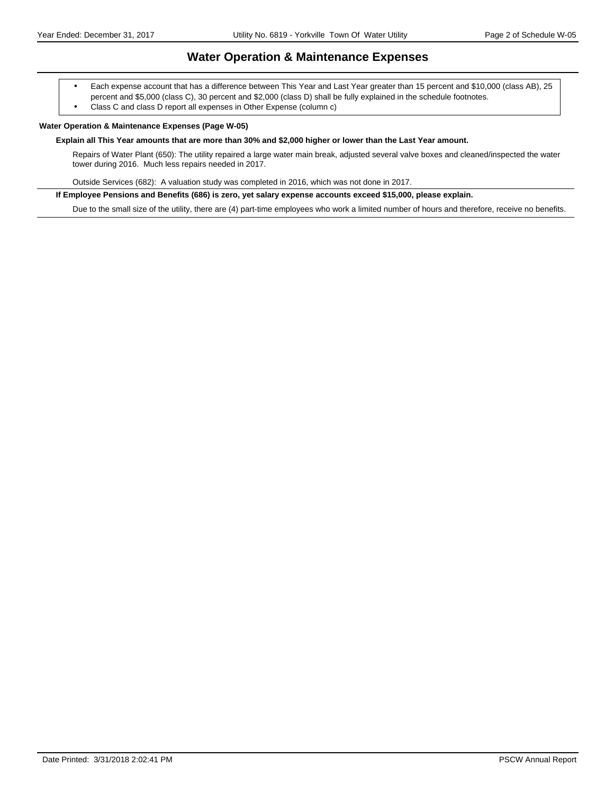### **Water Operation & Maintenance Expenses**

 Each expense account that has a difference between This Year and Last Year greater than 15 percent and \$10,000 (class AB), 25 percent and \$5,000 (class C), 30 percent and \$2,000 (class D) shall be fully explained in the schedule footnotes.

Class C and class D report all expenses in Other Expense (column c)

#### **Water Operation & Maintenance Expenses (Page W-05)**

#### **Explain all This Year amounts that are more than 30% and \$2,000 higher or lower than the Last Year amount.**

Repairs of Water Plant (650): The utility repaired a large water main break, adjusted several valve boxes and cleaned/inspected the water tower during 2016. Much less repairs needed in 2017.

Outside Services (682): A valuation study was completed in 2016, which was not done in 2017.

**If Employee Pensions and Benefits (686) is zero, yet salary expense accounts exceed \$15,000, please explain.**

Due to the small size of the utility, there are (4) part-time employees who work a limited number of hours and therefore, receive no benefits.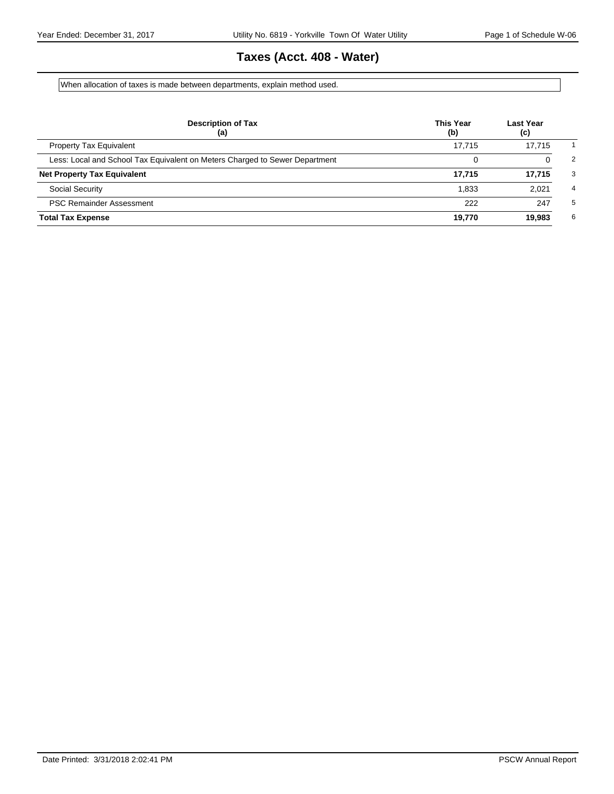# **Taxes (Acct. 408 - Water)**

When allocation of taxes is made between departments, explain method used.

| <b>Description of Tax</b><br>(a)                                            | <b>This Year</b><br>(b) | Last Year<br>(c) |   |
|-----------------------------------------------------------------------------|-------------------------|------------------|---|
| <b>Property Tax Equivalent</b>                                              | 17.715                  | 17.715           |   |
| Less: Local and School Tax Equivalent on Meters Charged to Sewer Department |                         |                  | 2 |
| <b>Net Property Tax Equivalent</b>                                          | 17.715                  | 17,715           | 3 |
| <b>Social Security</b>                                                      | 1.833                   | 2.021            | 4 |
| <b>PSC Remainder Assessment</b>                                             | 222                     | 247              | 5 |
| <b>Total Tax Expense</b>                                                    | 19,770                  | 19,983           | 6 |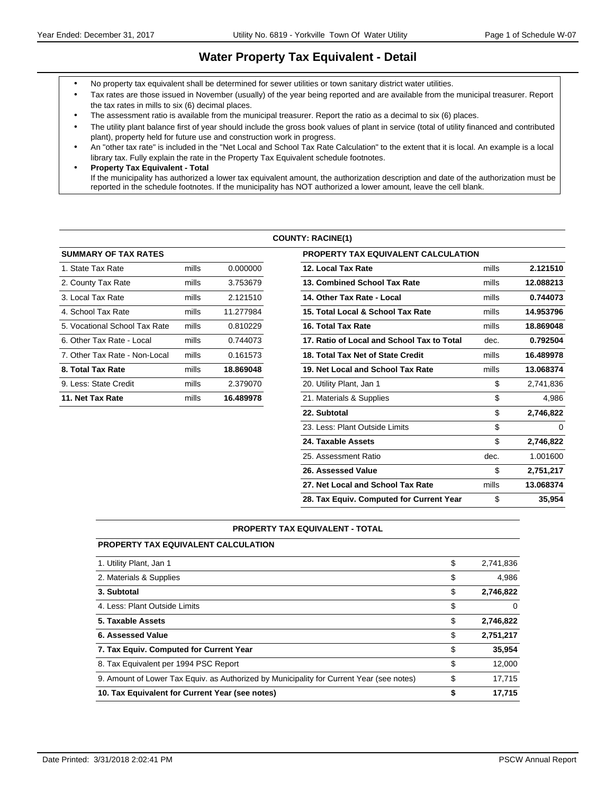### **Water Property Tax Equivalent - Detail**

- No property tax equivalent shall be determined for sewer utilities or town sanitary district water utilities.
- Tax rates are those issued in November (usually) of the year being reported and are available from the municipal treasurer. Report the tax rates in mills to six (6) decimal places.
- The assessment ratio is available from the municipal treasurer. Report the ratio as a decimal to six (6) places.
- The utility plant balance first of year should include the gross book values of plant in service (total of utility financed and contributed plant), property held for future use and construction work in progress.
- An "other tax rate" is included in the "Net Local and School Tax Rate Calculation" to the extent that it is local. An example is a local library tax. Fully explain the rate in the Property Tax Equivalent schedule footnotes.
- **Property Tax Equivalent Total** If the municipality has authorized a lower tax equivalent amount, the authorization description and date of the authorization must be reported in the schedule footnotes. If the municipality has NOT authorized a lower amount, leave the cell blank.

#### **COUNTY: RACINE(1)**

| <b>SUMMARY OF TAX RATES</b>   |       |           | PROPERTY TAX EQUIVALENT CALCULATION        |
|-------------------------------|-------|-----------|--------------------------------------------|
| 1. State Tax Rate             | mills | 0.000000  | 12. Local Tax Rate                         |
| 2. County Tax Rate            | mills | 3.753679  | 13. Combined School Tax Rate               |
| 3. Local Tax Rate             | mills | 2.121510  | 14. Other Tax Rate - Local                 |
| 4. School Tax Rate            | mills | 11.277984 | 15. Total Local & School Tax Rate          |
| 5. Vocational School Tax Rate | mills | 0.810229  | 16. Total Tax Rate                         |
| 6. Other Tax Rate - Local     | mills | 0.744073  | 17. Ratio of Local and School Tax to Total |
| 7. Other Tax Rate - Non-Local | mills | 0.161573  | 18. Total Tax Net of State Credit          |
| 8. Total Tax Rate             | mills | 18.869048 | 19. Net Local and School Tax Rate          |
| 9. Less: State Credit         | mills | 2.379070  | 20. Utility Plant, Jan 1                   |
| 11. Net Tax Rate              | mills | 16.489978 | 21. Materials & Supplies                   |
|                               |       |           |                                            |

| <b>SUMMARY OF TAX RATES</b>   |       |           | <b>PROPERTY TAX EQUIVALENT CALCULATION</b> |       |           |
|-------------------------------|-------|-----------|--------------------------------------------|-------|-----------|
| 1. State Tax Rate             | mills | 0.000000  | 12. Local Tax Rate                         | mills | 2.121510  |
| 2. County Tax Rate            | mills | 3.753679  | 13. Combined School Tax Rate               | mills | 12.088213 |
| 3. Local Tax Rate             | mills | 2.121510  | 14. Other Tax Rate - Local                 | mills | 0.744073  |
| 4. School Tax Rate            | mills | 11.277984 | 15. Total Local & School Tax Rate          | mills | 14.953796 |
| 5. Vocational School Tax Rate | mills | 0.810229  | 16. Total Tax Rate                         | mills | 18.869048 |
| 6. Other Tax Rate - Local     | mills | 0.744073  | 17. Ratio of Local and School Tax to Total | dec.  | 0.792504  |
| 7. Other Tax Rate - Non-Local | mills | 0.161573  | 18. Total Tax Net of State Credit          | mills | 16.489978 |
| 8. Total Tax Rate             | mills | 18.869048 | 19. Net Local and School Tax Rate          | mills | 13.068374 |
| 9. Less: State Credit         | mills | 2.379070  | 20. Utility Plant, Jan 1                   | \$    | 2,741,836 |
| 11. Net Tax Rate              | mills | 16.489978 | 21. Materials & Supplies                   | \$    | 4,986     |
|                               |       |           | 22. Subtotal                               | \$    | 2,746,822 |
|                               |       |           | 23. Less: Plant Outside Limits             | \$    | $\Omega$  |
|                               |       |           | 24. Taxable Assets                         | \$    | 2,746,822 |
|                               |       |           | 25. Assessment Ratio                       | dec.  | 1.001600  |
|                               |       |           | 26. Assessed Value                         | \$    | 2,751,217 |
|                               |       |           | 27. Net Local and School Tax Rate          | mills | 13.068374 |
|                               |       |           | 28. Tax Equiv. Computed for Current Year   | \$    | 35,954    |

#### **PROPERTY TAX EQUIVALENT - TOTAL**

| <b>PROPERTY TAX EQUIVALENT CALCULATION</b>                                               |                 |
|------------------------------------------------------------------------------------------|-----------------|
| 1. Utility Plant, Jan 1                                                                  | \$<br>2,741,836 |
| 2. Materials & Supplies                                                                  | \$<br>4,986     |
| 3. Subtotal                                                                              | \$<br>2,746,822 |
| 4. Less: Plant Outside Limits                                                            | \$<br>0         |
| 5. Taxable Assets                                                                        | \$<br>2,746,822 |
| 6. Assessed Value                                                                        | \$<br>2,751,217 |
| 7. Tax Equiv. Computed for Current Year                                                  | \$<br>35,954    |
| 8. Tax Equivalent per 1994 PSC Report                                                    | \$<br>12.000    |
| 9. Amount of Lower Tax Equiv. as Authorized by Municipality for Current Year (see notes) | \$<br>17,715    |
| 10. Tax Equivalent for Current Year (see notes)                                          | \$<br>17,715    |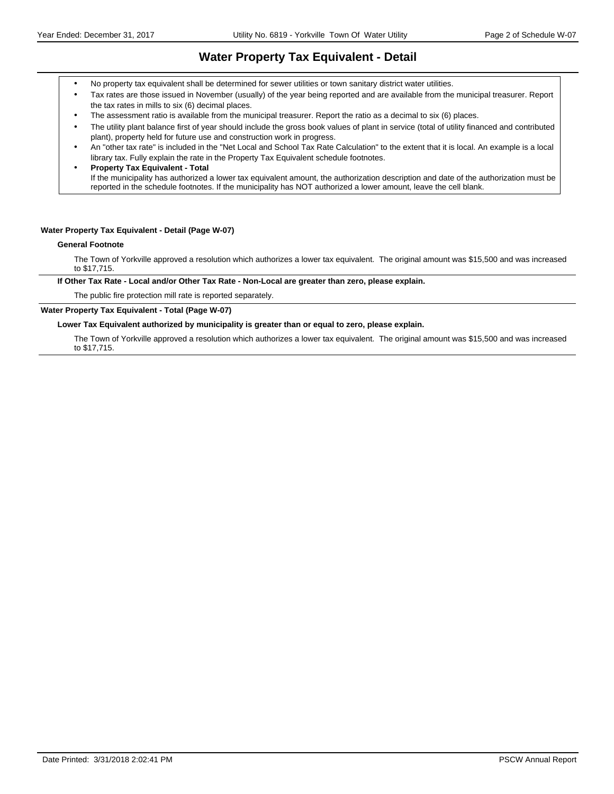### **Water Property Tax Equivalent - Detail**

- No property tax equivalent shall be determined for sewer utilities or town sanitary district water utilities.
- Tax rates are those issued in November (usually) of the year being reported and are available from the municipal treasurer. Report the tax rates in mills to six (6) decimal places.
- The assessment ratio is available from the municipal treasurer. Report the ratio as a decimal to six (6) places.
- The utility plant balance first of year should include the gross book values of plant in service (total of utility financed and contributed plant), property held for future use and construction work in progress.
- An "other tax rate" is included in the "Net Local and School Tax Rate Calculation" to the extent that it is local. An example is a local library tax. Fully explain the rate in the Property Tax Equivalent schedule footnotes.
- **Property Tax Equivalent Total** If the municipality has authorized a lower tax equivalent amount, the authorization description and date of the authorization must be reported in the schedule footnotes. If the municipality has NOT authorized a lower amount, leave the cell blank.

#### **Water Property Tax Equivalent - Detail (Page W-07)**

#### **General Footnote**

The Town of Yorkville approved a resolution which authorizes a lower tax equivalent. The original amount was \$15,500 and was increased to \$17,715.

**If Other Tax Rate - Local and/or Other Tax Rate - Non-Local are greater than zero, please explain.**

The public fire protection mill rate is reported separately.

### **Water Property Tax Equivalent - Total (Page W-07)**

**Lower Tax Equivalent authorized by municipality is greater than or equal to zero, please explain.**

The Town of Yorkville approved a resolution which authorizes a lower tax equivalent. The original amount was \$15,500 and was increased to \$17,715.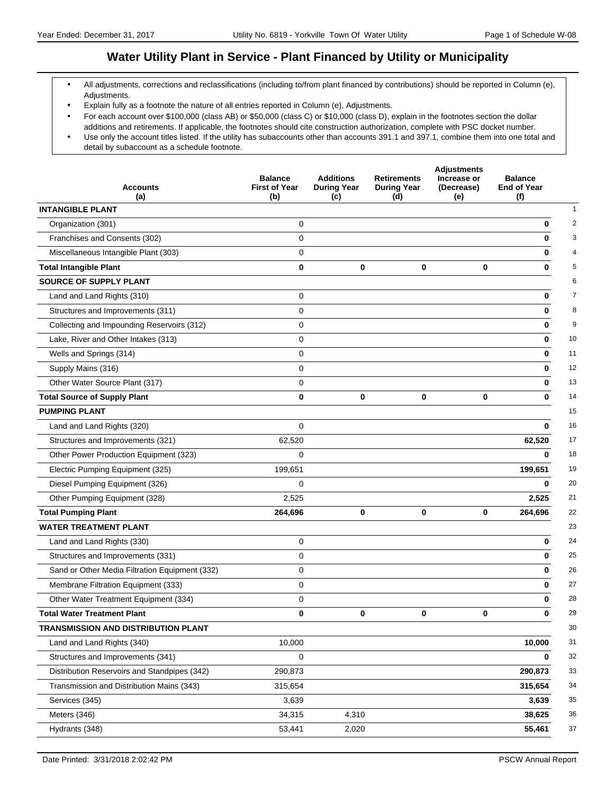### **Water Utility Plant in Service - Plant Financed by Utility or Municipality**

- All adjustments, corrections and reclassifications (including to/from plant financed by contributions) should be reported in Column (e), Adjustments.
- Explain fully as a footnote the nature of all entries reported in Column (e), Adjustments.
- For each account over \$100,000 (class AB) or \$50,000 (class C) or \$10,000 (class D), explain in the footnotes section the dollar additions and retirements. If applicable, the footnotes should cite construction authorization, complete with PSC docket number. Use only the account titles listed. If the utility has subaccounts other than accounts 391.1 and 397.1, combine them into one total and
- detail by subaccount as a schedule footnote.

| <b>Accounts</b><br>(a)                         | <b>Balance</b><br><b>First of Year</b><br>(b) | <b>Additions</b><br><b>During Year</b><br>(c) | <b>Retirements</b><br><b>During Year</b><br>(d) | <b>Adjustments</b><br>Increase or<br>(Decrease)<br>(e) | <b>Balance</b><br><b>End of Year</b><br>(f) |
|------------------------------------------------|-----------------------------------------------|-----------------------------------------------|-------------------------------------------------|--------------------------------------------------------|---------------------------------------------|
| <b>INTANGIBLE PLANT</b>                        |                                               |                                               |                                                 |                                                        | $\mathbf{1}$                                |
| Organization (301)                             | 0                                             |                                               |                                                 |                                                        | 0<br>2                                      |
| Franchises and Consents (302)                  | $\mathbf 0$                                   |                                               |                                                 |                                                        | 3<br>0                                      |
| Miscellaneous Intangible Plant (303)           | $\mathbf 0$                                   |                                               |                                                 |                                                        | 4<br>0                                      |
| <b>Total Intangible Plant</b>                  | $\bf{0}$                                      | $\mathbf 0$                                   | 0                                               | 0                                                      | 5<br>0                                      |
| <b>SOURCE OF SUPPLY PLANT</b>                  |                                               |                                               |                                                 |                                                        | 6                                           |
| Land and Land Rights (310)                     | 0                                             |                                               |                                                 |                                                        | $\overline{7}$<br>0                         |
| Structures and Improvements (311)              | $\mathbf 0$                                   |                                               |                                                 |                                                        | 8<br>0                                      |
| Collecting and Impounding Reservoirs (312)     | $\mathbf 0$                                   |                                               |                                                 |                                                        | 9<br>0                                      |
| Lake, River and Other Intakes (313)            | $\mathbf 0$                                   |                                               |                                                 |                                                        | 10<br>0                                     |
| Wells and Springs (314)                        | 0                                             |                                               |                                                 |                                                        | 11<br>0                                     |
| Supply Mains (316)                             | $\mathbf 0$                                   |                                               |                                                 |                                                        | 12<br>0                                     |
| Other Water Source Plant (317)                 | $\mathbf 0$                                   |                                               |                                                 |                                                        | 13<br>0                                     |
| <b>Total Source of Supply Plant</b>            | $\bf{0}$                                      | $\bf{0}$                                      | $\mathbf 0$                                     | 0                                                      | 14<br>0                                     |
| <b>PUMPING PLANT</b>                           |                                               |                                               |                                                 |                                                        | 15                                          |
| Land and Land Rights (320)                     | $\mathbf 0$                                   |                                               |                                                 |                                                        | 16<br>0                                     |
| Structures and Improvements (321)              | 62,520                                        |                                               |                                                 |                                                        | 62,520<br>17                                |
| Other Power Production Equipment (323)         | $\mathbf 0$                                   |                                               |                                                 |                                                        | 18<br>0                                     |
| Electric Pumping Equipment (325)               | 199,651                                       |                                               |                                                 |                                                        | 19<br>199,651                               |
| Diesel Pumping Equipment (326)                 | $\Omega$                                      |                                               |                                                 |                                                        | 20<br>0                                     |
| Other Pumping Equipment (328)                  | 2,525                                         |                                               |                                                 |                                                        | 21<br>2,525                                 |
| <b>Total Pumping Plant</b>                     | 264,696                                       | $\mathbf 0$                                   | $\mathbf 0$                                     | 0                                                      | 22<br>264,696                               |
| <b>WATER TREATMENT PLANT</b>                   |                                               |                                               |                                                 |                                                        | 23                                          |
| Land and Land Rights (330)                     | $\mathbf 0$                                   |                                               |                                                 |                                                        | 24<br>0                                     |
| Structures and Improvements (331)              | $\mathbf 0$                                   |                                               |                                                 |                                                        | 25<br>0                                     |
| Sand or Other Media Filtration Equipment (332) | 0                                             |                                               |                                                 |                                                        | 26<br>0                                     |
| Membrane Filtration Equipment (333)            | $\mathbf 0$                                   |                                               |                                                 |                                                        | 27<br>0                                     |
| Other Water Treatment Equipment (334)          | 0                                             |                                               |                                                 |                                                        | 28<br>0                                     |
| <b>Total Water Treatment Plant</b>             | 0                                             | 0                                             | 0                                               | $\mathbf{0}$                                           | 29<br>0                                     |
| TRANSMISSION AND DISTRIBUTION PLANT            |                                               |                                               |                                                 |                                                        | 30                                          |
| Land and Land Rights (340)                     | 10,000                                        |                                               |                                                 |                                                        | 31<br>10,000                                |
| Structures and Improvements (341)              | $\mathbf 0$                                   |                                               |                                                 |                                                        | 32<br>0                                     |
| Distribution Reservoirs and Standpipes (342)   | 290,873                                       |                                               |                                                 |                                                        | 33<br>290,873                               |
| Transmission and Distribution Mains (343)      | 315,654                                       |                                               |                                                 |                                                        | 315,654<br>34                               |
| Services (345)                                 | 3,639                                         |                                               |                                                 |                                                        | 35<br>3,639                                 |
| Meters (346)                                   | 34,315                                        | 4,310                                         |                                                 |                                                        | 36<br>38,625                                |
| Hydrants (348)                                 | 53,441                                        | 2,020                                         |                                                 |                                                        | 37<br>55,461                                |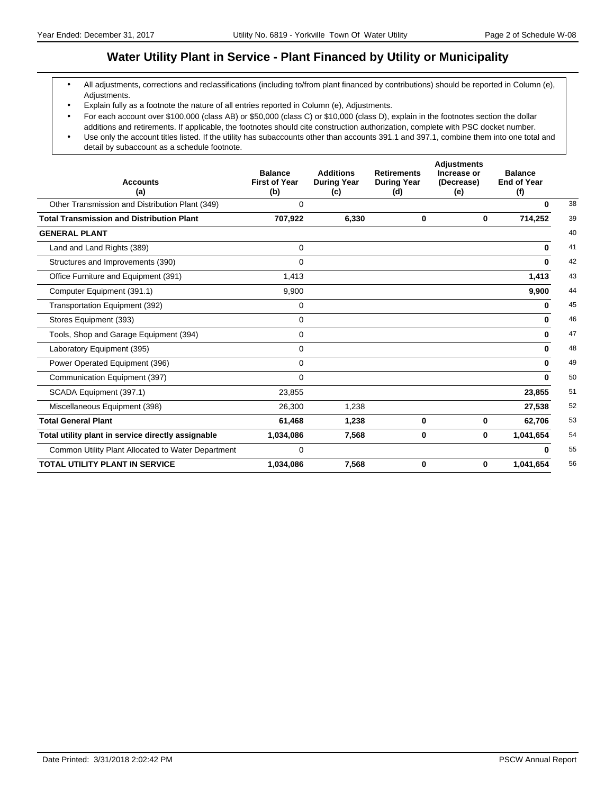### **Water Utility Plant in Service - Plant Financed by Utility or Municipality**

- All adjustments, corrections and reclassifications (including to/from plant financed by contributions) should be reported in Column (e), Adjustments.
- Explain fully as a footnote the nature of all entries reported in Column (e), Adjustments.
- For each account over \$100,000 (class AB) or \$50,000 (class C) or \$10,000 (class D), explain in the footnotes section the dollar additions and retirements. If applicable, the footnotes should cite construction authorization, complete with PSC docket number.
- Use only the account titles listed. If the utility has subaccounts other than accounts 391.1 and 397.1, combine them into one total and detail by subaccount as a schedule footnote.

| <b>Accounts</b><br>(a)                             | <b>Balance</b><br><b>First of Year</b><br>(b) | <b>Additions</b><br><b>During Year</b><br>(c) | <b>Retirements</b><br><b>During Year</b><br>(d) | <b>Adjustments</b><br>Increase or<br>(Decrease)<br>(e) | <b>Balance</b><br><b>End of Year</b><br>(f) |
|----------------------------------------------------|-----------------------------------------------|-----------------------------------------------|-------------------------------------------------|--------------------------------------------------------|---------------------------------------------|
| Other Transmission and Distribution Plant (349)    | $\Omega$                                      |                                               |                                                 |                                                        | 0                                           |
| <b>Total Transmission and Distribution Plant</b>   | 707,922                                       | 6,330                                         | 0                                               | 0                                                      | 714,252                                     |
| <b>GENERAL PLANT</b>                               |                                               |                                               |                                                 |                                                        |                                             |
| Land and Land Rights (389)                         | $\Omega$                                      |                                               |                                                 |                                                        | 0                                           |
| Structures and Improvements (390)                  | 0                                             |                                               |                                                 |                                                        | $\bf{0}$                                    |
| Office Furniture and Equipment (391)               | 1,413                                         |                                               |                                                 |                                                        | 1,413                                       |
| Computer Equipment (391.1)                         | 9,900                                         |                                               |                                                 |                                                        | 9,900                                       |
| Transportation Equipment (392)                     | $\Omega$                                      |                                               |                                                 |                                                        | 0                                           |
| Stores Equipment (393)                             | 0                                             |                                               |                                                 |                                                        | 0                                           |
| Tools, Shop and Garage Equipment (394)             | 0                                             |                                               |                                                 |                                                        | 0                                           |
| Laboratory Equipment (395)                         | 0                                             |                                               |                                                 |                                                        | O                                           |
| Power Operated Equipment (396)                     | 0                                             |                                               |                                                 |                                                        | 0                                           |
| Communication Equipment (397)                      | $\Omega$                                      |                                               |                                                 |                                                        | $\bf{0}$                                    |
| SCADA Equipment (397.1)                            | 23,855                                        |                                               |                                                 |                                                        | 23,855                                      |
| Miscellaneous Equipment (398)                      | 26,300                                        | 1,238                                         |                                                 |                                                        | 27,538                                      |
| <b>Total General Plant</b>                         | 61,468                                        | 1,238                                         | 0                                               | 0                                                      | 62,706                                      |
| Total utility plant in service directly assignable | 1,034,086                                     | 7,568                                         | 0                                               | 0                                                      | 1,041,654                                   |
| Common Utility Plant Allocated to Water Department | 0                                             |                                               |                                                 |                                                        | ŋ                                           |
| <b>TOTAL UTILITY PLANT IN SERVICE</b>              | 1,034,086                                     | 7,568                                         | 0                                               | 0                                                      | 1,041,654                                   |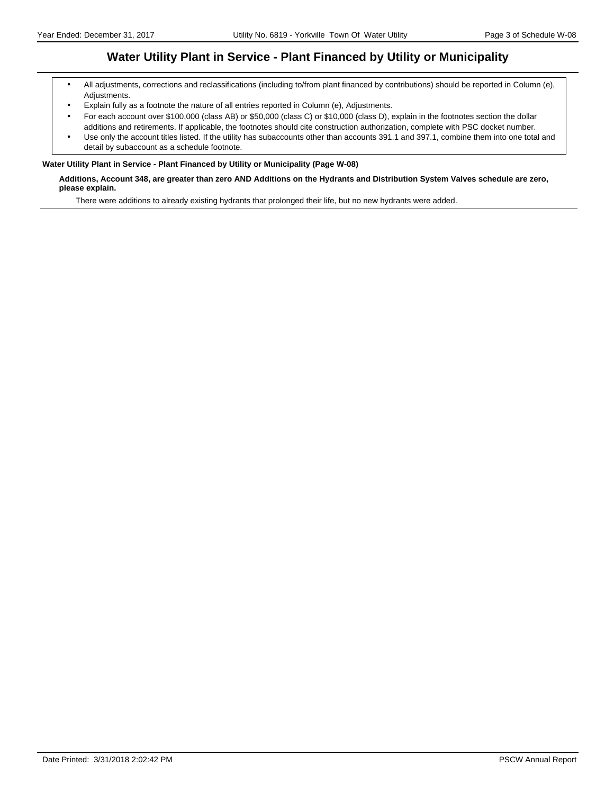### **Water Utility Plant in Service - Plant Financed by Utility or Municipality**

- All adjustments, corrections and reclassifications (including to/from plant financed by contributions) should be reported in Column (e), Adjustments.
- Explain fully as a footnote the nature of all entries reported in Column (e), Adjustments.
- For each account over \$100,000 (class AB) or \$50,000 (class C) or \$10,000 (class D), explain in the footnotes section the dollar additions and retirements. If applicable, the footnotes should cite construction authorization, complete with PSC docket number.
- Use only the account titles listed. If the utility has subaccounts other than accounts 391.1 and 397.1, combine them into one total and detail by subaccount as a schedule footnote.

#### **Water Utility Plant in Service - Plant Financed by Utility or Municipality (Page W-08)**

#### **Additions, Account 348, are greater than zero AND Additions on the Hydrants and Distribution System Valves schedule are zero, please explain.**

There were additions to already existing hydrants that prolonged their life, but no new hydrants were added.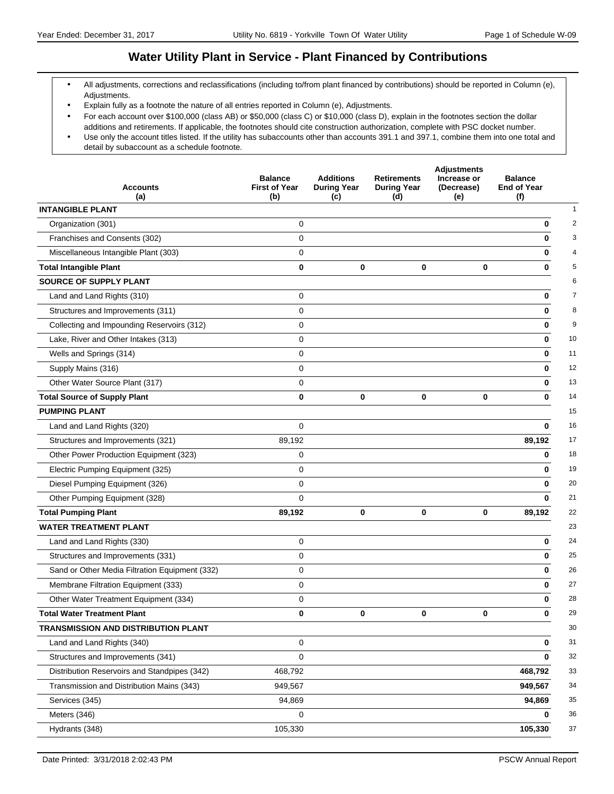### **Water Utility Plant in Service - Plant Financed by Contributions**

- All adjustments, corrections and reclassifications (including to/from plant financed by contributions) should be reported in Column (e), Adjustments.
- Explain fully as a footnote the nature of all entries reported in Column (e), Adjustments.
- For each account over \$100,000 (class AB) or \$50,000 (class C) or \$10,000 (class D), explain in the footnotes section the dollar additions and retirements. If applicable, the footnotes should cite construction authorization, complete with PSC docket number. Use only the account titles listed. If the utility has subaccounts other than accounts 391.1 and 397.1, combine them into one total and
- detail by subaccount as a schedule footnote.

| <b>Accounts</b>                                | <b>Balance</b><br><b>First of Year</b> | <b>Additions</b><br><b>During Year</b> | <b>Retirements</b><br><b>During Year</b> | <b>Adjustments</b><br>Increase or<br>(Decrease) | <b>Balance</b><br><b>End of Year</b> |
|------------------------------------------------|----------------------------------------|----------------------------------------|------------------------------------------|-------------------------------------------------|--------------------------------------|
| (a)                                            | (b)                                    | (c)                                    | (d)                                      | (e)                                             | (f)                                  |
| <b>INTANGIBLE PLANT</b>                        |                                        |                                        |                                          |                                                 |                                      |
| Organization (301)                             | 0                                      |                                        |                                          |                                                 | 0                                    |
| Franchises and Consents (302)                  | $\mathbf 0$                            |                                        |                                          |                                                 | 0                                    |
| Miscellaneous Intangible Plant (303)           | $\mathbf 0$                            |                                        |                                          |                                                 | 0                                    |
| <b>Total Intangible Plant</b>                  | $\bf{0}$                               | $\mathbf 0$                            | 0                                        | $\bf{0}$                                        | 0                                    |
| SOURCE OF SUPPLY PLANT                         |                                        |                                        |                                          |                                                 |                                      |
| Land and Land Rights (310)                     | 0                                      |                                        |                                          |                                                 | 0                                    |
| Structures and Improvements (311)              | $\mathbf 0$                            |                                        |                                          |                                                 | 0                                    |
| Collecting and Impounding Reservoirs (312)     | $\mathbf 0$                            |                                        |                                          |                                                 | 0                                    |
| Lake, River and Other Intakes (313)            | $\mathbf 0$                            |                                        |                                          |                                                 | 10<br>0                              |
| Wells and Springs (314)                        | 0                                      |                                        |                                          |                                                 | 11<br>0                              |
| Supply Mains (316)                             | $\mathbf 0$                            |                                        |                                          |                                                 | 12<br>0                              |
| Other Water Source Plant (317)                 | $\mathbf 0$                            |                                        |                                          |                                                 | 13<br>0                              |
| <b>Total Source of Supply Plant</b>            | $\bf{0}$                               | $\bf{0}$                               | $\mathbf 0$                              | 0                                               | 14<br>0                              |
| <b>PUMPING PLANT</b>                           |                                        |                                        |                                          |                                                 | 15                                   |
| Land and Land Rights (320)                     | $\mathbf 0$                            |                                        |                                          |                                                 | 16<br>0                              |
| Structures and Improvements (321)              | 89,192                                 |                                        |                                          |                                                 | 89,192<br>17                         |
| Other Power Production Equipment (323)         | 0                                      |                                        |                                          |                                                 | 18<br>0                              |
| Electric Pumping Equipment (325)               | $\mathbf 0$                            |                                        |                                          |                                                 | 19<br>0                              |
| Diesel Pumping Equipment (326)                 | $\mathbf 0$                            |                                        |                                          |                                                 | 20<br>0                              |
| Other Pumping Equipment (328)                  | $\mathbf 0$                            |                                        |                                          |                                                 | 21<br>$\bf{0}$                       |
| <b>Total Pumping Plant</b>                     | 89,192                                 | $\mathbf 0$                            | $\mathbf 0$                              | 0                                               | 22<br>89,192                         |
| <b>WATER TREATMENT PLANT</b>                   |                                        |                                        |                                          |                                                 | 23                                   |
| Land and Land Rights (330)                     | $\mathbf 0$                            |                                        |                                          |                                                 | 24<br>0                              |
| Structures and Improvements (331)              | $\mathbf 0$                            |                                        |                                          |                                                 | 25<br>0                              |
| Sand or Other Media Filtration Equipment (332) | 0                                      |                                        |                                          |                                                 | 26<br>0                              |
| Membrane Filtration Equipment (333)            | $\mathbf 0$                            |                                        |                                          |                                                 | 27<br>0                              |
| Other Water Treatment Equipment (334)          | 0                                      |                                        |                                          |                                                 | 28<br>0                              |
| <b>Total Water Treatment Plant</b>             | 0                                      | 0                                      | 0                                        | $\mathbf 0$                                     | 29<br>0                              |
| TRANSMISSION AND DISTRIBUTION PLANT            |                                        |                                        |                                          |                                                 | 30                                   |
| Land and Land Rights (340)                     | 0                                      |                                        |                                          |                                                 | 31<br>0                              |
| Structures and Improvements (341)              | $\mathbf 0$                            |                                        |                                          |                                                 | 32<br>0                              |
| Distribution Reservoirs and Standpipes (342)   | 468,792                                |                                        |                                          |                                                 | 33<br>468,792                        |
| Transmission and Distribution Mains (343)      | 949,567                                |                                        |                                          |                                                 | 949,567<br>34                        |
| Services (345)                                 | 94,869                                 |                                        |                                          |                                                 | 35<br>94,869                         |
| Meters (346)                                   | 0                                      |                                        |                                          |                                                 | 36<br>0                              |
| Hydrants (348)                                 | 105,330                                |                                        |                                          |                                                 | 37<br>105,330                        |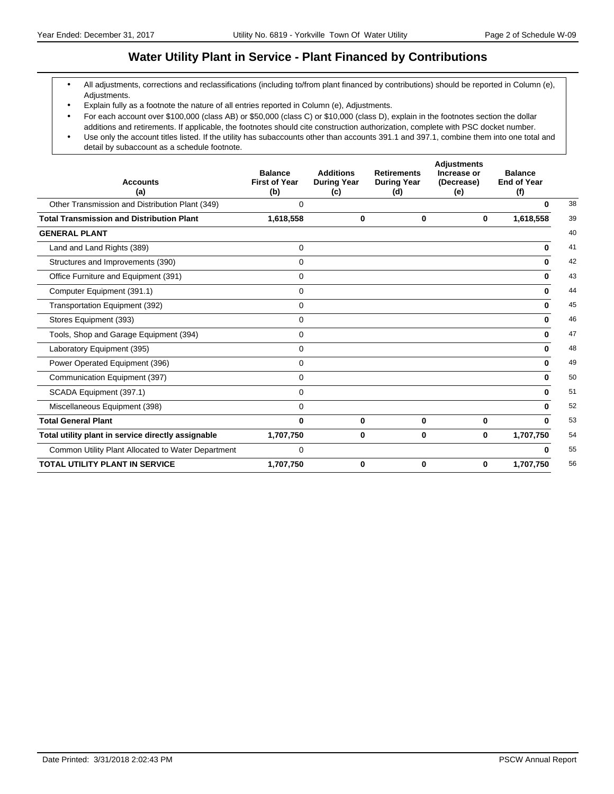### **Water Utility Plant in Service - Plant Financed by Contributions**

- All adjustments, corrections and reclassifications (including to/from plant financed by contributions) should be reported in Column (e), Adjustments.
- Explain fully as a footnote the nature of all entries reported in Column (e), Adjustments.
- For each account over \$100,000 (class AB) or \$50,000 (class C) or \$10,000 (class D), explain in the footnotes section the dollar additions and retirements. If applicable, the footnotes should cite construction authorization, complete with PSC docket number.
- Use only the account titles listed. If the utility has subaccounts other than accounts 391.1 and 397.1, combine them into one total and detail by subaccount as a schedule footnote.

| <b>Accounts</b><br>(a)                             | <b>Balance</b><br><b>First of Year</b><br>(b) | <b>Additions</b><br><b>During Year</b><br>(c) | <b>Retirements</b><br><b>During Year</b><br>(d) | <b>Adjustments</b><br>Increase or<br>(Decrease)<br>(e) | <b>Balance</b><br><b>End of Year</b><br>(f) |    |
|----------------------------------------------------|-----------------------------------------------|-----------------------------------------------|-------------------------------------------------|--------------------------------------------------------|---------------------------------------------|----|
| Other Transmission and Distribution Plant (349)    | 0                                             |                                               |                                                 |                                                        | $\bf{0}$                                    | 38 |
| <b>Total Transmission and Distribution Plant</b>   | 1,618,558                                     | 0                                             | 0                                               | 0                                                      | 1,618,558                                   | 39 |
| <b>GENERAL PLANT</b>                               |                                               |                                               |                                                 |                                                        |                                             | 40 |
| Land and Land Rights (389)                         | 0                                             |                                               |                                                 |                                                        | $\bf{0}$                                    | 41 |
| Structures and Improvements (390)                  | $\Omega$                                      |                                               |                                                 |                                                        | 0                                           | 42 |
| Office Furniture and Equipment (391)               | 0                                             |                                               |                                                 |                                                        | 0                                           | 43 |
| Computer Equipment (391.1)                         | 0                                             |                                               |                                                 |                                                        | 0                                           | 44 |
| Transportation Equipment (392)                     | 0                                             |                                               |                                                 |                                                        | 0                                           | 45 |
| Stores Equipment (393)                             | $\mathbf 0$                                   |                                               |                                                 |                                                        | $\bf{0}$                                    | 46 |
| Tools, Shop and Garage Equipment (394)             | 0                                             |                                               |                                                 |                                                        | $\bf{0}$                                    | 47 |
| Laboratory Equipment (395)                         | $\Omega$                                      |                                               |                                                 |                                                        | <sup>0</sup>                                | 48 |
| Power Operated Equipment (396)                     | 0                                             |                                               |                                                 |                                                        | $\bf{0}$                                    | 49 |
| Communication Equipment (397)                      | $\mathbf 0$                                   |                                               |                                                 |                                                        | 0                                           | 50 |
| SCADA Equipment (397.1)                            | 0                                             |                                               |                                                 |                                                        | <sup>0</sup>                                | 51 |
| Miscellaneous Equipment (398)                      | $\Omega$                                      |                                               |                                                 |                                                        | 0                                           | 52 |
| <b>Total General Plant</b>                         | $\bf{0}$                                      | $\bf{0}$                                      | 0                                               | 0                                                      | U                                           | 53 |
| Total utility plant in service directly assignable | 1,707,750                                     | 0                                             | 0                                               | 0                                                      | 1,707,750                                   | 54 |
| Common Utility Plant Allocated to Water Department | $\mathbf 0$                                   |                                               |                                                 |                                                        | ŋ                                           | 55 |
| <b>TOTAL UTILITY PLANT IN SERVICE</b>              | 1,707,750                                     | $\bf{0}$                                      | 0                                               | 0                                                      | 1,707,750                                   | 56 |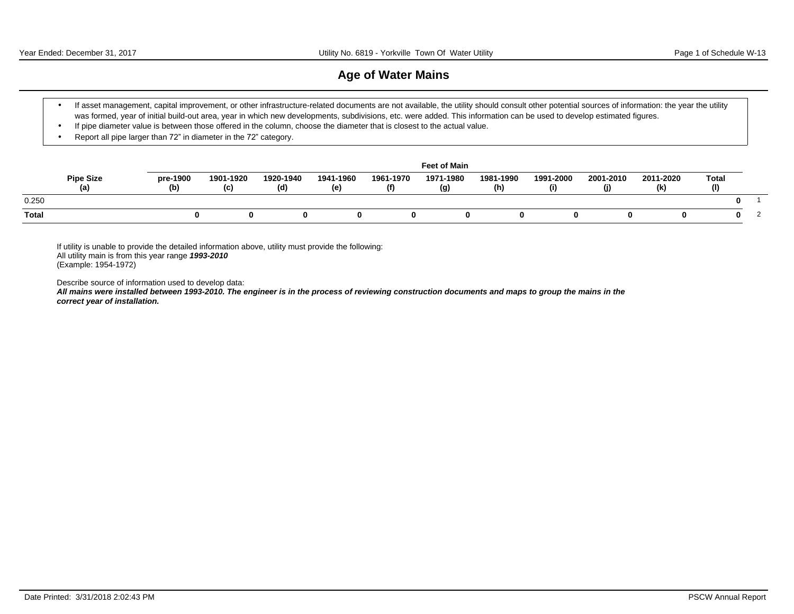### **Age of Water Mains**

- If asset management, capital improvement, or other infrastructure-related documents are not available, the utility should consult other potential sources of information: the year the utility was formed, year of initial build-out area, year in which new developments, subdivisions, etc. were added. This information can be used to develop estimated figures.
- If pipe diameter value is between those offered in the column, choose the diameter that is closest to the actual value.
- Report all pipe larger than 72" in diameter in the 72" category.

|              |                         |                 |                  |                  |                  |                  | <b>Feet of Main</b> |                  |                  |                  |                  |                     |  |
|--------------|-------------------------|-----------------|------------------|------------------|------------------|------------------|---------------------|------------------|------------------|------------------|------------------|---------------------|--|
|              | <b>Pipe Size</b><br>(a) | pre-1900<br>(b) | 1901-1920<br>(c) | 1920-1940<br>(d) | 1941-1960<br>(e) | 1961-1970<br>(f) | 1971-1980<br>(g)    | 1981-1990<br>(h) | 1991-2000<br>(i) | 2001-2010<br>(j) | 2011-2020<br>(k) | <b>Total</b><br>(1) |  |
| 0.250        |                         |                 |                  |                  |                  |                  |                     |                  |                  |                  |                  | o                   |  |
| <b>Total</b> |                         |                 |                  |                  |                  |                  |                     |                  |                  |                  |                  |                     |  |

If utility is unable to provide the detailed information above, utility must provide the following: All utility main is from this year range **1993-2010** (Example: 1954-1972)

Describe source of information used to develop data:

**All mains were installed between 1993-2010. The engineer is in the process of reviewing construction documents and maps to group the mains in the correct year of installation.**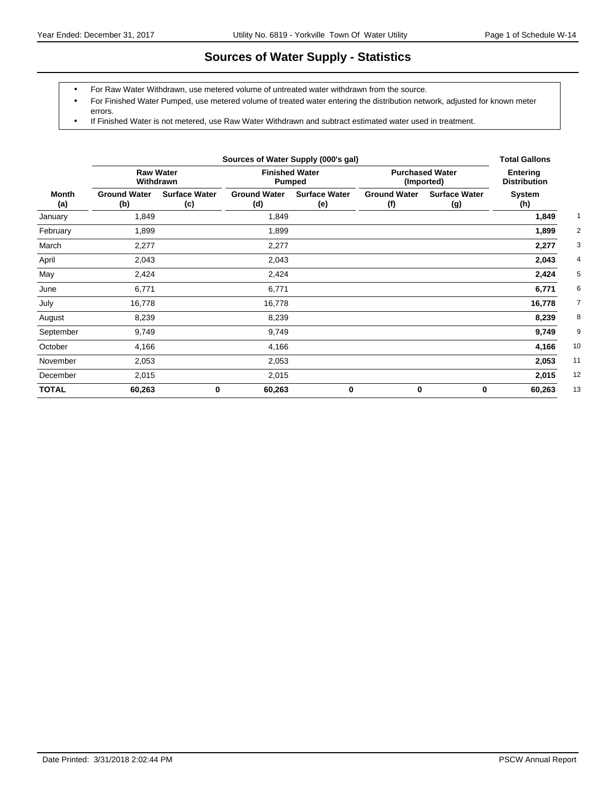## **Sources of Water Supply - Statistics**

- For Raw Water Withdrawn, use metered volume of untreated water withdrawn from the source.
- For Finished Water Pumped, use metered volume of treated water entering the distribution network, adjusted for known meter errors.
- If Finished Water is not metered, use Raw Water Withdrawn and subtract estimated water used in treatment.

|              |                               |                             | <b>Total Gallons</b>                   |                             |                                      |                                        |               |
|--------------|-------------------------------|-----------------------------|----------------------------------------|-----------------------------|--------------------------------------|----------------------------------------|---------------|
|              | <b>Raw Water</b><br>Withdrawn |                             | <b>Finished Water</b><br><b>Pumped</b> |                             | <b>Purchased Water</b><br>(Imported) | <b>Entering</b><br><b>Distribution</b> |               |
| Month<br>(a) | <b>Ground Water</b><br>(b)    | <b>Surface Water</b><br>(c) | <b>Ground Water</b><br>(d)             | <b>Surface Water</b><br>(e) | <b>Ground Water</b><br>(f)           | <b>Surface Water</b><br>(g)            | System<br>(h) |
| January      | 1,849                         |                             | 1,849                                  |                             |                                      |                                        | 1,849         |
| February     | 1,899                         |                             | 1,899                                  |                             |                                      |                                        | 1,899         |
| March        | 2,277                         |                             | 2,277                                  |                             |                                      |                                        | 2,277         |
| April        | 2,043                         |                             | 2,043                                  |                             |                                      |                                        | 2,043         |
| May          | 2,424                         |                             | 2,424                                  |                             |                                      |                                        | 2,424         |
| June         | 6,771                         |                             | 6,771                                  |                             |                                      |                                        | 6,771         |
| July         | 16,778                        |                             | 16,778                                 |                             |                                      |                                        | 16,778        |
| August       | 8,239                         |                             | 8,239                                  |                             |                                      |                                        | 8,239         |
| September    | 9,749                         |                             | 9,749                                  |                             |                                      |                                        | 9,749         |
| October      | 4,166                         |                             | 4,166                                  |                             |                                      |                                        | 4,166         |
| November     | 2,053                         |                             | 2,053                                  |                             |                                      |                                        | 2,053         |
| December     | 2,015                         |                             | 2,015                                  |                             |                                      |                                        | 2,015         |
| <b>TOTAL</b> | 60,263                        | $\bf{0}$                    | 60,263                                 | 0                           | 0                                    | 0                                      | 60,263        |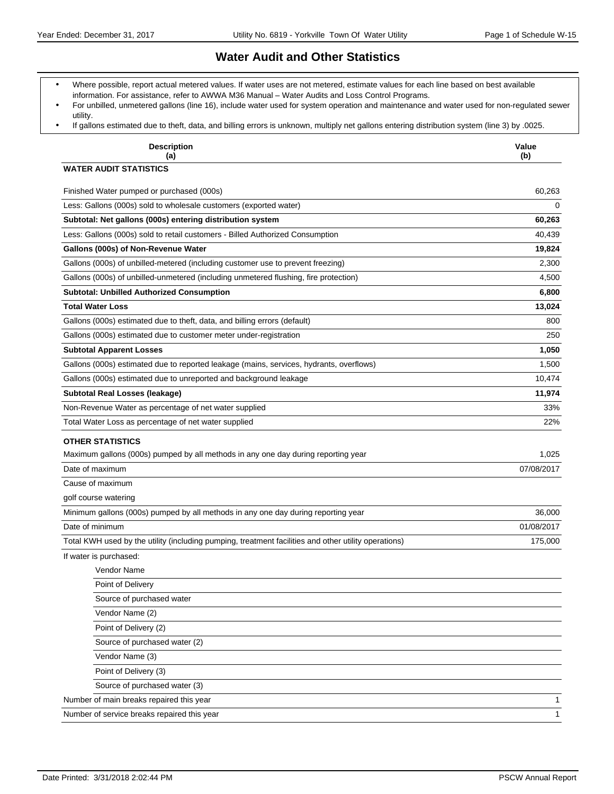### **Water Audit and Other Statistics**

- Where possible, report actual metered values. If water uses are not metered, estimate values for each line based on best available information. For assistance, refer to AWWA M36 Manual - Water Audits and Loss Control Programs.
- For unbilled, unmetered gallons (line 16), include water used for system operation and maintenance and water used for non-regulated sewer utility.
- If gallons estimated due to theft, data, and billing errors is unknown, multiply net gallons entering distribution system (line 3) by .0025.

| <b>Description</b><br>(a)                                                                                    | Value<br>(b) |
|--------------------------------------------------------------------------------------------------------------|--------------|
| <b>WATER AUDIT STATISTICS</b>                                                                                |              |
| Finished Water pumped or purchased (000s)                                                                    | 60.263       |
| Less: Gallons (000s) sold to wholesale customers (exported water)                                            | $\Omega$     |
| Subtotal: Net gallons (000s) entering distribution system                                                    | 60,263       |
| Less: Gallons (000s) sold to retail customers - Billed Authorized Consumption                                | 40,439       |
| Gallons (000s) of Non-Revenue Water                                                                          | 19,824       |
| Gallons (000s) of unbilled-metered (including customer use to prevent freezing)                              | 2,300        |
| Gallons (000s) of unbilled-unmetered (including unmetered flushing, fire protection)                         | 4,500        |
| <b>Subtotal: Unbilled Authorized Consumption</b>                                                             | 6,800        |
| <b>Total Water Loss</b>                                                                                      | 13,024       |
| Gallons (000s) estimated due to theft, data, and billing errors (default)                                    | 800          |
| Gallons (000s) estimated due to customer meter under-registration                                            | 250          |
| <b>Subtotal Apparent Losses</b>                                                                              | 1,050        |
| Gallons (000s) estimated due to reported leakage (mains, services, hydrants, overflows)                      | 1,500        |
| Gallons (000s) estimated due to unreported and background leakage                                            | 10,474       |
| Subtotal Real Losses (leakage)                                                                               | 11,974       |
| Non-Revenue Water as percentage of net water supplied                                                        | 33%          |
| Total Water Loss as percentage of net water supplied                                                         | 22%          |
| <b>OTHER STATISTICS</b><br>Maximum gallons (000s) pumped by all methods in any one day during reporting year | 1,025        |
| Date of maximum                                                                                              | 07/08/2017   |
| Cause of maximum                                                                                             |              |
| golf course watering                                                                                         |              |
| Minimum gallons (000s) pumped by all methods in any one day during reporting year                            | 36,000       |
| Date of minimum                                                                                              | 01/08/2017   |
| Total KWH used by the utility (including pumping, treatment facilities and other utility operations)         | 175,000      |
| If water is purchased:                                                                                       |              |
| Vendor Name                                                                                                  |              |
| Point of Delivery                                                                                            |              |
| Source of purchased water                                                                                    |              |
| Vendor Name (2)                                                                                              |              |
| Point of Delivery (2)                                                                                        |              |
| Source of purchased water (2)                                                                                |              |
| Vendor Name (3)                                                                                              |              |
| Point of Delivery (3)                                                                                        |              |
| Source of purchased water (3)                                                                                |              |
| Number of main breaks repaired this year                                                                     | 1            |
| Number of service breaks repaired this year                                                                  | $\mathbf{1}$ |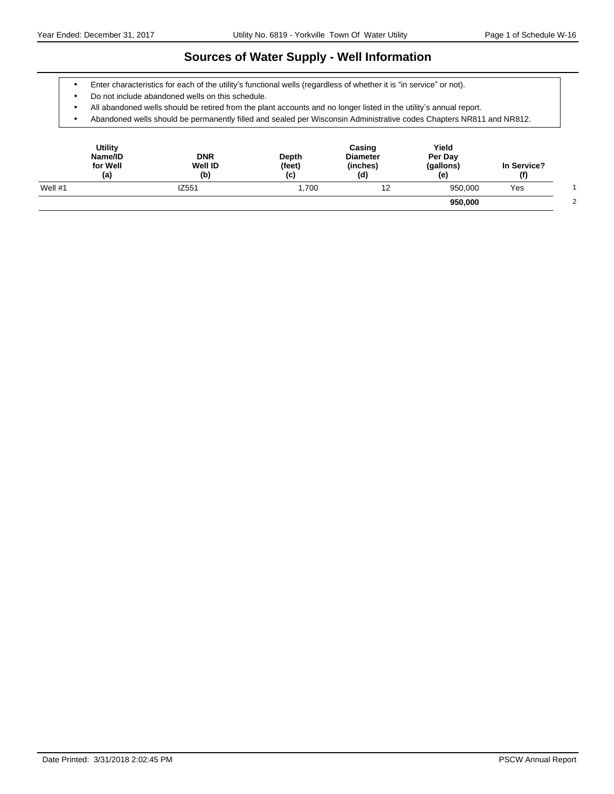### **Sources of Water Supply - Well Information**

- Enter characteristics for each of the utility's functional wells (regardless of whether it is "in service" or not).
- Do not include abandoned wells on this schedule.
- All abandoned wells should be retired from the plant accounts and no longer listed in the utility's annual report.
- Abandoned wells should be permanently filled and sealed per Wisconsin Administrative codes Chapters NR811 and NR812.

| Utility<br>Name/ID<br>for Well<br>(a) | <b>DNR</b><br><b>Well ID</b><br>(b) | Depth<br>(feet)<br>(c) | Casing<br><b>Diameter</b><br>(inches)<br>(d) | Yield<br>Per Day<br>(gallons)<br>(e) | In Service?<br>(f) |  |
|---------------------------------------|-------------------------------------|------------------------|----------------------------------------------|--------------------------------------|--------------------|--|
| Well $#1$                             | IZ551                               | 1.700                  | 12                                           | 950.000                              | Yes                |  |
|                                       |                                     |                        |                                              | 950,000                              |                    |  |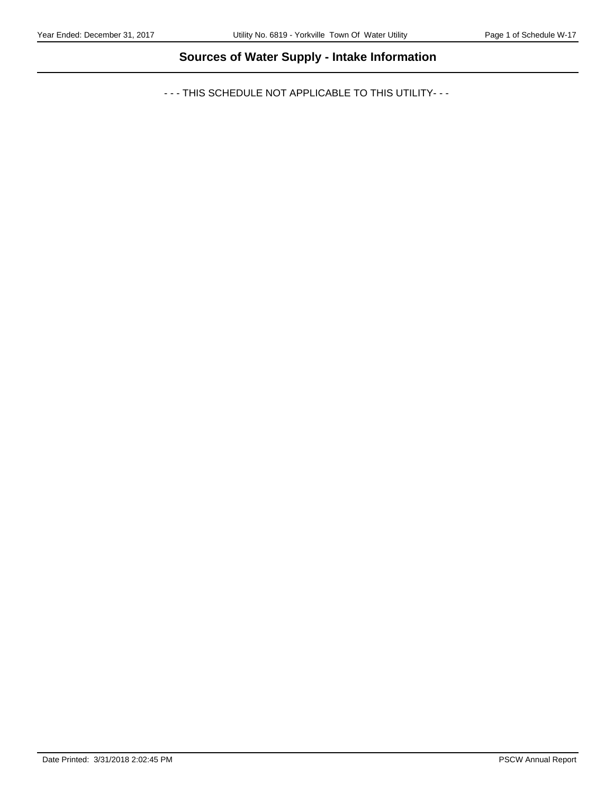# **Sources of Water Supply - Intake Information**

- - - THIS SCHEDULE NOT APPLICABLE TO THIS UTILITY- - -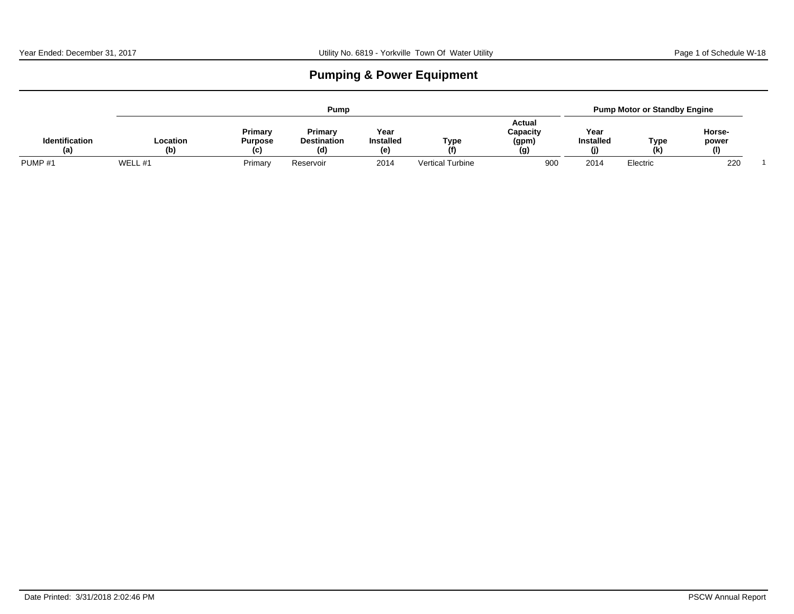# **Pumping & Power Equipment**

|                              |                 |                                  | <b>Pump</b>                          |                                |                         |                                    | <b>Pump Motor or Standby Engine</b>  |            |                        |  |  |
|------------------------------|-----------------|----------------------------------|--------------------------------------|--------------------------------|-------------------------|------------------------------------|--------------------------------------|------------|------------------------|--|--|
| <b>Identification</b><br>(a) | Location<br>(b) | Primary<br><b>Purpose</b><br>(C) | Primary<br><b>Destination</b><br>(d) | Yeal<br><b>Installed</b><br>(e | Type<br>(f)             | Actual<br>Capacity<br>(gpm)<br>(g) | Year<br><b>Installed</b><br>$\bf{u}$ | Type<br>(k | Horse-<br>power<br>(1) |  |  |
| PUMP <sub>#1</sub>           | WELL #1         | Primary                          | Reservoir                            | 2014                           | <b>Vertical Turbine</b> | 900                                | 2014                                 | Electric   | 220                    |  |  |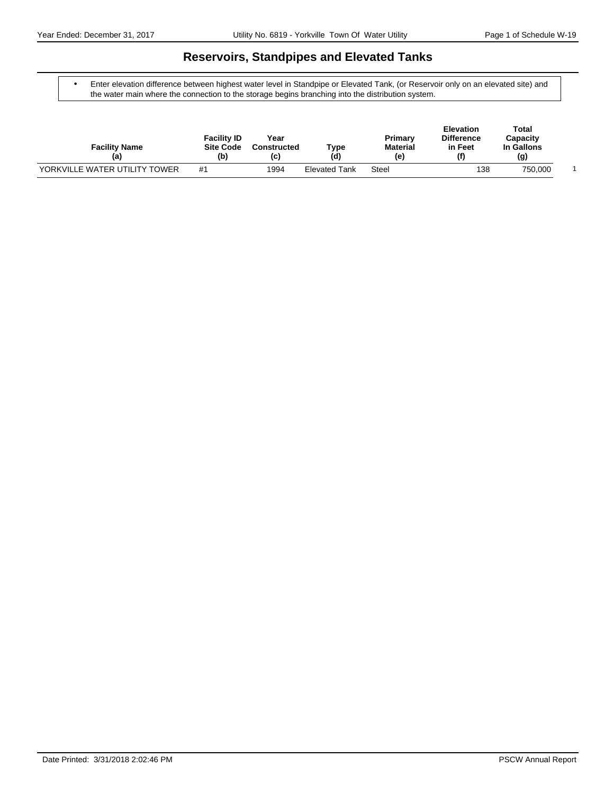### **Reservoirs, Standpipes and Elevated Tanks**

 Enter elevation difference between highest water level in Standpipe or Elevated Tank, (or Reservoir only on an elevated site) and the water main where the connection to the storage begins branching into the distribution system.

| <b>Facility Name</b><br>(a)   | <b>Facility ID</b><br><b>Site Code</b><br>(b) | Year<br><b>Constructed</b><br>(C) | туре<br>(d)          | Primary<br><b>Material</b><br>(e) | <b>Elevation</b><br><b>Difference</b><br>in Feet<br>$\mathbf{f}$ | Total<br>Capacity<br>In Gallons<br>(g) |  |
|-------------------------------|-----------------------------------------------|-----------------------------------|----------------------|-----------------------------------|------------------------------------------------------------------|----------------------------------------|--|
| YORKVILLE WATER UTILITY TOWER | #1                                            | 1994                              | <b>Elevated Tank</b> | Steel                             | 138                                                              | 750,000                                |  |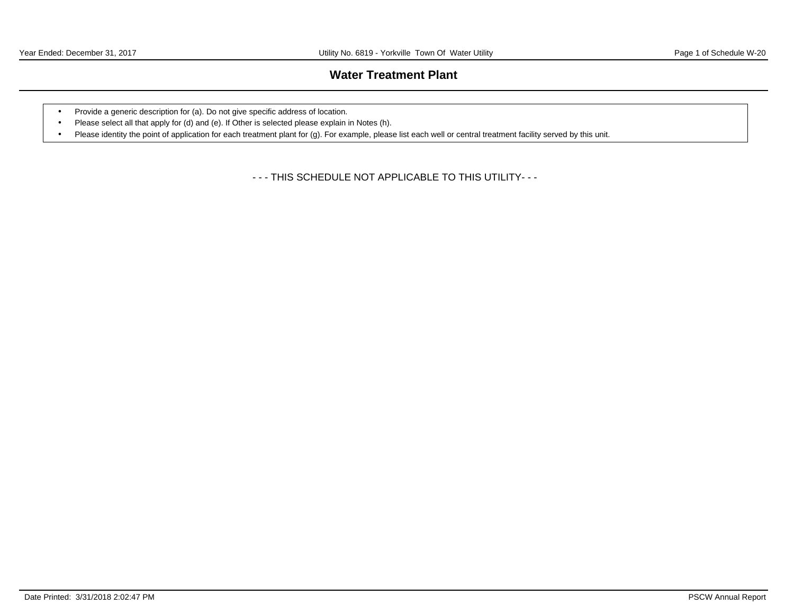## **Water Treatment Plant**

- Provide a generic description for (a). Do not give specific address of location.
- Please select all that apply for (d) and (e). If Other is selected please explain in Notes (h).
- Please identity the point of application for each treatment plant for (g). For example, please list each well or central treatment facility served by this unit.

- - - THIS SCHEDULE NOT APPLICABLE TO THIS UTILITY- - -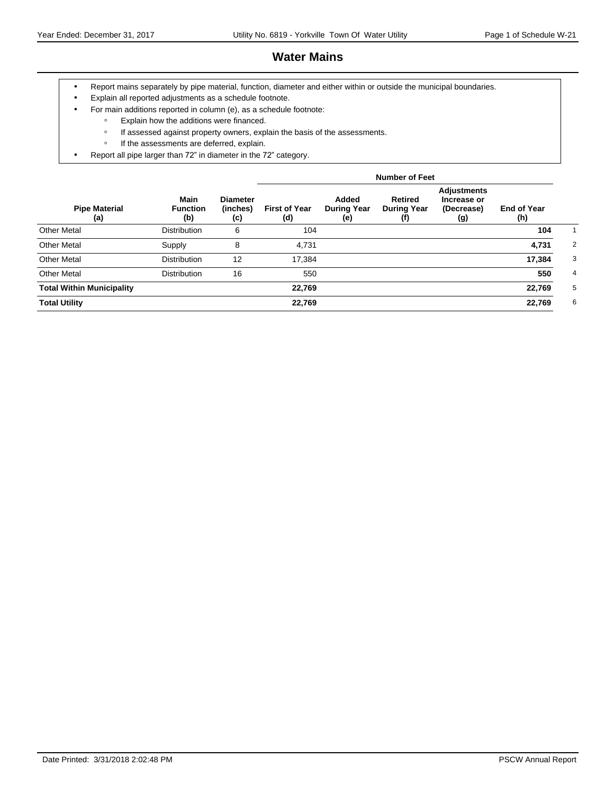## **Water Mains**

- Report mains separately by pipe material, function, diameter and either within or outside the municipal boundaries.
- Explain all reported adjustments as a schedule footnote.
- For main additions reported in column (e), as a schedule footnote:
	- ƕ Explain how the additions were financed.
	- o If assessed against property owners, explain the basis of the assessments.
	- If the assessments are deferred, explain.
- Report all pipe larger than 72" in diameter in the 72" category.

|                                  |                                       |                                    |                             |                                    | <b>Number of Feet</b>                       |                                                 |                           |                |
|----------------------------------|---------------------------------------|------------------------------------|-----------------------------|------------------------------------|---------------------------------------------|-------------------------------------------------|---------------------------|----------------|
| <b>Pipe Material</b><br>(a)      | <b>Main</b><br><b>Function</b><br>(b) | <b>Diameter</b><br>(inches)<br>(c) | <b>First of Year</b><br>(d) | Added<br><b>During Year</b><br>(e) | <b>Retired</b><br><b>During Year</b><br>(f) | Adjustments<br>Increase or<br>(Decrease)<br>(g) | <b>End of Year</b><br>(h) |                |
| <b>Other Metal</b>               | <b>Distribution</b>                   | 6                                  | 104                         |                                    |                                             |                                                 | 104                       |                |
| <b>Other Metal</b>               | Supply                                | 8                                  | 4,731                       |                                    |                                             |                                                 | 4,731                     | 2              |
| <b>Other Metal</b>               | <b>Distribution</b>                   | 12                                 | 17,384                      |                                    |                                             |                                                 | 17,384                    | 3              |
| <b>Other Metal</b>               | <b>Distribution</b>                   | 16                                 | 550                         |                                    |                                             |                                                 | 550                       | $\overline{4}$ |
| <b>Total Within Municipality</b> |                                       |                                    | 22,769                      |                                    |                                             |                                                 | 22,769                    | 5              |
| <b>Total Utility</b>             |                                       |                                    | 22,769                      |                                    |                                             |                                                 | 22,769                    | 6              |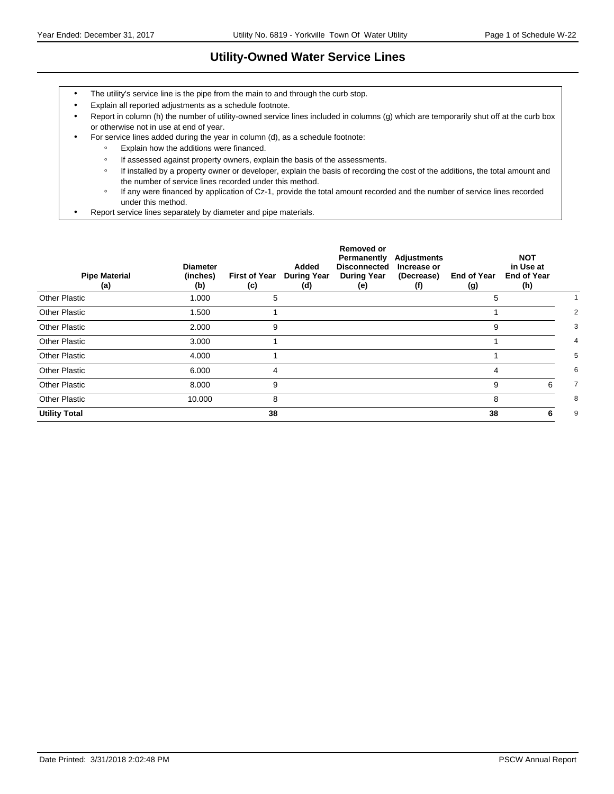# **Utility-Owned Water Service Lines**

- The utility's service line is the pipe from the main to and through the curb stop.
- Explain all reported adjustments as a schedule footnote.
- Report in column (h) the number of utility-owned service lines included in columns (g) which are temporarily shut off at the curb box or otherwise not in use at end of year.
- For service lines added during the year in column (d), as a schedule footnote:
	- ƕ Explain how the additions were financed.
	- o If assessed against property owners, explain the basis of the assessments.
	- o If installed by a property owner or developer, explain the basis of recording the cost of the additions, the total amount and the number of service lines recorded under this method.
	- ƕ If any were financed by application of Cz-1, provide the total amount recorded and the number of service lines recorded under this method.
- Report service lines separately by diameter and pipe materials.

| <b>Pipe Material</b><br>(a) | <b>Diameter</b><br>(inches)<br>(b) | <b>First of Year</b><br>(c) | Added<br><b>During Year</b><br>(d) | <b>Removed or</b><br>Permanently<br><b>Disconnected</b><br><b>During Year</b><br>(e) | Adjustments<br>Increase or<br>(Decrease)<br>(f) | <b>End of Year</b><br>(g) | <b>NOT</b><br>in Use at<br><b>End of Year</b><br>(h) |   |
|-----------------------------|------------------------------------|-----------------------------|------------------------------------|--------------------------------------------------------------------------------------|-------------------------------------------------|---------------------------|------------------------------------------------------|---|
| <b>Other Plastic</b>        | 1.000                              | 5                           |                                    |                                                                                      |                                                 | 5                         |                                                      |   |
| <b>Other Plastic</b>        | 1.500                              |                             |                                    |                                                                                      |                                                 |                           |                                                      | 2 |
| <b>Other Plastic</b>        | 2.000                              | 9                           |                                    |                                                                                      |                                                 | 9                         |                                                      | 3 |
| <b>Other Plastic</b>        | 3.000                              |                             |                                    |                                                                                      |                                                 |                           |                                                      | 4 |
| <b>Other Plastic</b>        | 4.000                              |                             |                                    |                                                                                      |                                                 |                           |                                                      | 5 |
| <b>Other Plastic</b>        | 6.000                              | 4                           |                                    |                                                                                      |                                                 | 4                         |                                                      | 6 |
| Other Plastic               | 8.000                              | 9                           |                                    |                                                                                      |                                                 | 9                         | 6                                                    | 7 |
| <b>Other Plastic</b>        | 10.000                             | 8                           |                                    |                                                                                      |                                                 | 8                         |                                                      | 8 |
| <b>Utility Total</b>        |                                    | 38                          |                                    |                                                                                      |                                                 | 38                        | 6                                                    | 9 |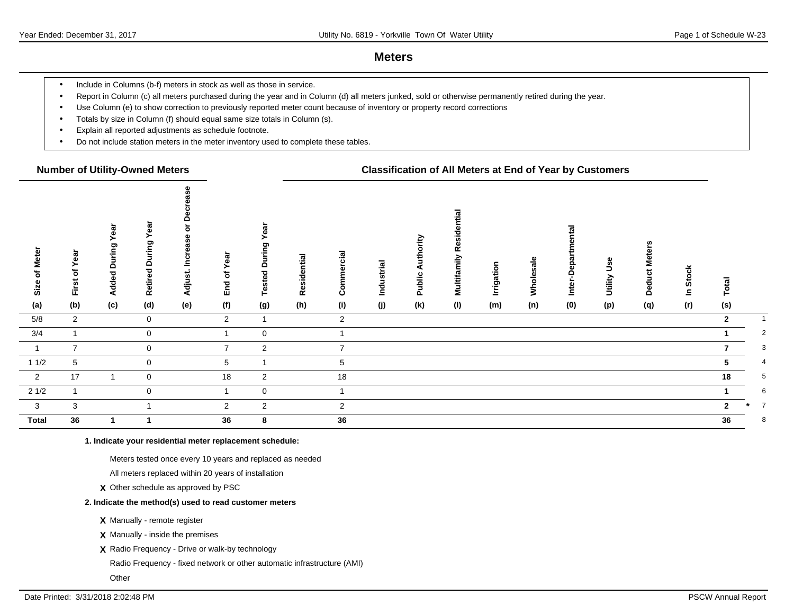### **Meters**

- Include in Columns (b-f) meters in stock as well as those in service.
- Report in Column (c) all meters purchased during the year and in Column (d) all meters junked, sold or otherwise permanently retired during the year.
- Use Column (e) to show correction to previously reported meter count because of inventory or property record corrections
- Totals by size in Column (f) should equal same size totals in Column (s).
- Explain all reported adjustments as schedule footnote.
- Do not include station meters in the meter inventory used to complete these tables.

### **Number of Utility-Owned Meters Classification of All Meters at End of Year by Customers**

| <b>Meter</b><br>৳<br>Size<br>(a) | First of Year<br>(b) | ඕ<br>≻<br>During<br><b>Added</b><br>(c) | ēā<br>δu<br>$\circ$<br>ਠ<br>Retire<br>(d) | ᅙ<br>rease<br>ပ<br>Š<br>Adjust.<br>(e) | ēā<br>৳<br>End<br>(f) | និ<br>ဥ<br>Έ<br>≏<br>Tested<br>(g) | Residential<br>(h) | Commercial<br>(i) | Industrial<br>(j) | ă<br>⋖<br>Public<br>(k) | tial<br>Multifamily Reside<br>(1) | Irrigation<br>(m) | Wholesale<br>(n) | န္<br>۵<br>Inter-<br>(0) | وول<br>Utility<br>(p) | Deduct Mete<br>(q) | <b>Stock</b><br>$\mathbf{s}$<br>(r) | otal<br>(s)    |                |
|----------------------------------|----------------------|-----------------------------------------|-------------------------------------------|----------------------------------------|-----------------------|------------------------------------|--------------------|-------------------|-------------------|-------------------------|-----------------------------------|-------------------|------------------|--------------------------|-----------------------|--------------------|-------------------------------------|----------------|----------------|
| $5/8$                            | $\overline{2}$       |                                         | $\mathbf 0$                               |                                        | $\overline{2}$        | $\mathbf{1}$                       |                    | $\overline{2}$    |                   |                         |                                   |                   |                  |                          |                       |                    |                                     | $\overline{2}$ |                |
| 3/4                              |                      |                                         | $\overline{0}$                            |                                        |                       | $\mathbf 0$                        |                    |                   |                   |                         |                                   |                   |                  |                          |                       |                    |                                     |                | 2              |
| $\overline{1}$                   | $\overline{7}$       |                                         | $\mathbf 0$                               |                                        | $\overline{7}$        | $\overline{2}$                     |                    | $\overline{7}$    |                   |                         |                                   |                   |                  |                          |                       |                    |                                     |                | 3              |
| 11/2                             | 5                    |                                         | $\mathbf 0$                               |                                        | 5                     | 1                                  |                    | $\sqrt{5}$        |                   |                         |                                   |                   |                  |                          |                       |                    |                                     | 5.             | 4              |
| $\overline{\mathbf{2}}$          | 17                   |                                         | $\mathbf 0$                               |                                        | 18                    | $\overline{2}$                     |                    | 18                |                   |                         |                                   |                   |                  |                          |                       |                    |                                     | 18             | 5              |
| 21/2                             |                      |                                         | $\mathbf 0$                               |                                        |                       | $\mathbf{0}$                       |                    | $\overline{ }$    |                   |                         |                                   |                   |                  |                          |                       |                    |                                     |                | 6              |
| $\overline{\mathbf{3}}$          | $\mathbf{3}$         |                                         |                                           |                                        | $\overline{2}$        | $\overline{2}$                     |                    | $\overline{2}$    |                   |                         |                                   |                   |                  |                          |                       |                    |                                     | $\mathbf{z}$   | $\overline{7}$ |
| <b>Total</b>                     | 36                   |                                         | 1                                         |                                        | 36                    | 8                                  |                    | $36\,$            |                   |                         |                                   |                   |                  |                          |                       |                    |                                     | 36             | 8              |

**1. Indicate your residential meter replacement schedule:**

Meters tested once every 10 years and replaced as needed

All meters replaced within 20 years of installation

**X** Other schedule as approved by PSC

#### **2. Indicate the method(s) used to read customer meters**

**X** Manually - remote register

**X** Manually - inside the premises

**X** Radio Frequency - Drive or walk-by technology

Radio Frequency - fixed network or other automatic infrastructure (AMI)

**Other**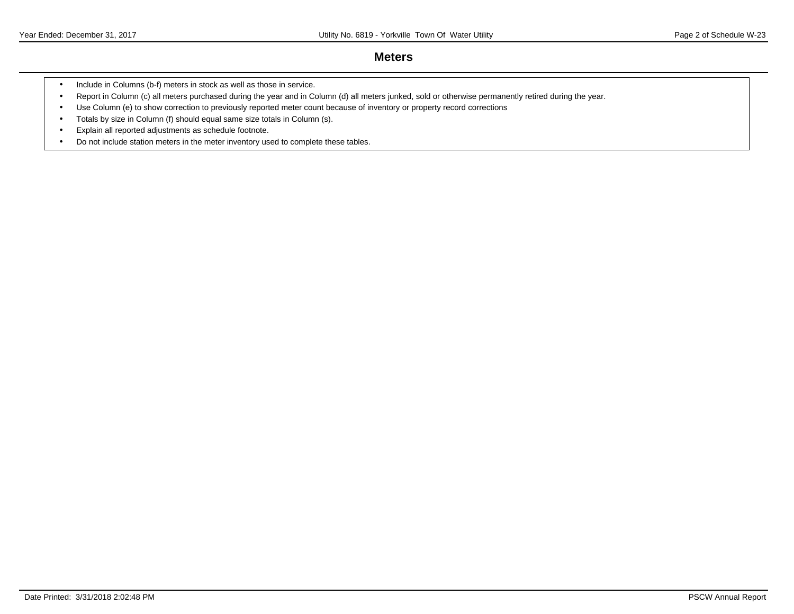### **Meters**

- Include in Columns (b-f) meters in stock as well as those in service.
- Report in Column (c) all meters purchased during the year and in Column (d) all meters junked, sold or otherwise permanently retired during the year.
- Use Column (e) to show correction to previously reported meter count because of inventory or property record corrections
- Totals by size in Column (f) should equal same size totals in Column (s).
- Explain all reported adjustments as schedule footnote.
- Do not include station meters in the meter inventory used to complete these tables.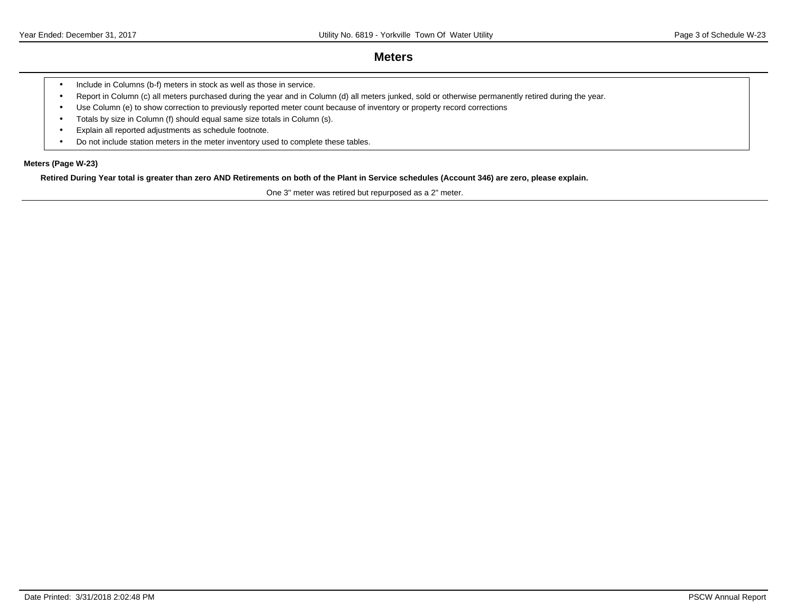### **Meters**

- Include in Columns (b-f) meters in stock as well as those in service.
- Report in Column (c) all meters purchased during the year and in Column (d) all meters junked, sold or otherwise permanently retired during the year.
- Use Column (e) to show correction to previously reported meter count because of inventory or property record corrections
- Totals by size in Column (f) should equal same size totals in Column (s).
- Explain all reported adjustments as schedule footnote.
- Do not include station meters in the meter inventory used to complete these tables.

### **Meters (Page W-23)**

**Retired During Year total is greater than zero AND Retirements on both of the Plant in Service schedules (Account 346) are zero, please explain.**

One 3" meter was retired but repurposed as a 2" meter.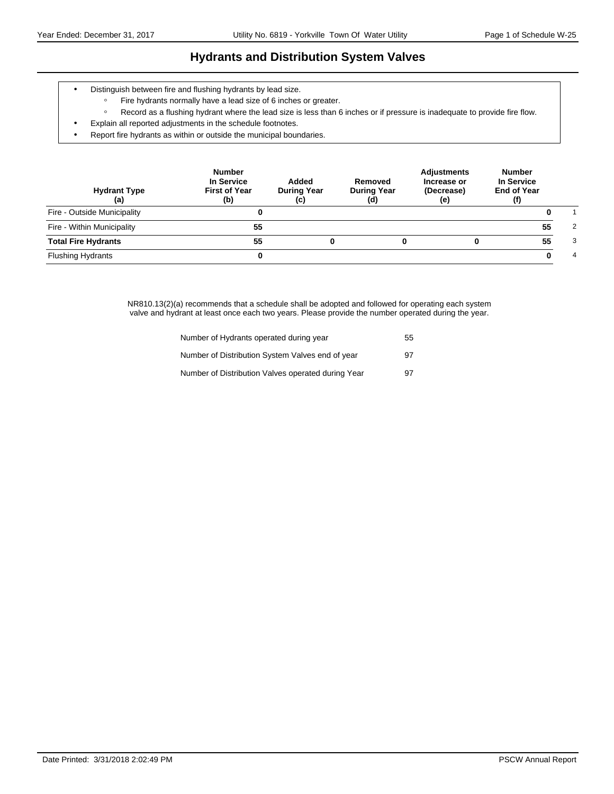# **Hydrants and Distribution System Valves**

- Distinguish between fire and flushing hydrants by lead size.
	- ƕ Fire hydrants normally have a lead size of 6 inches or greater.
	- ƕ Record as a flushing hydrant where the lead size is less than 6 inches or if pressure is inadequate to provide fire flow.
- Explain all reported adjustments in the schedule footnotes.
- Report fire hydrants as within or outside the municipal boundaries.

| <b>Hydrant Type</b><br>(a)  | <b>Number</b><br>In Service<br><b>First of Year</b><br>(b) | Added<br><b>During Year</b><br>(c) | Removed<br><b>During Year</b><br>(d) | <b>Adjustments</b><br>Increase or<br>(Decrease)<br>(e) | <b>Number</b><br>In Service<br><b>End of Year</b><br>(f) |   |
|-----------------------------|------------------------------------------------------------|------------------------------------|--------------------------------------|--------------------------------------------------------|----------------------------------------------------------|---|
| Fire - Outside Municipality |                                                            |                                    |                                      |                                                        |                                                          |   |
| Fire - Within Municipality  | 55                                                         |                                    |                                      |                                                        | 55                                                       | 2 |
| <b>Total Fire Hydrants</b>  | 55                                                         | 0                                  |                                      |                                                        | 55                                                       | 3 |
| <b>Flushing Hydrants</b>    |                                                            |                                    |                                      |                                                        |                                                          | 4 |

NR810.13(2)(a) recommends that a schedule shall be adopted and followed for operating each system valve and hydrant at least once each two years. Please provide the number operated during the year.

| Number of Hydrants operated during year            | 55 |
|----------------------------------------------------|----|
| Number of Distribution System Valves end of year   | 97 |
| Number of Distribution Valves operated during Year | 97 |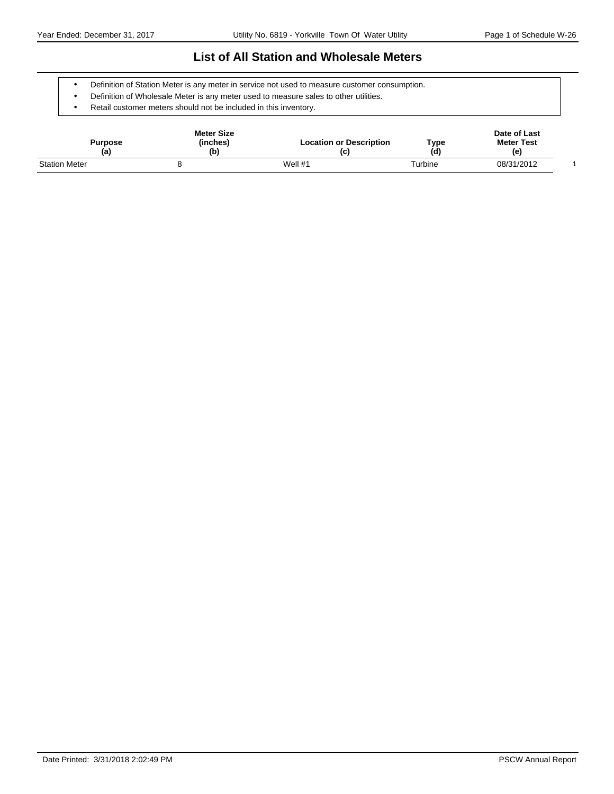### **List of All Station and Wholesale Meters**

- Definition of Station Meter is any meter in service not used to measure customer consumption.
- Definition of Wholesale Meter is any meter used to measure sales to other utilities.
- Retail customer meters should not be included in this inventory.

| Purpose<br>(a)       | <b>Meter Size</b><br>(inches)<br>(b) | <b>Location or Description</b><br>(c) | Type<br>(d) | Date of Last<br><b>Meter Test</b><br>(e) |  |
|----------------------|--------------------------------------|---------------------------------------|-------------|------------------------------------------|--|
| <b>Station Meter</b> |                                      | Well $#1$                             | Turbine     | 08/31/2012                               |  |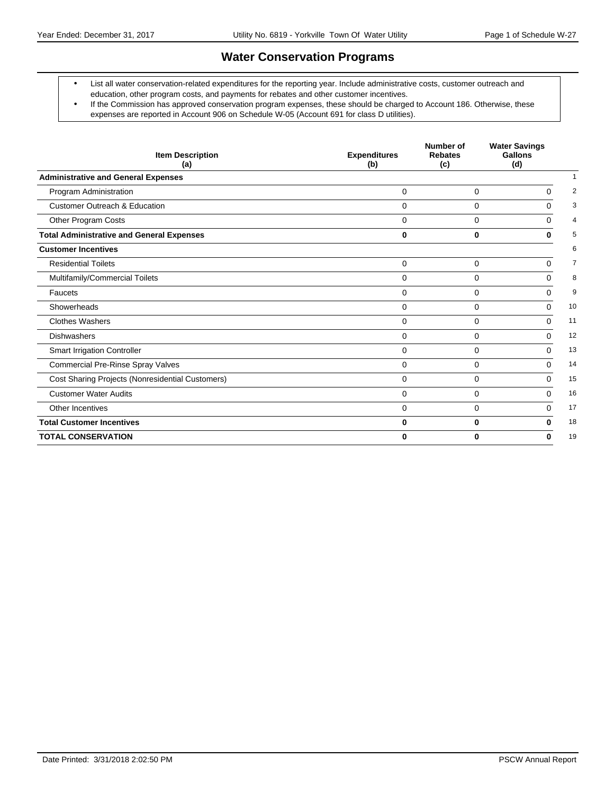### **Water Conservation Programs**

- List all water conservation-related expenditures for the reporting year. Include administrative costs, customer outreach and education, other program costs, and payments for rebates and other customer incentives.
- If the Commission has approved conservation program expenses, these should be charged to Account 186. Otherwise, these expenses are reported in Account 906 on Schedule W-05 (Account 691 for class D utilities).

| <b>Item Description</b><br>(a)                   | <b>Expenditures</b><br>(b) | Number of<br><b>Rebates</b><br>(c) | <b>Water Savings</b><br>Gallons<br>(d) |                |
|--------------------------------------------------|----------------------------|------------------------------------|----------------------------------------|----------------|
| <b>Administrative and General Expenses</b>       |                            |                                    |                                        |                |
| Program Administration                           | $\Omega$                   | $\mathbf 0$                        | $\Omega$                               | 2              |
| <b>Customer Outreach &amp; Education</b>         | $\Omega$                   | 0                                  | $\Omega$                               | 3              |
| Other Program Costs                              | $\Omega$                   | $\Omega$                           | $\Omega$                               | $\overline{4}$ |
| <b>Total Administrative and General Expenses</b> | 0                          | $\bf{0}$                           | 0                                      | 5              |
| <b>Customer Incentives</b>                       |                            |                                    |                                        | 6              |
| <b>Residential Toilets</b>                       | $\mathbf 0$                | $\mathbf 0$                        | $\Omega$                               | $\overline{7}$ |
| Multifamily/Commercial Toilets                   | $\Omega$                   | 0                                  | $\Omega$                               | 8              |
| Faucets                                          | $\Omega$                   | $\Omega$                           | $\Omega$                               | 9              |
| Showerheads                                      | $\Omega$                   | $\Omega$                           | $\Omega$                               | 10             |
| <b>Clothes Washers</b>                           | $\Omega$                   | 0                                  | $\Omega$                               | 11             |
| <b>Dishwashers</b>                               | $\Omega$                   | $\mathbf 0$                        | $\Omega$                               | 12             |
| <b>Smart Irrigation Controller</b>               | $\Omega$                   | 0                                  | $\Omega$                               | 13             |
| <b>Commercial Pre-Rinse Spray Valves</b>         | $\Omega$                   | $\Omega$                           | $\Omega$                               | 14             |
| Cost Sharing Projects (Nonresidential Customers) | $\Omega$                   | $\Omega$                           | $\Omega$                               | 15             |
| <b>Customer Water Audits</b>                     | $\Omega$                   | $\Omega$                           | $\Omega$                               | 16             |
| Other Incentives                                 | $\mathbf 0$                | $\mathbf 0$                        | $\mathbf 0$                            | 17             |
| <b>Total Customer Incentives</b>                 | 0                          | 0                                  | 0                                      | 18             |
| <b>TOTAL CONSERVATION</b>                        | 0                          | $\bf{0}$                           | 0                                      | 19             |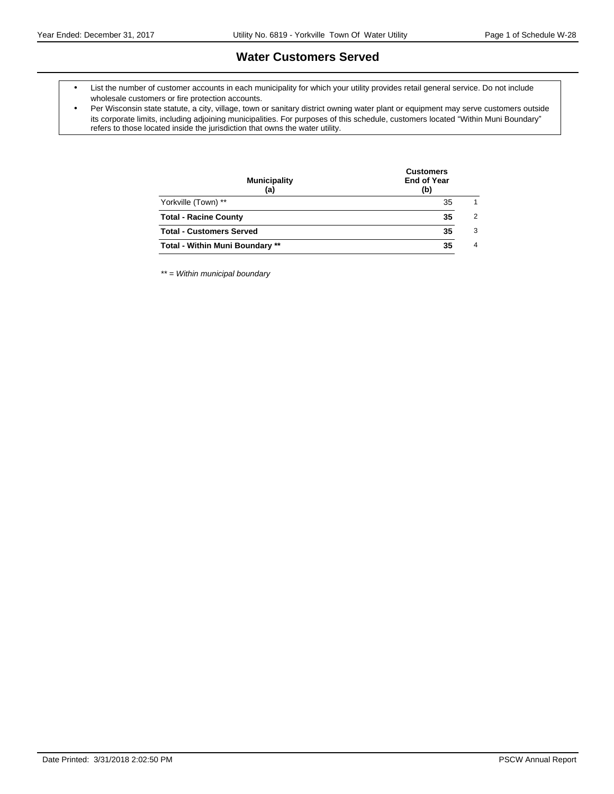### **Water Customers Served**

- List the number of customer accounts in each municipality for which your utility provides retail general service. Do not include wholesale customers or fire protection accounts.
- Per Wisconsin state statute, a city, village, town or sanitary district owning water plant or equipment may serve customers outside its corporate limits, including adjoining municipalities. For purposes of this schedule, customers located "Within Muni Boundary" refers to those located inside the jurisdiction that owns the water utility.

| <b>Municipality</b><br>(a)             | <b>Customers</b><br><b>End of Year</b><br>(b) |                |  |  |
|----------------------------------------|-----------------------------------------------|----------------|--|--|
| Yorkville (Town) **                    | 35                                            | 1              |  |  |
| <b>Total - Racine County</b>           | 35                                            | $\overline{2}$ |  |  |
| <b>Total - Customers Served</b>        | 35                                            | 3              |  |  |
| <b>Total - Within Muni Boundary **</b> | 35                                            | $\overline{4}$ |  |  |
|                                        |                                               |                |  |  |

\*\* = Within municipal boundary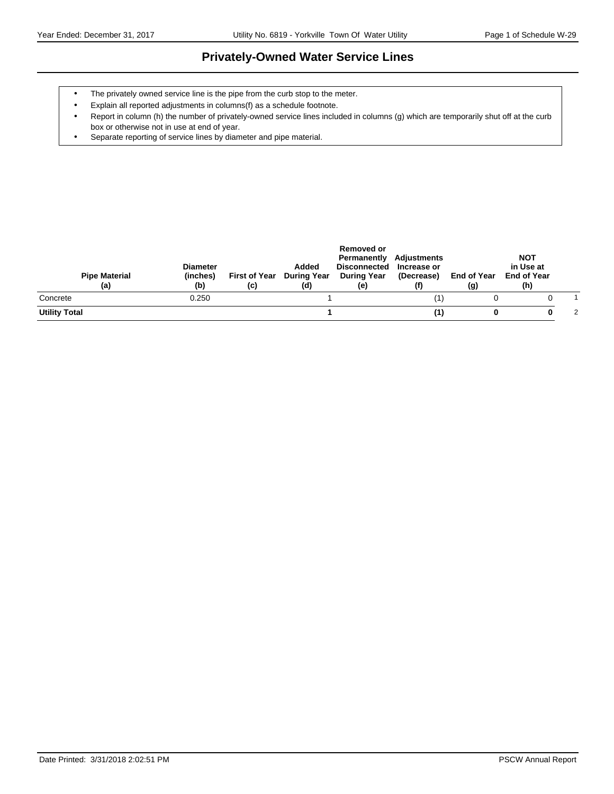### **Privately-Owned Water Service Lines**

- The privately owned service line is the pipe from the curb stop to the meter.
- Explain all reported adjustments in columns(f) as a schedule footnote.
- Report in column (h) the number of privately-owned service lines included in columns (g) which are temporarily shut off at the curb box or otherwise not in use at end of year.
- Separate reporting of service lines by diameter and pipe material.

| <b>Pipe Material</b><br>(a) | <b>Diameter</b><br>(inches)<br>(b) | <b>First of Year</b><br>(c) | Added<br>During Year<br>(d) | Removed or<br>Permanently<br>Disconnected Increase or<br><b>During Year</b><br>(e) | Adjustments<br>(Decrease) | End of Year<br>(g) | <b>NOT</b><br>in Use at<br><b>End of Year</b><br>(h) |   |
|-----------------------------|------------------------------------|-----------------------------|-----------------------------|------------------------------------------------------------------------------------|---------------------------|--------------------|------------------------------------------------------|---|
| Concrete                    | 0.250                              |                             |                             |                                                                                    |                           |                    |                                                      |   |
| <b>Utility Total</b>        |                                    |                             |                             |                                                                                    | (1)                       |                    |                                                      | 2 |